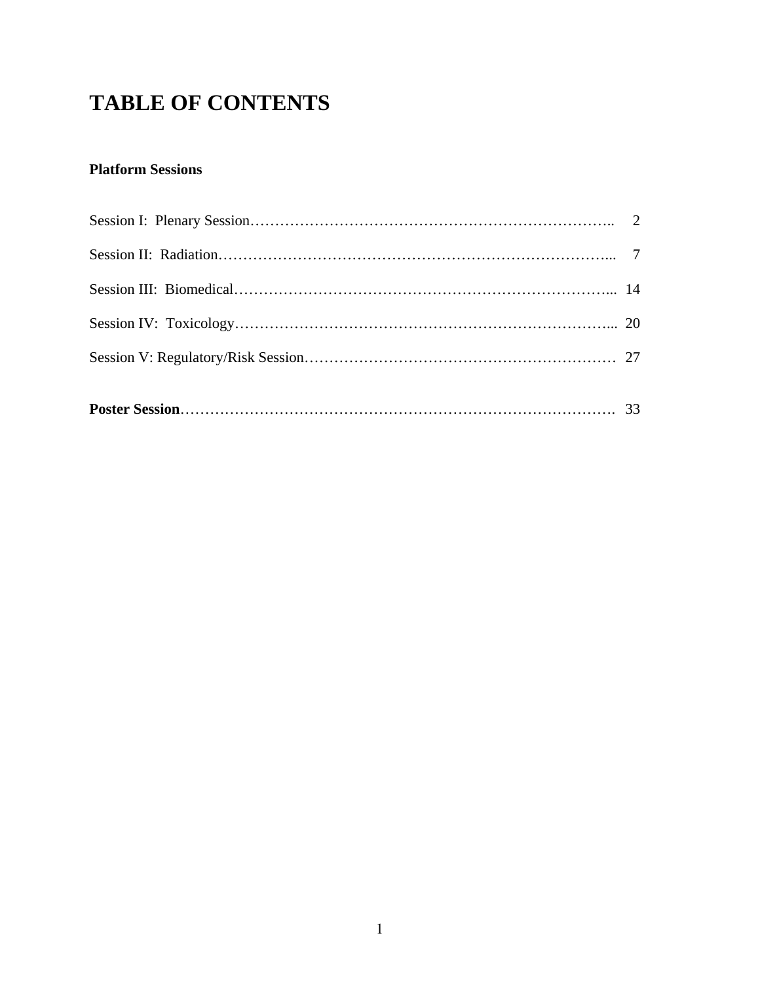# **TABLE OF CONTENTS**

# **Platform Sessions**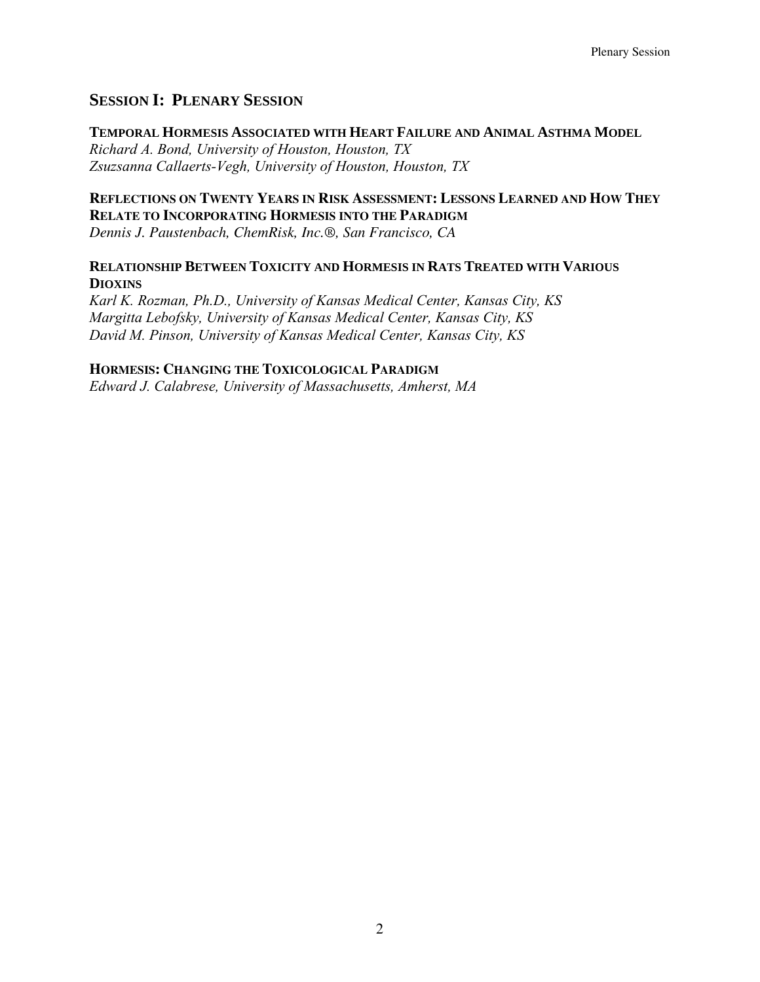## **SESSION I: PLENARY SESSION**

## **TEMPORAL HORMESIS ASSOCIATED WITH HEART FAILURE AND ANIMAL ASTHMA MODEL**

*Richard A. Bond, University of Houston, Houston, TX Zsuzsanna Callaerts-Vegh, University of Houston, Houston, TX* 

## **REFLECTIONS ON TWENTY YEARS IN RISK ASSESSMENT: LESSONS LEARNED AND HOW THEY RELATE TO INCORPORATING HORMESIS INTO THE PARADIGM**

*Dennis J. Paustenbach, ChemRisk, Inc.®, San Francisco, CA* 

## **RELATIONSHIP BETWEEN TOXICITY AND HORMESIS IN RATS TREATED WITH VARIOUS DIOXINS**

*Karl K. Rozman, Ph.D., University of Kansas Medical Center, Kansas City, KS Margitta Lebofsky, University of Kansas Medical Center, Kansas City, KS David M. Pinson, University of Kansas Medical Center, Kansas City, KS* 

## **HORMESIS: CHANGING THE TOXICOLOGICAL PARADIGM**

*Edward J. Calabrese, University of Massachusetts, Amherst, MA*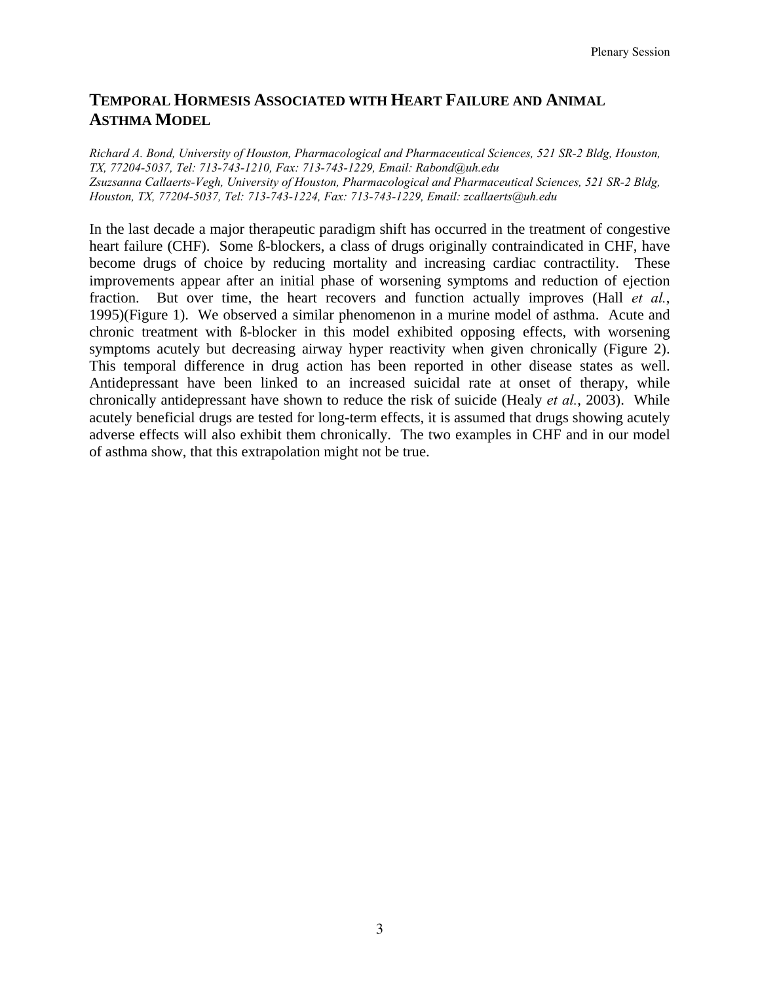# **TEMPORAL HORMESIS ASSOCIATED WITH HEART FAILURE AND ANIMAL ASTHMA MODEL**

*Richard A. Bond, University of Houston, Pharmacological and Pharmaceutical Sciences, 521 SR-2 Bldg, Houston, TX, 77204-5037, Tel: 713-743-1210, Fax: 713-743-1229, Email: Rabond@uh.edu Zsuzsanna Callaerts-Vegh, University of Houston, Pharmacological and Pharmaceutical Sciences, 521 SR-2 Bldg, Houston, TX, 77204-5037, Tel: 713-743-1224, Fax: 713-743-1229, Email: zcallaerts@uh.edu* 

In the last decade a major therapeutic paradigm shift has occurred in the treatment of congestive heart failure (CHF). Some ß-blockers, a class of drugs originally contraindicated in CHF, have become drugs of choice by reducing mortality and increasing cardiac contractility. These improvements appear after an initial phase of worsening symptoms and reduction of ejection fraction. But over time, the heart recovers and function actually improves (Hall *et al.*, 1995)(Figure 1). We observed a similar phenomenon in a murine model of asthma. Acute and chronic treatment with ß-blocker in this model exhibited opposing effects, with worsening symptoms acutely but decreasing airway hyper reactivity when given chronically (Figure 2). This temporal difference in drug action has been reported in other disease states as well. Antidepressant have been linked to an increased suicidal rate at onset of therapy, while chronically antidepressant have shown to reduce the risk of suicide (Healy *et al.*, 2003). While acutely beneficial drugs are tested for long-term effects, it is assumed that drugs showing acutely adverse effects will also exhibit them chronically. The two examples in CHF and in our model of asthma show, that this extrapolation might not be true.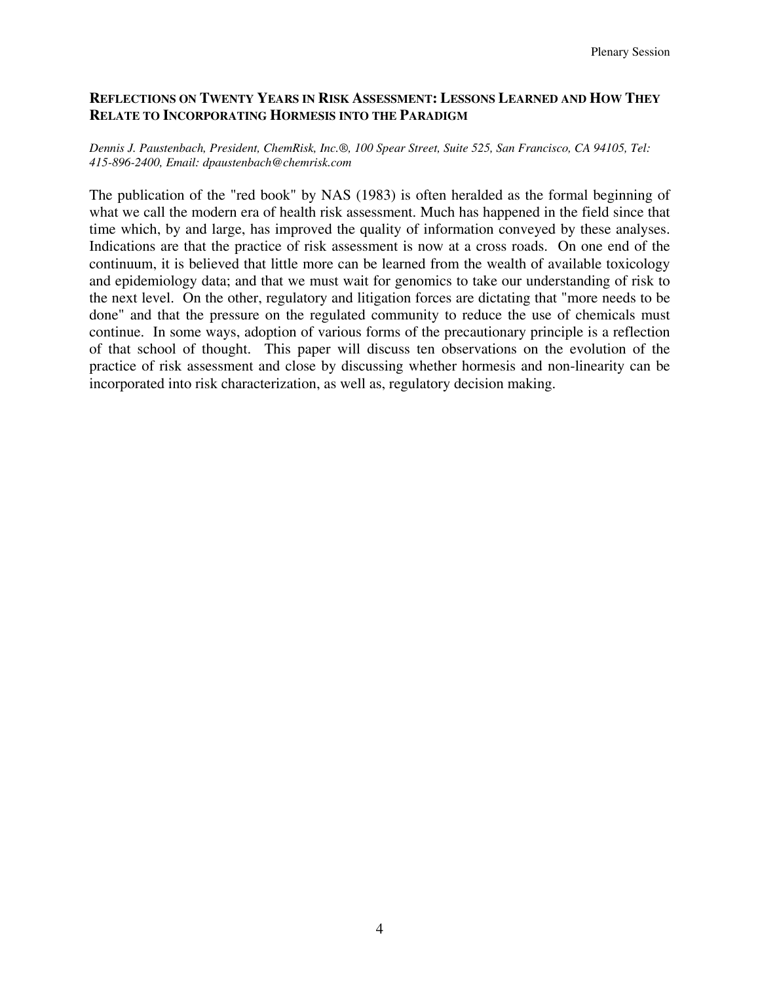## **REFLECTIONS ON TWENTY YEARS IN RISK ASSESSMENT: LESSONS LEARNED AND HOW THEY RELATE TO INCORPORATING HORMESIS INTO THE PARADIGM**

#### *Dennis J. Paustenbach, President, ChemRisk, Inc.®, 100 Spear Street, Suite 525, San Francisco, CA 94105, Tel: 415-896-2400, Email: dpaustenbach@chemrisk.com*

The publication of the "red book" by NAS (1983) is often heralded as the formal beginning of what we call the modern era of health risk assessment. Much has happened in the field since that time which, by and large, has improved the quality of information conveyed by these analyses. Indications are that the practice of risk assessment is now at a cross roads. On one end of the continuum, it is believed that little more can be learned from the wealth of available toxicology and epidemiology data; and that we must wait for genomics to take our understanding of risk to the next level. On the other, regulatory and litigation forces are dictating that "more needs to be done" and that the pressure on the regulated community to reduce the use of chemicals must continue. In some ways, adoption of various forms of the precautionary principle is a reflection of that school of thought. This paper will discuss ten observations on the evolution of the practice of risk assessment and close by discussing whether hormesis and non-linearity can be incorporated into risk characterization, as well as, regulatory decision making.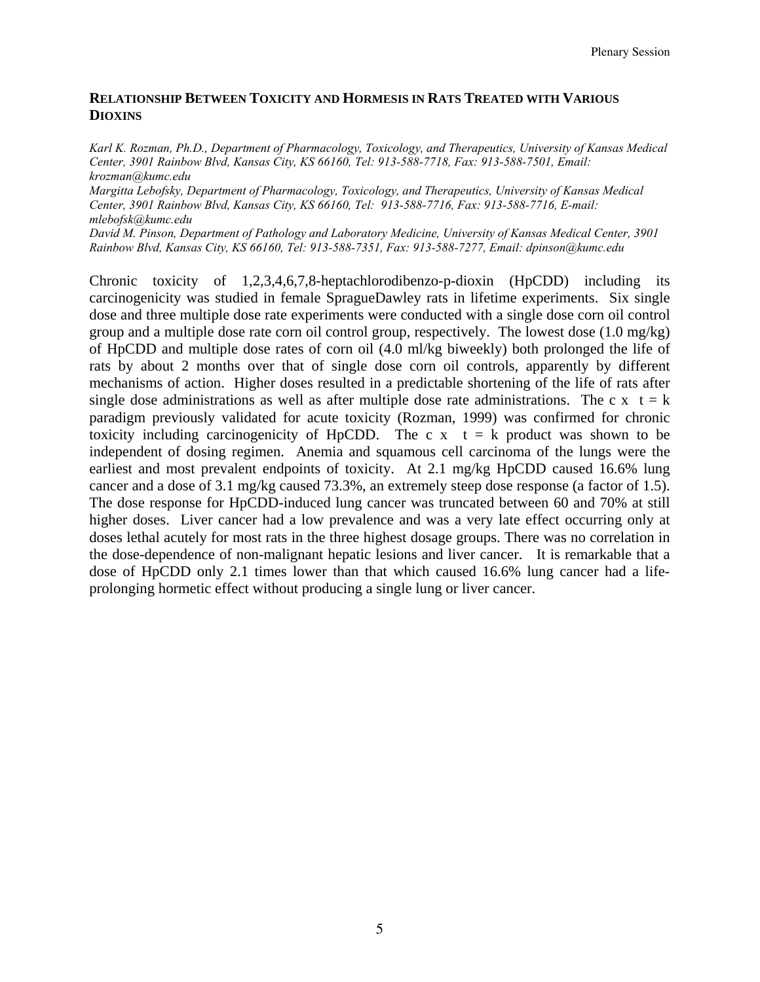## **RELATIONSHIP BETWEEN TOXICITY AND HORMESIS IN RATS TREATED WITH VARIOUS DIOXINS**

*Karl K. Rozman, Ph.D., Department of Pharmacology, Toxicology, and Therapeutics, University of Kansas Medical Center, 3901 Rainbow Blvd, Kansas City, KS 66160, Tel: 913-588-7718, Fax: 913-588-7501, Email: krozman@kumc.edu* 

*Margitta Lebofsky, Department of Pharmacology, Toxicology, and Therapeutics, University of Kansas Medical Center, 3901 Rainbow Blvd, Kansas City, KS 66160, Tel: 913-588-7716, Fax: 913-588-7716, E-mail: mlebofsk@kumc.edu* 

*David M. Pinson, Department of Pathology and Laboratory Medicine, University of Kansas Medical Center, 3901 Rainbow Blvd, Kansas City, KS 66160, Tel: 913-588-7351, Fax: 913-588-7277, Email: dpinson@kumc.edu* 

Chronic toxicity of 1,2,3,4,6,7,8-heptachlorodibenzo-p-dioxin (HpCDD) including its carcinogenicity was studied in female SpragueDawley rats in lifetime experiments. Six single dose and three multiple dose rate experiments were conducted with a single dose corn oil control group and a multiple dose rate corn oil control group, respectively. The lowest dose (1.0 mg/kg) of HpCDD and multiple dose rates of corn oil (4.0 ml/kg biweekly) both prolonged the life of rats by about 2 months over that of single dose corn oil controls, apparently by different mechanisms of action. Higher doses resulted in a predictable shortening of the life of rats after single dose administrations as well as after multiple dose rate administrations. The c x  $t = k$ paradigm previously validated for acute toxicity (Rozman, 1999) was confirmed for chronic toxicity including carcinogenicity of HpCDD. The c  $x \neq t$  as product was shown to be independent of dosing regimen. Anemia and squamous cell carcinoma of the lungs were the earliest and most prevalent endpoints of toxicity. At 2.1 mg/kg HpCDD caused 16.6% lung cancer and a dose of 3.1 mg/kg caused 73.3%, an extremely steep dose response (a factor of 1.5). The dose response for HpCDD-induced lung cancer was truncated between 60 and 70% at still higher doses. Liver cancer had a low prevalence and was a very late effect occurring only at doses lethal acutely for most rats in the three highest dosage groups. There was no correlation in the dose-dependence of non-malignant hepatic lesions and liver cancer. It is remarkable that a dose of HpCDD only 2.1 times lower than that which caused 16.6% lung cancer had a lifeprolonging hormetic effect without producing a single lung or liver cancer.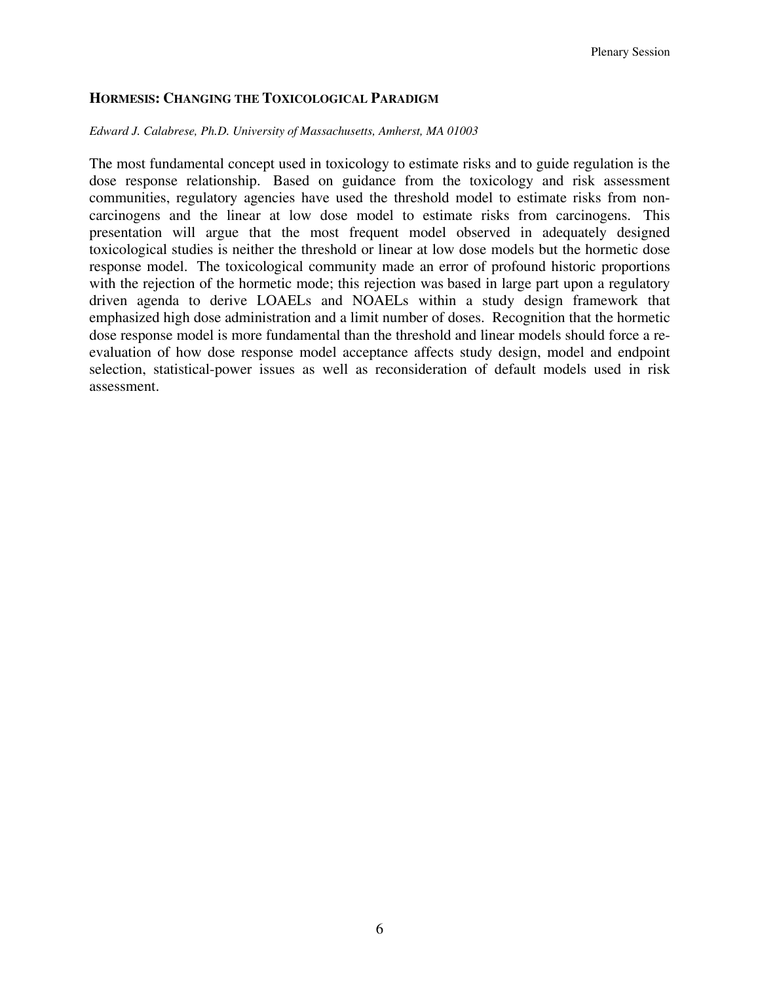## **HORMESIS: CHANGING THE TOXICOLOGICAL PARADIGM**

#### *Edward J. Calabrese, Ph.D. University of Massachusetts, Amherst, MA 01003*

The most fundamental concept used in toxicology to estimate risks and to guide regulation is the dose response relationship. Based on guidance from the toxicology and risk assessment communities, regulatory agencies have used the threshold model to estimate risks from noncarcinogens and the linear at low dose model to estimate risks from carcinogens. This presentation will argue that the most frequent model observed in adequately designed toxicological studies is neither the threshold or linear at low dose models but the hormetic dose response model. The toxicological community made an error of profound historic proportions with the rejection of the hormetic mode; this rejection was based in large part upon a regulatory driven agenda to derive LOAELs and NOAELs within a study design framework that emphasized high dose administration and a limit number of doses. Recognition that the hormetic dose response model is more fundamental than the threshold and linear models should force a reevaluation of how dose response model acceptance affects study design, model and endpoint selection, statistical-power issues as well as reconsideration of default models used in risk assessment.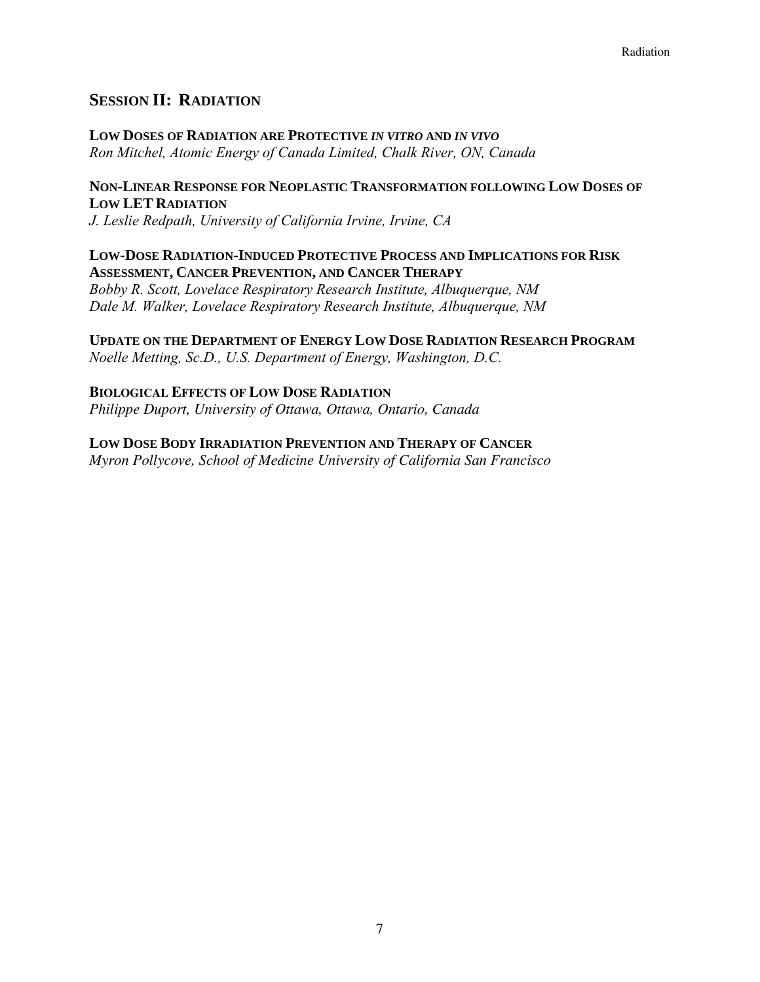## **SESSION II: RADIATION**

**LOW DOSES OF RADIATION ARE PROTECTIVE** *IN VITRO* **AND** *IN VIVO Ron Mitchel, Atomic Energy of Canada Limited, Chalk River, ON, Canada*

## **NON-LINEAR RESPONSE FOR NEOPLASTIC TRANSFORMATION FOLLOWING LOW DOSES OF LOW LET RADIATION**

*J. Leslie Redpath, University of California Irvine, Irvine, CA* 

## **LOW-DOSE RADIATION-INDUCED PROTECTIVE PROCESS AND IMPLICATIONS FOR RISK ASSESSMENT, CANCER PREVENTION, AND CANCER THERAPY**

*Bobby R. Scott, Lovelace Respiratory Research Institute, Albuquerque, NM Dale M. Walker, Lovelace Respiratory Research Institute, Albuquerque, NM* 

# **UPDATE ON THE DEPARTMENT OF ENERGY LOW DOSE RADIATION RESEARCH PROGRAM**

*Noelle Metting, Sc.D., U.S. Department of Energy, Washington, D.C.* 

# **BIOLOGICAL EFFECTS OF LOW DOSE RADIATION**

*Philippe Duport, University of Ottawa, Ottawa, Ontario, Canada* 

## **LOW DOSE BODY IRRADIATION PREVENTION AND THERAPY OF CANCER**

*Myron Pollycove, School of Medicine University of California San Francisco*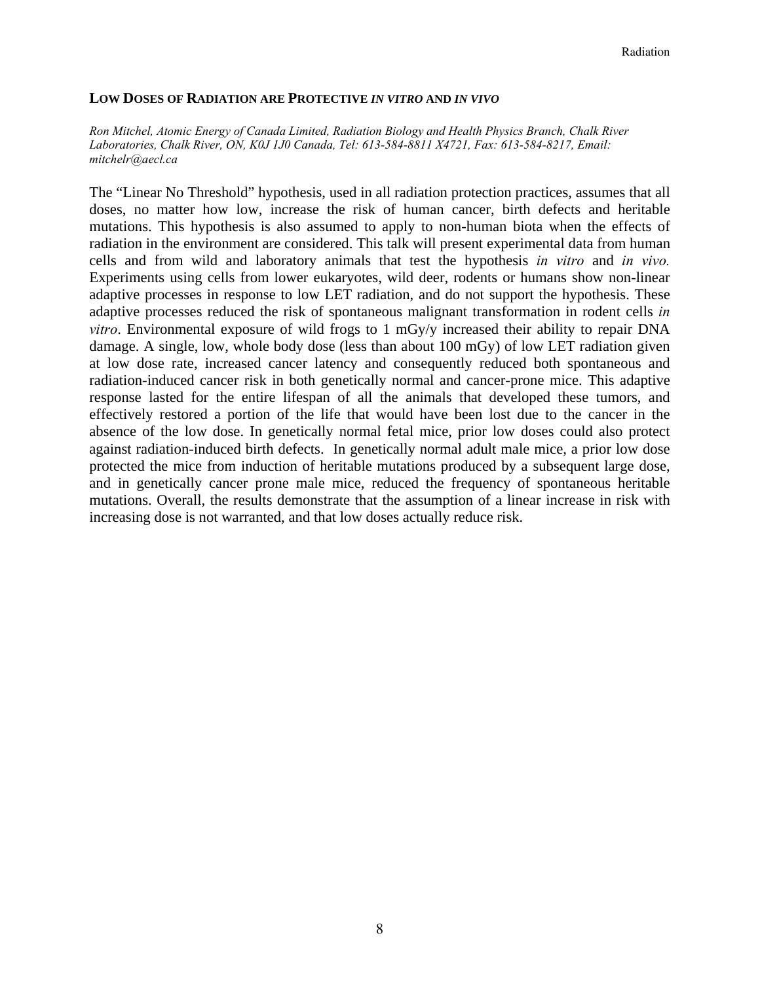#### **LOW DOSES OF RADIATION ARE PROTECTIVE** *IN VITRO* **AND** *IN VIVO*

*Ron Mitchel, Atomic Energy of Canada Limited, Radiation Biology and Health Physics Branch, Chalk River Laboratories, Chalk River, ON, K0J 1J0 Canada, Tel: 613-584-8811 X4721, Fax: 613-584-8217, Email: mitchelr@aecl.ca*

The "Linear No Threshold" hypothesis, used in all radiation protection practices, assumes that all doses, no matter how low, increase the risk of human cancer, birth defects and heritable mutations. This hypothesis is also assumed to apply to non-human biota when the effects of radiation in the environment are considered. This talk will present experimental data from human cells and from wild and laboratory animals that test the hypothesis *in vitro* and *in vivo.*  Experiments using cells from lower eukaryotes, wild deer, rodents or humans show non-linear adaptive processes in response to low LET radiation, and do not support the hypothesis. These adaptive processes reduced the risk of spontaneous malignant transformation in rodent cells *in vitro*. Environmental exposure of wild frogs to 1 mGy/y increased their ability to repair DNA damage. A single, low, whole body dose (less than about 100 mGy) of low LET radiation given at low dose rate, increased cancer latency and consequently reduced both spontaneous and radiation-induced cancer risk in both genetically normal and cancer-prone mice. This adaptive response lasted for the entire lifespan of all the animals that developed these tumors, and effectively restored a portion of the life that would have been lost due to the cancer in the absence of the low dose. In genetically normal fetal mice, prior low doses could also protect against radiation-induced birth defects. In genetically normal adult male mice, a prior low dose protected the mice from induction of heritable mutations produced by a subsequent large dose, and in genetically cancer prone male mice, reduced the frequency of spontaneous heritable mutations. Overall, the results demonstrate that the assumption of a linear increase in risk with increasing dose is not warranted, and that low doses actually reduce risk.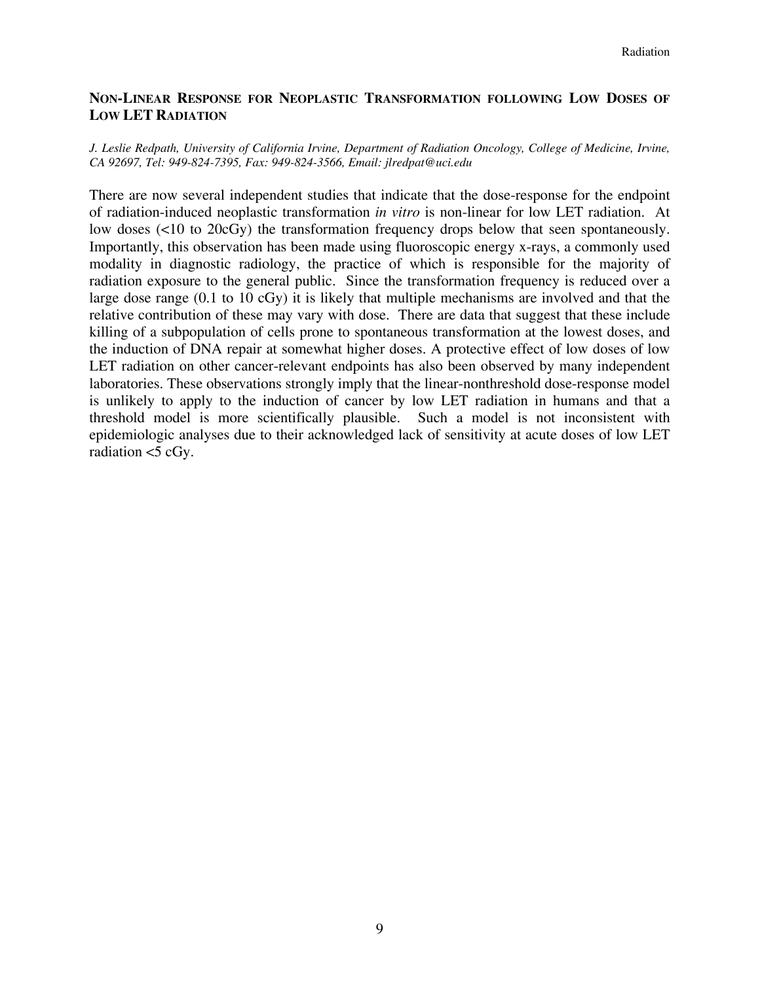## **NON-LINEAR RESPONSE FOR NEOPLASTIC TRANSFORMATION FOLLOWING LOW DOSES OF LOW LET RADIATION**

#### *J. Leslie Redpath, University of California Irvine, Department of Radiation Oncology, College of Medicine, Irvine, CA 92697, Tel: 949-824-7395, Fax: 949-824-3566, Email: jlredpat@uci.edu*

There are now several independent studies that indicate that the dose-response for the endpoint of radiation-induced neoplastic transformation *in vitro* is non-linear for low LET radiation. At low doses (<10 to 20cGy) the transformation frequency drops below that seen spontaneously. Importantly, this observation has been made using fluoroscopic energy x-rays, a commonly used modality in diagnostic radiology, the practice of which is responsible for the majority of radiation exposure to the general public. Since the transformation frequency is reduced over a large dose range (0.1 to 10 cGy) it is likely that multiple mechanisms are involved and that the relative contribution of these may vary with dose. There are data that suggest that these include killing of a subpopulation of cells prone to spontaneous transformation at the lowest doses, and the induction of DNA repair at somewhat higher doses. A protective effect of low doses of low LET radiation on other cancer-relevant endpoints has also been observed by many independent laboratories. These observations strongly imply that the linear-nonthreshold dose-response model is unlikely to apply to the induction of cancer by low LET radiation in humans and that a threshold model is more scientifically plausible. Such a model is not inconsistent with epidemiologic analyses due to their acknowledged lack of sensitivity at acute doses of low LET radiation  $<$ 5 cGy.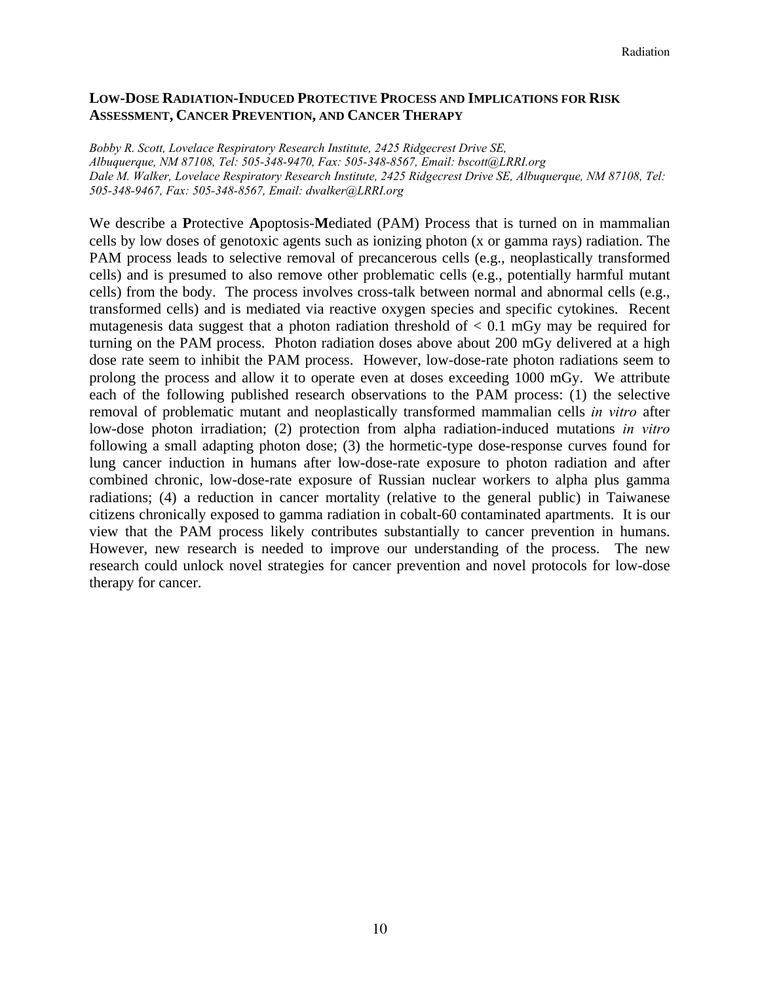## **LOW-DOSE RADIATION-INDUCED PROTECTIVE PROCESS AND IMPLICATIONS FOR RISK ASSESSMENT, CANCER PREVENTION, AND CANCER THERAPY**

*Bobby R. Scott, Lovelace Respiratory Research Institute, 2425 Ridgecrest Drive SE, Albuquerque, NM 87108, Tel: 505-348-9470, Fax: 505-348-8567, Email: bscott@LRRI.org Dale M. Walker, Lovelace Respiratory Research Institute, 2425 Ridgecrest Drive SE, Albuquerque, NM 87108, Tel: 505-348-9467, Fax: 505-348-8567, Email: dwalker@LRRI.org* 

We describe a **P**rotective **A**poptosis-**M**ediated (PAM) Process that is turned on in mammalian cells by low doses of genotoxic agents such as ionizing photon (x or gamma rays) radiation. The PAM process leads to selective removal of precancerous cells (e.g., neoplastically transformed cells) and is presumed to also remove other problematic cells (e.g., potentially harmful mutant cells) from the body. The process involves cross-talk between normal and abnormal cells (e.g., transformed cells) and is mediated via reactive oxygen species and specific cytokines. Recent mutagenesis data suggest that a photon radiation threshold of  $< 0.1$  mGy may be required for turning on the PAM process. Photon radiation doses above about 200 mGy delivered at a high dose rate seem to inhibit the PAM process. However, low-dose-rate photon radiations seem to prolong the process and allow it to operate even at doses exceeding 1000 mGy. We attribute each of the following published research observations to the PAM process: (1) the selective removal of problematic mutant and neoplastically transformed mammalian cells *in vitro* after low-dose photon irradiation; (2) protection from alpha radiation-induced mutations *in vitro*  following a small adapting photon dose; (3) the hormetic-type dose-response curves found for lung cancer induction in humans after low-dose-rate exposure to photon radiation and after combined chronic, low-dose-rate exposure of Russian nuclear workers to alpha plus gamma radiations; (4) a reduction in cancer mortality (relative to the general public) in Taiwanese citizens chronically exposed to gamma radiation in cobalt-60 contaminated apartments. It is our view that the PAM process likely contributes substantially to cancer prevention in humans. However, new research is needed to improve our understanding of the process. The new research could unlock novel strategies for cancer prevention and novel protocols for low-dose therapy for cancer.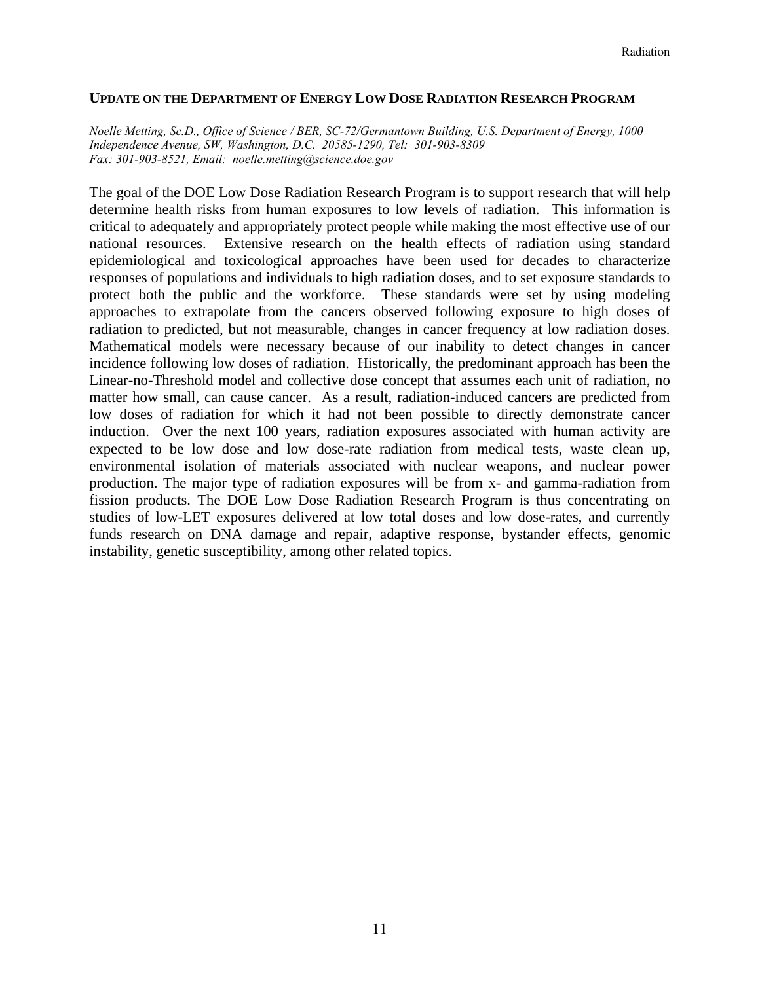#### **UPDATE ON THE DEPARTMENT OF ENERGY LOW DOSE RADIATION RESEARCH PROGRAM**

*Noelle Metting, Sc.D., Office of Science / BER, SC-72/Germantown Building, U.S. Department of Energy, 1000 Independence Avenue, SW, Washington, D.C. 20585-1290, Tel: 301-903-8309 Fax: 301-903-8521, Email: noelle.metting@science.doe.gov* 

The goal of the DOE Low Dose Radiation Research Program is to support research that will help determine health risks from human exposures to low levels of radiation. This information is critical to adequately and appropriately protect people while making the most effective use of our national resources. Extensive research on the health effects of radiation using standard epidemiological and toxicological approaches have been used for decades to characterize responses of populations and individuals to high radiation doses, and to set exposure standards to protect both the public and the workforce. These standards were set by using modeling approaches to extrapolate from the cancers observed following exposure to high doses of radiation to predicted, but not measurable, changes in cancer frequency at low radiation doses. Mathematical models were necessary because of our inability to detect changes in cancer incidence following low doses of radiation. Historically, the predominant approach has been the Linear-no-Threshold model and collective dose concept that assumes each unit of radiation, no matter how small, can cause cancer. As a result, radiation-induced cancers are predicted from low doses of radiation for which it had not been possible to directly demonstrate cancer induction. Over the next 100 years, radiation exposures associated with human activity are expected to be low dose and low dose-rate radiation from medical tests, waste clean up, environmental isolation of materials associated with nuclear weapons, and nuclear power production. The major type of radiation exposures will be from x- and gamma-radiation from fission products. The DOE Low Dose Radiation Research Program is thus concentrating on studies of low-LET exposures delivered at low total doses and low dose-rates, and currently funds research on DNA damage and repair, adaptive response, bystander effects, genomic instability, genetic susceptibility, among other related topics.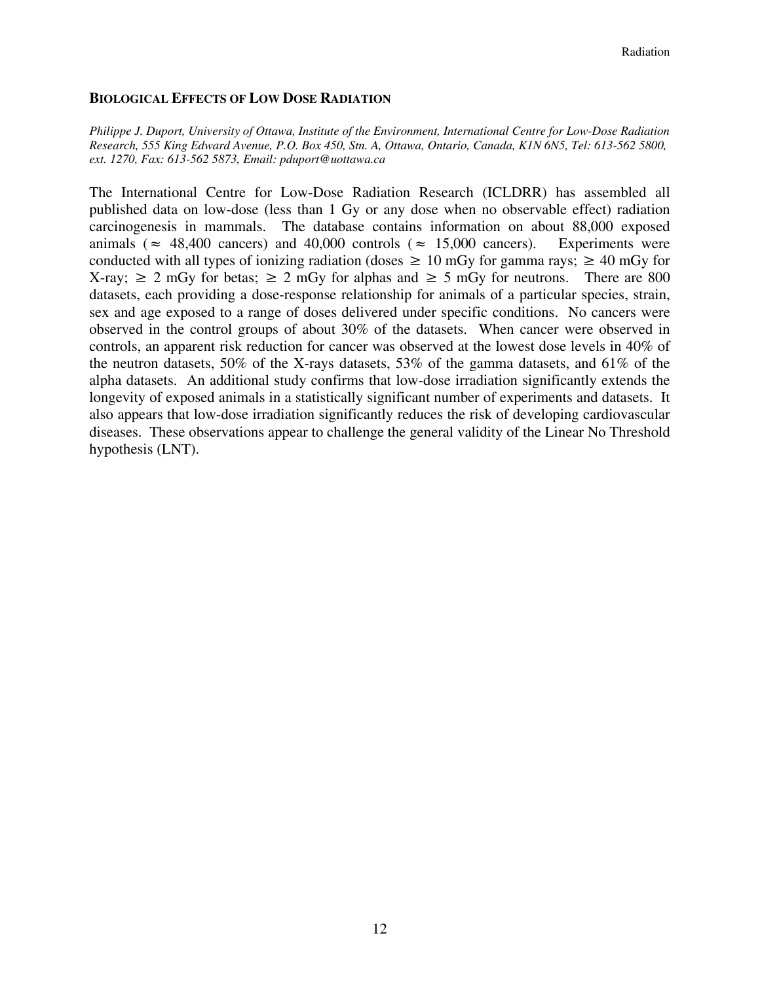## **BIOLOGICAL EFFECTS OF LOW DOSE RADIATION**

*Philippe J. Duport, University of Ottawa, Institute of the Environment, International Centre for Low-Dose Radiation Research, 555 King Edward Avenue, P.O. Box 450, Stn. A, Ottawa, Ontario, Canada, K1N 6N5, Tel: 613-562 5800, ext. 1270, Fax: 613-562 5873, Email: pduport@uottawa.ca* 

The International Centre for Low-Dose Radiation Research (ICLDRR) has assembled all published data on low-dose (less than 1 Gy or any dose when no observable effect) radiation carcinogenesis in mammals. The database contains information on about 88,000 exposed animals ( $\approx$  48,400 cancers) and 40,000 controls ( $\approx$  15,000 cancers). Experiments were conducted with all types of ionizing radiation (doses  $\geq 10$  mGy for gamma rays;  $\geq 40$  mGy for X-ray;  $\geq 2$  mGy for betas;  $\geq 2$  mGy for alphas and  $\geq 5$  mGy for neutrons. There are 800 datasets, each providing a dose-response relationship for animals of a particular species, strain, sex and age exposed to a range of doses delivered under specific conditions. No cancers were observed in the control groups of about 30% of the datasets. When cancer were observed in controls, an apparent risk reduction for cancer was observed at the lowest dose levels in 40% of the neutron datasets, 50% of the X-rays datasets, 53% of the gamma datasets, and 61% of the alpha datasets. An additional study confirms that low-dose irradiation significantly extends the longevity of exposed animals in a statistically significant number of experiments and datasets. It also appears that low-dose irradiation significantly reduces the risk of developing cardiovascular diseases. These observations appear to challenge the general validity of the Linear No Threshold hypothesis (LNT).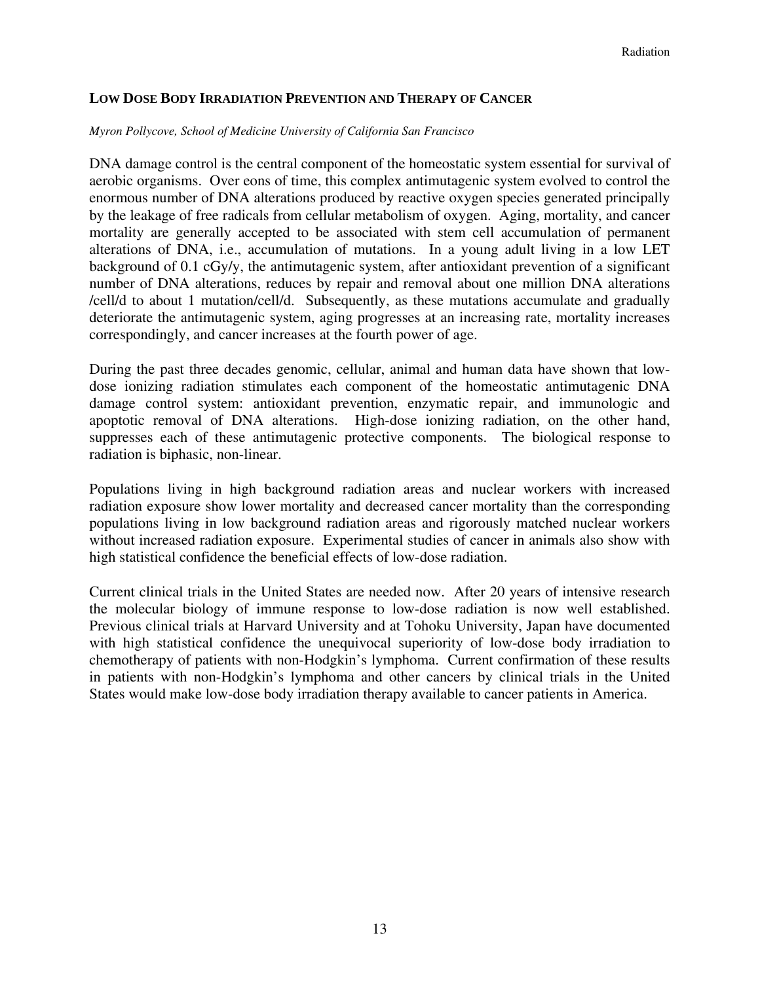## **LOW DOSE BODY IRRADIATION PREVENTION AND THERAPY OF CANCER**

#### *Myron Pollycove, School of Medicine University of California San Francisco*

DNA damage control is the central component of the homeostatic system essential for survival of aerobic organisms. Over eons of time, this complex antimutagenic system evolved to control the enormous number of DNA alterations produced by reactive oxygen species generated principally by the leakage of free radicals from cellular metabolism of oxygen. Aging, mortality, and cancer mortality are generally accepted to be associated with stem cell accumulation of permanent alterations of DNA, i.e., accumulation of mutations. In a young adult living in a low LET background of 0.1 cGy/y, the antimutagenic system, after antioxidant prevention of a significant number of DNA alterations, reduces by repair and removal about one million DNA alterations /cell/d to about 1 mutation/cell/d. Subsequently, as these mutations accumulate and gradually deteriorate the antimutagenic system, aging progresses at an increasing rate, mortality increases correspondingly, and cancer increases at the fourth power of age.

During the past three decades genomic, cellular, animal and human data have shown that lowdose ionizing radiation stimulates each component of the homeostatic antimutagenic DNA damage control system: antioxidant prevention, enzymatic repair, and immunologic and apoptotic removal of DNA alterations. High-dose ionizing radiation, on the other hand, suppresses each of these antimutagenic protective components. The biological response to radiation is biphasic, non-linear.

Populations living in high background radiation areas and nuclear workers with increased radiation exposure show lower mortality and decreased cancer mortality than the corresponding populations living in low background radiation areas and rigorously matched nuclear workers without increased radiation exposure. Experimental studies of cancer in animals also show with high statistical confidence the beneficial effects of low-dose radiation.

Current clinical trials in the United States are needed now. After 20 years of intensive research the molecular biology of immune response to low-dose radiation is now well established. Previous clinical trials at Harvard University and at Tohoku University, Japan have documented with high statistical confidence the unequivocal superiority of low-dose body irradiation to chemotherapy of patients with non-Hodgkin's lymphoma. Current confirmation of these results in patients with non-Hodgkin's lymphoma and other cancers by clinical trials in the United States would make low-dose body irradiation therapy available to cancer patients in America.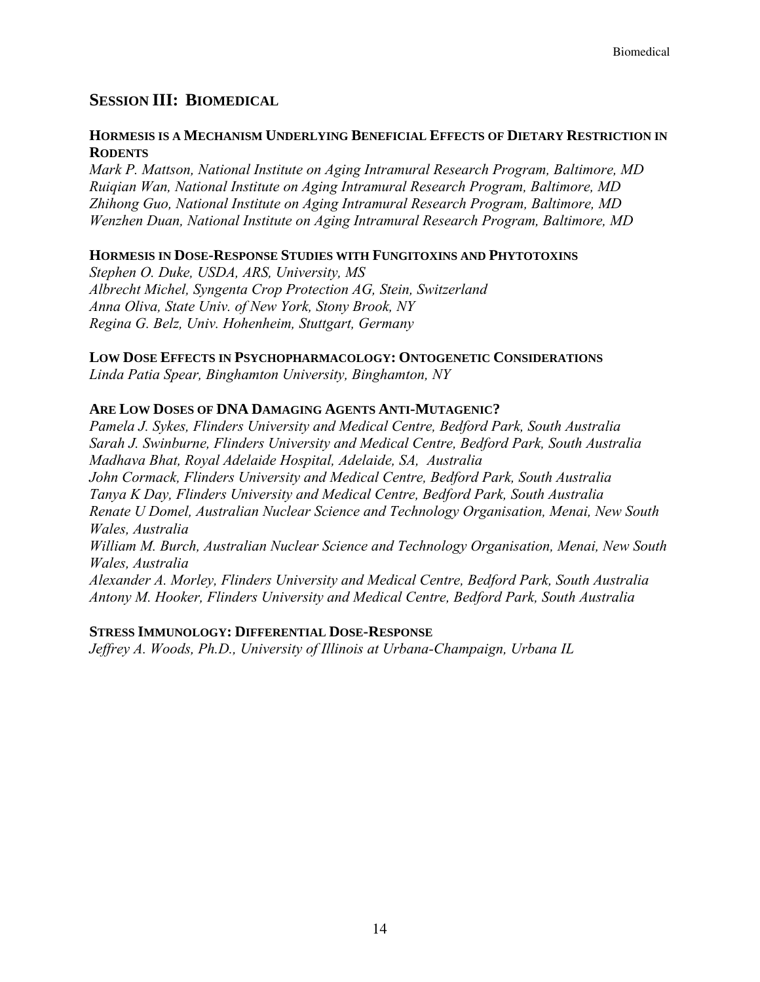## **SESSION III: BIOMEDICAL**

## **HORMESIS IS A MECHANISM UNDERLYING BENEFICIAL EFFECTS OF DIETARY RESTRICTION IN RODENTS**

*Mark P. Mattson, National Institute on Aging Intramural Research Program, Baltimore, MD Ruiqian Wan, National Institute on Aging Intramural Research Program, Baltimore, MD Zhihong Guo, National Institute on Aging Intramural Research Program, Baltimore, MD Wenzhen Duan, National Institute on Aging Intramural Research Program, Baltimore, MD*

## **HORMESIS IN DOSE-RESPONSE STUDIES WITH FUNGITOXINS AND PHYTOTOXINS**

*Stephen O. Duke, USDA, ARS, University, MS Albrecht Michel, Syngenta Crop Protection AG, Stein, Switzerland Anna Oliva, State Univ. of New York, Stony Brook, NY Regina G. Belz, Univ. Hohenheim, Stuttgart, Germany* 

#### **LOW DOSE EFFECTS IN PSYCHOPHARMACOLOGY: ONTOGENETIC CONSIDERATIONS**

*Linda Patia Spear, Binghamton University, Binghamton, NY* 

## **ARE LOW DOSES OF DNA DAMAGING AGENTS ANTI-MUTAGENIC?**

*Pamela J. Sykes, Flinders University and Medical Centre, Bedford Park, South Australia Sarah J. Swinburne, Flinders University and Medical Centre, Bedford Park, South Australia Madhava Bhat, Royal Adelaide Hospital, Adelaide, SA, Australia John Cormack, Flinders University and Medical Centre, Bedford Park, South Australia Tanya K Day, Flinders University and Medical Centre, Bedford Park, South Australia Renate U Domel, Australian Nuclear Science and Technology Organisation, Menai, New South Wales, Australia William M. Burch, Australian Nuclear Science and Technology Organisation, Menai, New South Wales, Australia Alexander A. Morley, Flinders University and Medical Centre, Bedford Park, South Australia Antony M. Hooker, Flinders University and Medical Centre, Bedford Park, South Australia* 

#### **STRESS IMMUNOLOGY: DIFFERENTIAL DOSE-RESPONSE**

*Jeffrey A. Woods, Ph.D., University of Illinois at Urbana-Champaign, Urbana IL*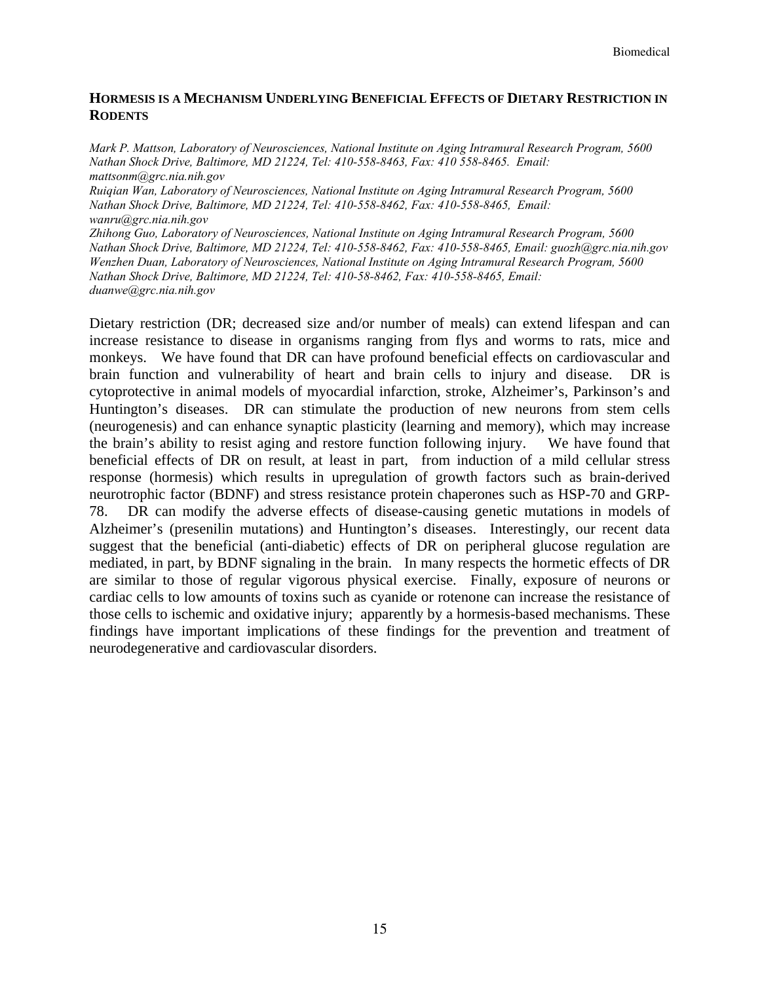## **HORMESIS IS A MECHANISM UNDERLYING BENEFICIAL EFFECTS OF DIETARY RESTRICTION IN RODENTS**

*Mark P. Mattson, Laboratory of Neurosciences, National Institute on Aging Intramural Research Program, 5600 Nathan Shock Drive, Baltimore, MD 21224, Tel: 410-558-8463, Fax: 410 558-8465. Email: mattsonm@grc.nia.nih.gov* 

*Ruiqian Wan, Laboratory of Neurosciences, National Institute on Aging Intramural Research Program, 5600 Nathan Shock Drive, Baltimore, MD 21224, Tel: 410-558-8462, Fax: 410-558-8465, Email: wanru@grc.nia.nih.gov* 

*Zhihong Guo, Laboratory of Neurosciences, National Institute on Aging Intramural Research Program, 5600 Nathan Shock Drive, Baltimore, MD 21224, Tel: 410-558-8462, Fax: 410-558-8465, Email: guozh@grc.nia.nih.gov Wenzhen Duan, Laboratory of Neurosciences, National Institute on Aging Intramural Research Program, 5600 Nathan Shock Drive, Baltimore, MD 21224, Tel: 410-58-8462, Fax: 410-558-8465, Email: duanwe@grc.nia.nih.gov* 

Dietary restriction (DR; decreased size and/or number of meals) can extend lifespan and can increase resistance to disease in organisms ranging from flys and worms to rats, mice and monkeys. We have found that DR can have profound beneficial effects on cardiovascular and brain function and vulnerability of heart and brain cells to injury and disease. DR is cytoprotective in animal models of myocardial infarction, stroke, Alzheimer's, Parkinson's and Huntington's diseases. DR can stimulate the production of new neurons from stem cells (neurogenesis) and can enhance synaptic plasticity (learning and memory), which may increase the brain's ability to resist aging and restore function following injury. We have found that beneficial effects of DR on result, at least in part, from induction of a mild cellular stress response (hormesis) which results in upregulation of growth factors such as brain-derived neurotrophic factor (BDNF) and stress resistance protein chaperones such as HSP-70 and GRP-78. DR can modify the adverse effects of disease-causing genetic mutations in models of Alzheimer's (presenilin mutations) and Huntington's diseases. Interestingly, our recent data suggest that the beneficial (anti-diabetic) effects of DR on peripheral glucose regulation are mediated, in part, by BDNF signaling in the brain. In many respects the hormetic effects of DR are similar to those of regular vigorous physical exercise. Finally, exposure of neurons or cardiac cells to low amounts of toxins such as cyanide or rotenone can increase the resistance of those cells to ischemic and oxidative injury; apparently by a hormesis-based mechanisms. These findings have important implications of these findings for the prevention and treatment of neurodegenerative and cardiovascular disorders.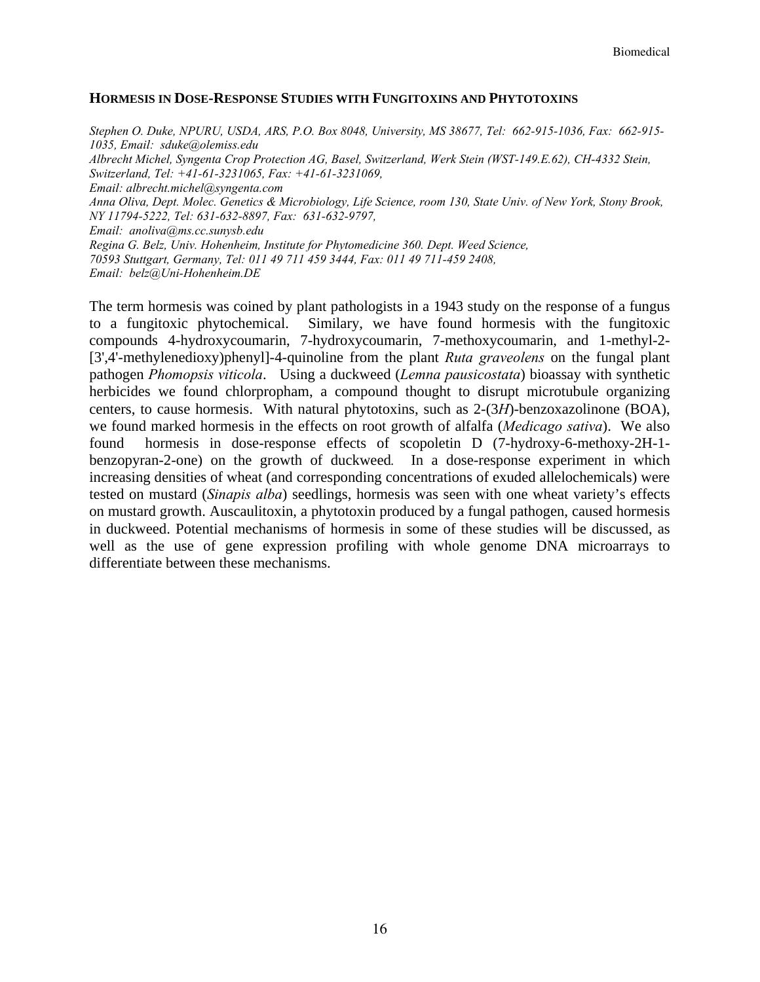#### **HORMESIS IN DOSE-RESPONSE STUDIES WITH FUNGITOXINS AND PHYTOTOXINS**

*Stephen O. Duke, NPURU, USDA, ARS, P.O. Box 8048, University, MS 38677, Tel: 662-915-1036, Fax: 662-915- 1035, Email: sduke@olemiss.edu Albrecht Michel, Syngenta Crop Protection AG, Basel, Switzerland, Werk Stein (WST-149.E.62), CH-4332 Stein, Switzerland, Tel: +41-61-3231065, Fax: +41-61-3231069, Email: albrecht.michel@syngenta.com Anna Oliva, Dept. Molec. Genetics & Microbiology, Life Science, room 130, State Univ. of New York, Stony Brook, NY 11794-5222, Tel: 631-632-8897, Fax: 631-632-9797, Email: anoliva@ms.cc.sunysb.edu Regina G. Belz, Univ. Hohenheim, Institute for Phytomedicine 360. Dept. Weed Science, 70593 Stuttgart, Germany, Tel: 011 49 711 459 3444, Fax: 011 49 711-459 2408, Email: belz@Uni-Hohenheim.DE* 

The term hormesis was coined by plant pathologists in a 1943 study on the response of a fungus to a fungitoxic phytochemical. Similary, we have found hormesis with the fungitoxic compounds 4-hydroxycoumarin, 7-hydroxycoumarin, 7-methoxycoumarin, and 1-methyl-2- [3',4'-methylenedioxy)phenyl]-4-quinoline from the plant *Ruta graveolens* on the fungal plant pathogen *Phomopsis viticola*. Using a duckweed (*Lemna pausicostata*) bioassay with synthetic herbicides we found chlorpropham, a compound thought to disrupt microtubule organizing centers, to cause hormesis. With natural phytotoxins, such as 2-(3*H*)-benzoxazolinone (BOA), we found marked hormesis in the effects on root growth of alfalfa (*Medicago sativa*). We also found hormesis in dose-response effects of scopoletin D (7-hydroxy-6-methoxy-2H-1 benzopyran-2-one) on the growth of duckweed*.* In a dose-response experiment in which increasing densities of wheat (and corresponding concentrations of exuded allelochemicals) were tested on mustard (*Sinapis alba*) seedlings, hormesis was seen with one wheat variety's effects on mustard growth. Auscaulitoxin, a phytotoxin produced by a fungal pathogen, caused hormesis in duckweed. Potential mechanisms of hormesis in some of these studies will be discussed, as well as the use of gene expression profiling with whole genome DNA microarrays to differentiate between these mechanisms.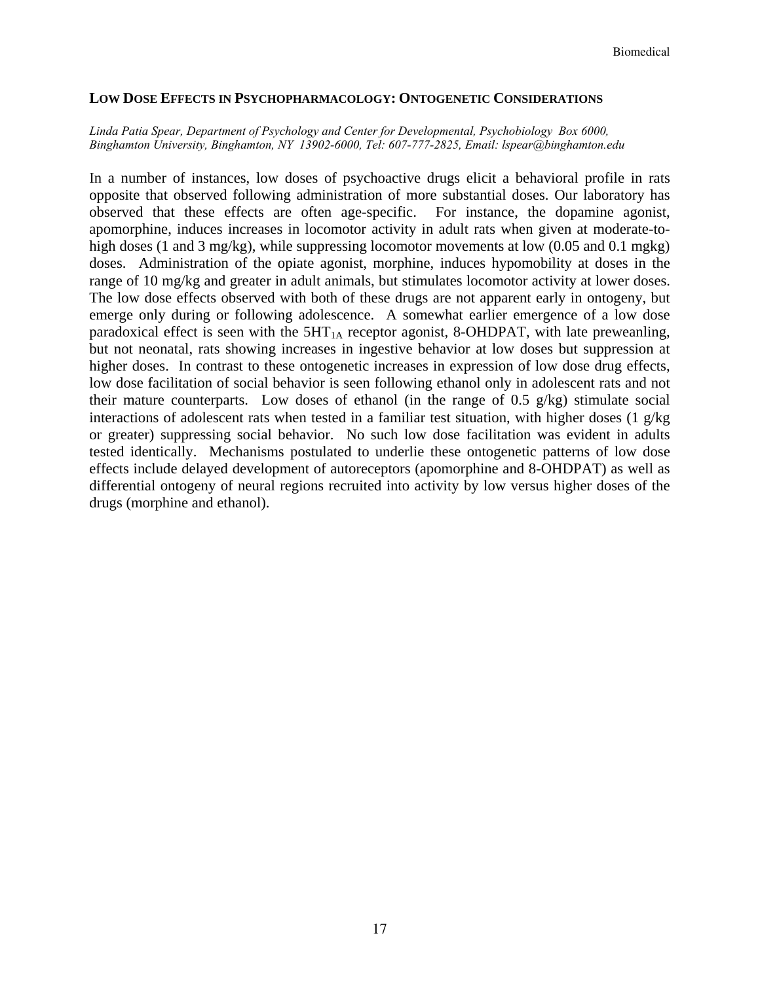#### **LOW DOSE EFFECTS IN PSYCHOPHARMACOLOGY: ONTOGENETIC CONSIDERATIONS**

#### *Linda Patia Spear, Department of Psychology and Center for Developmental, Psychobiology Box 6000, Binghamton University, Binghamton, NY 13902-6000, Tel: 607-777-2825, Email: lspear@binghamton.edu*

In a number of instances, low doses of psychoactive drugs elicit a behavioral profile in rats opposite that observed following administration of more substantial doses. Our laboratory has observed that these effects are often age-specific. For instance, the dopamine agonist, apomorphine, induces increases in locomotor activity in adult rats when given at moderate-tohigh doses (1 and 3 mg/kg), while suppressing locomotor movements at low  $(0.05 \text{ and } 0.1 \text{ mgkg})$ doses. Administration of the opiate agonist, morphine, induces hypomobility at doses in the range of 10 mg/kg and greater in adult animals, but stimulates locomotor activity at lower doses. The low dose effects observed with both of these drugs are not apparent early in ontogeny, but emerge only during or following adolescence. A somewhat earlier emergence of a low dose paradoxical effect is seen with the  $5HT<sub>1A</sub>$  receptor agonist, 8-OHDPAT, with late preweanling, but not neonatal, rats showing increases in ingestive behavior at low doses but suppression at higher doses. In contrast to these ontogenetic increases in expression of low dose drug effects, low dose facilitation of social behavior is seen following ethanol only in adolescent rats and not their mature counterparts. Low doses of ethanol (in the range of 0.5  $g/kg$ ) stimulate social interactions of adolescent rats when tested in a familiar test situation, with higher doses (1  $g/kg$ or greater) suppressing social behavior. No such low dose facilitation was evident in adults tested identically. Mechanisms postulated to underlie these ontogenetic patterns of low dose effects include delayed development of autoreceptors (apomorphine and 8-OHDPAT) as well as differential ontogeny of neural regions recruited into activity by low versus higher doses of the drugs (morphine and ethanol).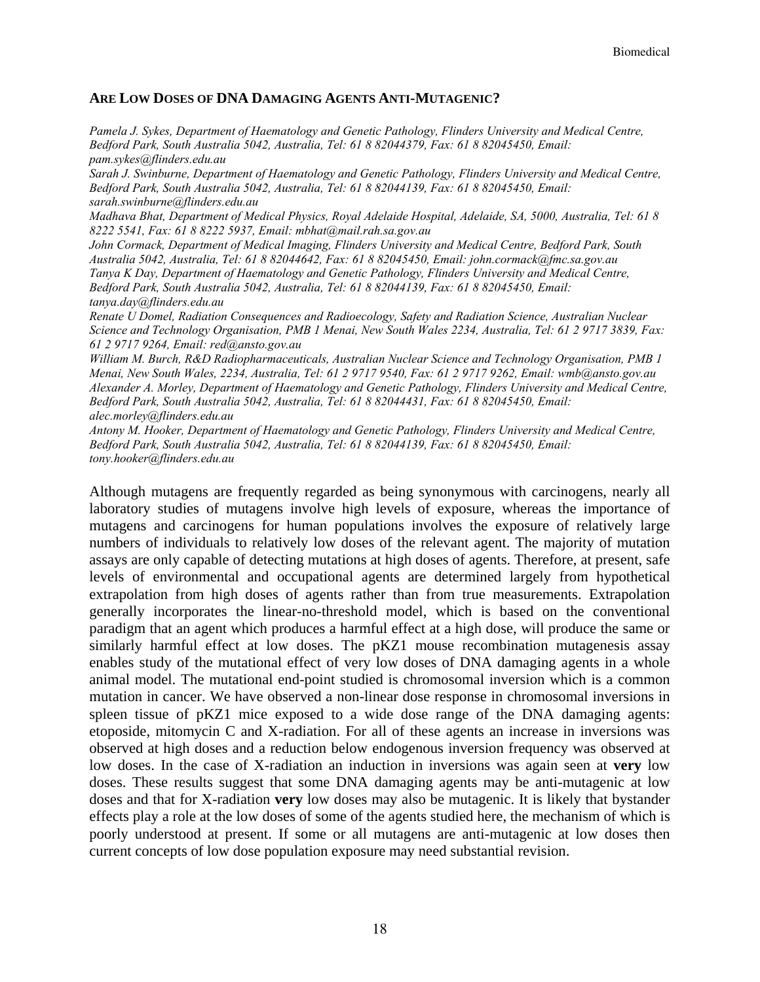#### **ARE LOW DOSES OF DNA DAMAGING AGENTS ANTI-MUTAGENIC?**

*Pamela J. Sykes, Department of Haematology and Genetic Pathology, Flinders University and Medical Centre, Bedford Park, South Australia 5042, Australia, Tel: 61 8 82044379, Fax: 61 8 82045450, Email: pam.sykes@flinders.edu.au* 

*Sarah J. Swinburne, Department of Haematology and Genetic Pathology, Flinders University and Medical Centre, Bedford Park, South Australia 5042, Australia, Tel: 61 8 82044139, Fax: 61 8 82045450, Email: sarah.swinburne@flinders.edu.au* 

*Madhava Bhat, Department of Medical Physics, Royal Adelaide Hospital, Adelaide, SA, 5000, Australia, Tel: 61 8 8222 5541, Fax: 61 8 8222 5937, Email: mbhat@mail.rah.sa.gov.au* 

*John Cormack, Department of Medical Imaging, Flinders University and Medical Centre, Bedford Park, South Australia 5042, Australia, Tel: 61 8 82044642, Fax: 61 8 82045450, Email: john.cormack@fmc.sa.gov.au Tanya K Day, Department of Haematology and Genetic Pathology, Flinders University and Medical Centre, Bedford Park, South Australia 5042, Australia, Tel: 61 8 82044139, Fax: 61 8 82045450, Email: tanya.day@flinders.edu.au* 

*Renate U Domel, Radiation Consequences and Radioecology, Safety and Radiation Science, Australian Nuclear Science and Technology Organisation, PMB 1 Menai, New South Wales 2234, Australia, Tel: 61 2 9717 3839, Fax: 61 2 9717 9264, Email: red@ansto.gov.au* 

*William M. Burch, R&D Radiopharmaceuticals, Australian Nuclear Science and Technology Organisation, PMB 1 Menai, New South Wales, 2234, Australia, Tel: 61 2 9717 9540, Fax: 61 2 9717 9262, Email: wmb@ansto.gov.au Alexander A. Morley, Department of Haematology and Genetic Pathology, Flinders University and Medical Centre, Bedford Park, South Australia 5042, Australia, Tel: 61 8 82044431, Fax: 61 8 82045450, Email: alec.morley@flinders.edu.au* 

*Antony M. Hooker, Department of Haematology and Genetic Pathology, Flinders University and Medical Centre, Bedford Park, South Australia 5042, Australia, Tel: 61 8 82044139, Fax: 61 8 82045450, Email: tony.hooker@flinders.edu.au* 

Although mutagens are frequently regarded as being synonymous with carcinogens, nearly all laboratory studies of mutagens involve high levels of exposure, whereas the importance of mutagens and carcinogens for human populations involves the exposure of relatively large numbers of individuals to relatively low doses of the relevant agent. The majority of mutation assays are only capable of detecting mutations at high doses of agents. Therefore, at present, safe levels of environmental and occupational agents are determined largely from hypothetical extrapolation from high doses of agents rather than from true measurements. Extrapolation generally incorporates the linear-no-threshold model, which is based on the conventional paradigm that an agent which produces a harmful effect at a high dose, will produce the same or similarly harmful effect at low doses. The pKZ1 mouse recombination mutagenesis assay enables study of the mutational effect of very low doses of DNA damaging agents in a whole animal model. The mutational end-point studied is chromosomal inversion which is a common mutation in cancer. We have observed a non-linear dose response in chromosomal inversions in spleen tissue of pKZ1 mice exposed to a wide dose range of the DNA damaging agents: etoposide, mitomycin C and X-radiation. For all of these agents an increase in inversions was observed at high doses and a reduction below endogenous inversion frequency was observed at low doses. In the case of X-radiation an induction in inversions was again seen at **very** low doses. These results suggest that some DNA damaging agents may be anti-mutagenic at low doses and that for X-radiation **very** low doses may also be mutagenic. It is likely that bystander effects play a role at the low doses of some of the agents studied here, the mechanism of which is poorly understood at present. If some or all mutagens are anti-mutagenic at low doses then current concepts of low dose population exposure may need substantial revision.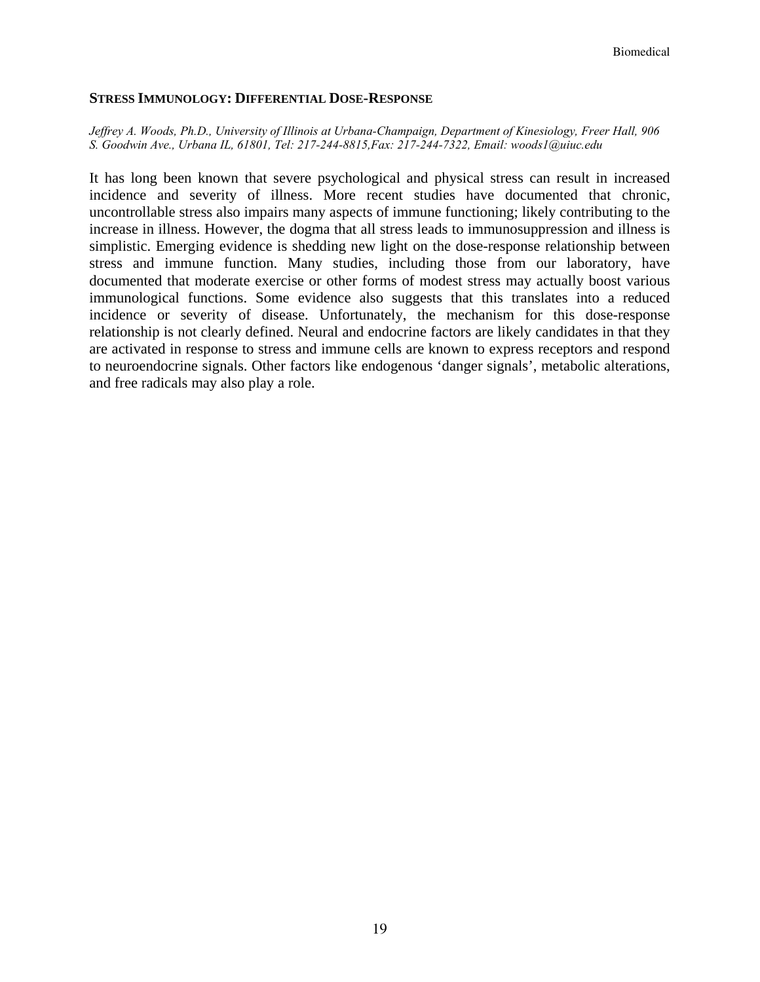#### **STRESS IMMUNOLOGY: DIFFERENTIAL DOSE-RESPONSE**

*Jeffrey A. Woods, Ph.D., University of Illinois at Urbana-Champaign, Department of Kinesiology, Freer Hall, 906 S. Goodwin Ave., Urbana IL, 61801, Tel: 217-244-8815,Fax: 217-244-7322, Email: woods1@uiuc.edu* 

It has long been known that severe psychological and physical stress can result in increased incidence and severity of illness. More recent studies have documented that chronic, uncontrollable stress also impairs many aspects of immune functioning; likely contributing to the increase in illness. However, the dogma that all stress leads to immunosuppression and illness is simplistic. Emerging evidence is shedding new light on the dose-response relationship between stress and immune function. Many studies, including those from our laboratory, have documented that moderate exercise or other forms of modest stress may actually boost various immunological functions. Some evidence also suggests that this translates into a reduced incidence or severity of disease. Unfortunately, the mechanism for this dose-response relationship is not clearly defined. Neural and endocrine factors are likely candidates in that they are activated in response to stress and immune cells are known to express receptors and respond to neuroendocrine signals. Other factors like endogenous 'danger signals', metabolic alterations, and free radicals may also play a role.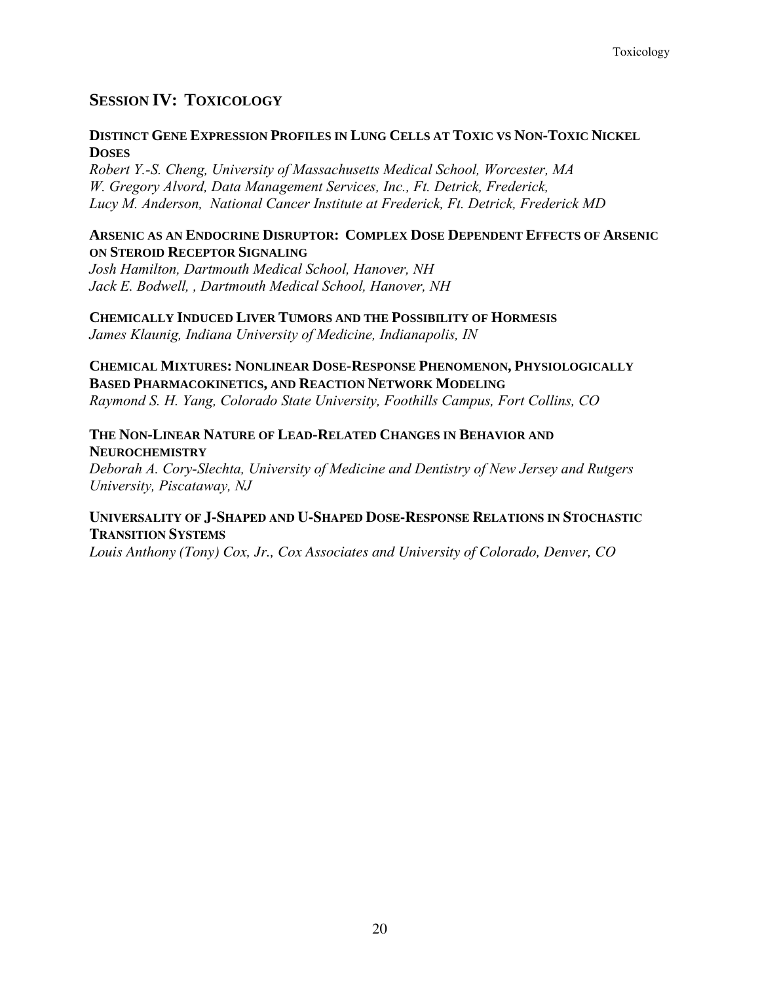# **SESSION IV: TOXICOLOGY**

## **DISTINCT GENE EXPRESSION PROFILES IN LUNG CELLS AT TOXIC VS NON-TOXIC NICKEL DOSES**

*Robert Y.-S. Cheng, University of Massachusetts Medical School, Worcester, MA W. Gregory Alvord, Data Management Services, Inc., Ft. Detrick, Frederick, Lucy M. Anderson, National Cancer Institute at Frederick, Ft. Detrick, Frederick MD* 

## **ARSENIC AS AN ENDOCRINE DISRUPTOR: COMPLEX DOSE DEPENDENT EFFECTS OF ARSENIC ON STEROID RECEPTOR SIGNALING**

*Josh Hamilton, Dartmouth Medical School, Hanover, NH Jack E. Bodwell, , Dartmouth Medical School, Hanover, NH* 

**CHEMICALLY INDUCED LIVER TUMORS AND THE POSSIBILITY OF HORMESIS** *James Klaunig, Indiana University of Medicine, Indianapolis, IN* 

**CHEMICAL MIXTURES: NONLINEAR DOSE-RESPONSE PHENOMENON, PHYSIOLOGICALLY BASED PHARMACOKINETICS, AND REACTION NETWORK MODELING**  *Raymond S. H. Yang, Colorado State University, Foothills Campus, Fort Collins, CO* 

## **THE NON-LINEAR NATURE OF LEAD-RELATED CHANGES IN BEHAVIOR AND NEUROCHEMISTRY**

*Deborah A. Cory-Slechta, University of Medicine and Dentistry of New Jersey and Rutgers University, Piscataway, NJ* 

## **UNIVERSALITY OF J-SHAPED AND U-SHAPED DOSE-RESPONSE RELATIONS IN STOCHASTIC TRANSITION SYSTEMS**

*Louis Anthony (Tony) Cox, Jr., Cox Associates and University of Colorado, Denver, CO*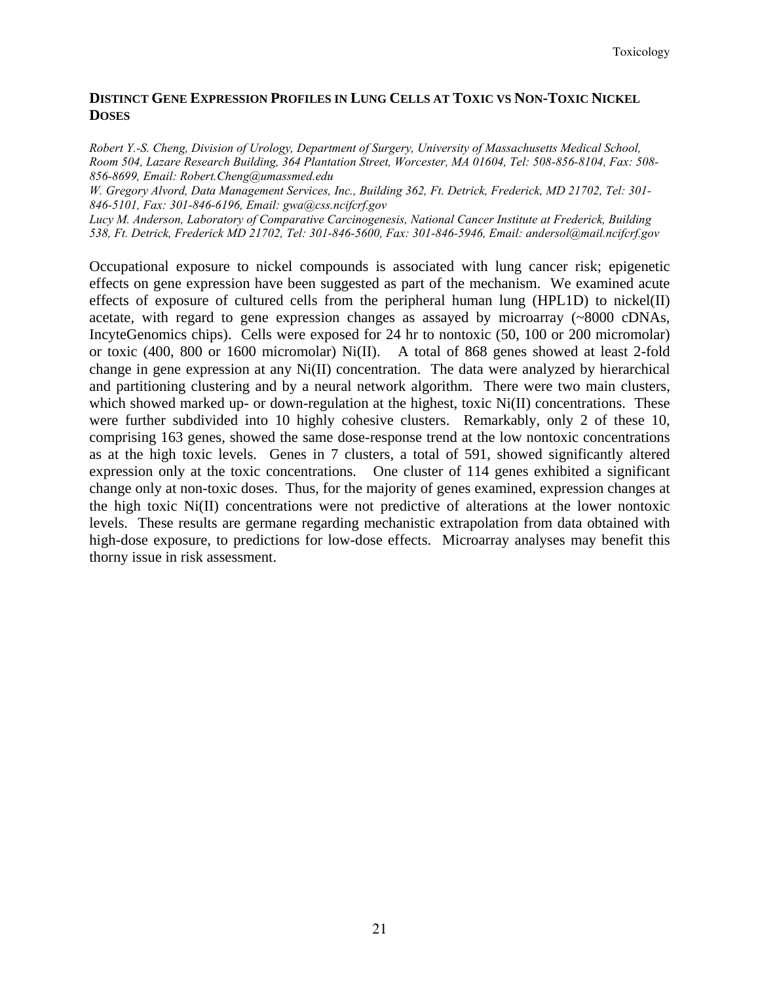## **DISTINCT GENE EXPRESSION PROFILES IN LUNG CELLS AT TOXIC VS NON-TOXIC NICKEL DOSES**

*Robert Y.-S. Cheng, Division of Urology, Department of Surgery, University of Massachusetts Medical School, Room 504, Lazare Research Building, 364 Plantation Street, Worcester, MA 01604, Tel: 508-856-8104, Fax: 508- 856-8699, Email: Robert.Cheng@umassmed.edu* 

*W. Gregory Alvord, Data Management Services, Inc., Building 362, Ft. Detrick, Frederick, MD 21702, Tel: 301- 846-5101, Fax: 301-846-6196, Email: gwa@css.ncifcrf.gov* 

*Lucy M. Anderson, Laboratory of Comparative Carcinogenesis, National Cancer Institute at Frederick, Building 538, Ft. Detrick, Frederick MD 21702, Tel: 301-846-5600, Fax: 301-846-5946, Email: andersol@mail.ncifcrf.gov* 

Occupational exposure to nickel compounds is associated with lung cancer risk; epigenetic effects on gene expression have been suggested as part of the mechanism. We examined acute effects of exposure of cultured cells from the peripheral human lung (HPL1D) to nickel(II) acetate, with regard to gene expression changes as assayed by microarray (~8000 cDNAs, IncyteGenomics chips). Cells were exposed for 24 hr to nontoxic (50, 100 or 200 micromolar) or toxic (400, 800 or 1600 micromolar) Ni(II). A total of 868 genes showed at least 2-fold change in gene expression at any Ni(II) concentration. The data were analyzed by hierarchical and partitioning clustering and by a neural network algorithm. There were two main clusters, which showed marked up- or down-regulation at the highest, toxic Ni(II) concentrations. These were further subdivided into 10 highly cohesive clusters. Remarkably, only 2 of these 10, comprising 163 genes, showed the same dose-response trend at the low nontoxic concentrations as at the high toxic levels. Genes in 7 clusters, a total of 591, showed significantly altered expression only at the toxic concentrations. One cluster of 114 genes exhibited a significant change only at non-toxic doses. Thus, for the majority of genes examined, expression changes at the high toxic Ni(II) concentrations were not predictive of alterations at the lower nontoxic levels. These results are germane regarding mechanistic extrapolation from data obtained with high-dose exposure, to predictions for low-dose effects. Microarray analyses may benefit this thorny issue in risk assessment.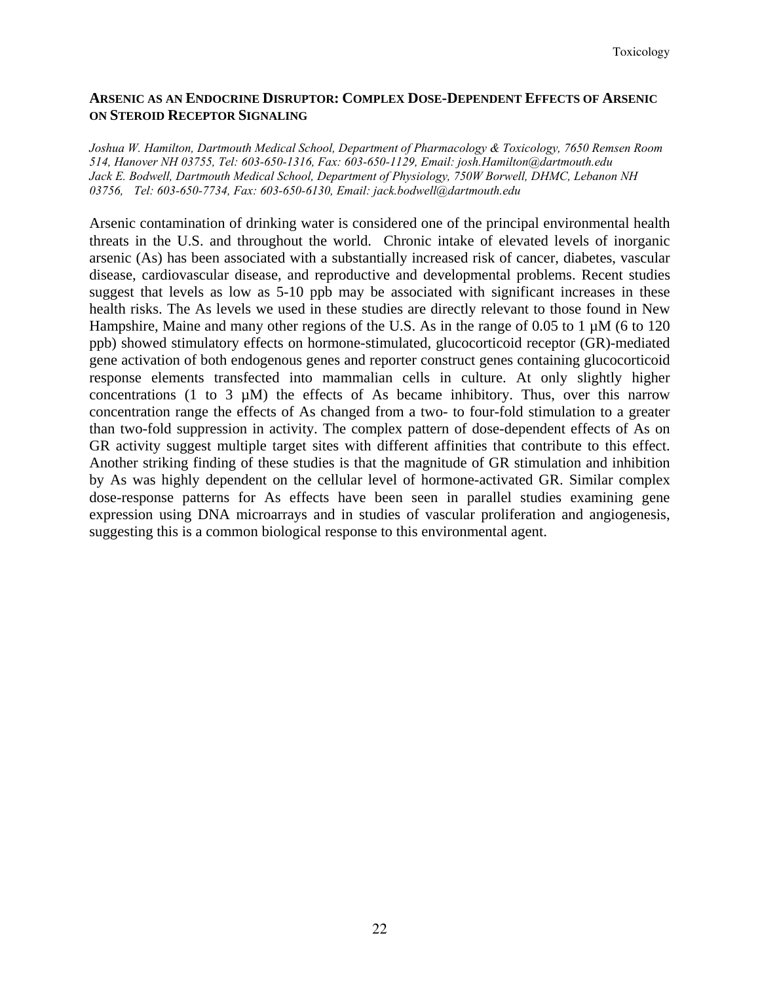## **ARSENIC AS AN ENDOCRINE DISRUPTOR: COMPLEX DOSE-DEPENDENT EFFECTS OF ARSENIC ON STEROID RECEPTOR SIGNALING**

*Joshua W. Hamilton, Dartmouth Medical School, Department of Pharmacology & Toxicology, 7650 Remsen Room 514, Hanover NH 03755, Tel: 603-650-1316, Fax: 603-650-1129, Email: josh.Hamilton@dartmouth.edu Jack E. Bodwell, Dartmouth Medical School, Department of Physiology, 750W Borwell, DHMC, Lebanon NH 03756, Tel: 603-650-7734, Fax: 603-650-6130, Email: jack.bodwell@dartmouth.edu* 

Arsenic contamination of drinking water is considered one of the principal environmental health threats in the U.S. and throughout the world. Chronic intake of elevated levels of inorganic arsenic (As) has been associated with a substantially increased risk of cancer, diabetes, vascular disease, cardiovascular disease, and reproductive and developmental problems. Recent studies suggest that levels as low as 5-10 ppb may be associated with significant increases in these health risks. The As levels we used in these studies are directly relevant to those found in New Hampshire, Maine and many other regions of the U.S. As in the range of 0.05 to 1  $\mu$ M (6 to 120) ppb) showed stimulatory effects on hormone-stimulated, glucocorticoid receptor (GR)-mediated gene activation of both endogenous genes and reporter construct genes containing glucocorticoid response elements transfected into mammalian cells in culture. At only slightly higher concentrations (1 to 3  $\mu$ M) the effects of As became inhibitory. Thus, over this narrow concentration range the effects of As changed from a two- to four-fold stimulation to a greater than two-fold suppression in activity. The complex pattern of dose-dependent effects of As on GR activity suggest multiple target sites with different affinities that contribute to this effect. Another striking finding of these studies is that the magnitude of GR stimulation and inhibition by As was highly dependent on the cellular level of hormone-activated GR. Similar complex dose-response patterns for As effects have been seen in parallel studies examining gene expression using DNA microarrays and in studies of vascular proliferation and angiogenesis, suggesting this is a common biological response to this environmental agent.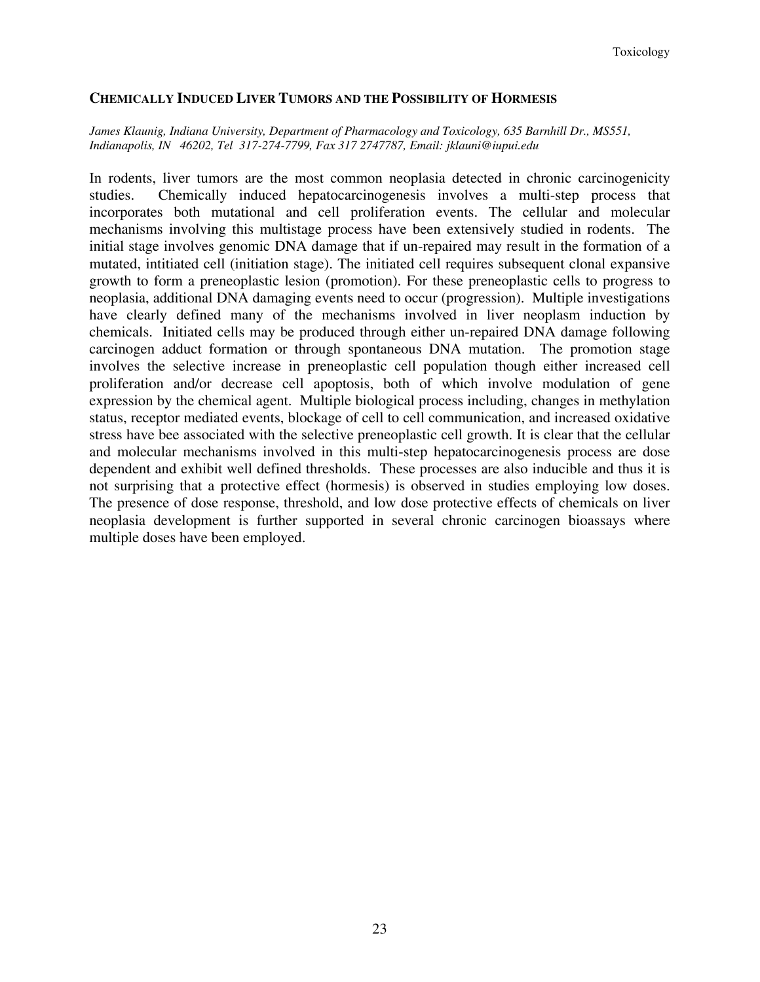#### **CHEMICALLY INDUCED LIVER TUMORS AND THE POSSIBILITY OF HORMESIS**

#### *James Klaunig, Indiana University, Department of Pharmacology and Toxicology, 635 Barnhill Dr., MS551, Indianapolis, IN 46202, Tel 317-274-7799, Fax 317 2747787, Email: jklauni@iupui.edu*

In rodents, liver tumors are the most common neoplasia detected in chronic carcinogenicity studies. Chemically induced hepatocarcinogenesis involves a multi-step process that incorporates both mutational and cell proliferation events. The cellular and molecular mechanisms involving this multistage process have been extensively studied in rodents. The initial stage involves genomic DNA damage that if un-repaired may result in the formation of a mutated, intitiated cell (initiation stage). The initiated cell requires subsequent clonal expansive growth to form a preneoplastic lesion (promotion). For these preneoplastic cells to progress to neoplasia, additional DNA damaging events need to occur (progression). Multiple investigations have clearly defined many of the mechanisms involved in liver neoplasm induction by chemicals. Initiated cells may be produced through either un-repaired DNA damage following carcinogen adduct formation or through spontaneous DNA mutation. The promotion stage involves the selective increase in preneoplastic cell population though either increased cell proliferation and/or decrease cell apoptosis, both of which involve modulation of gene expression by the chemical agent. Multiple biological process including, changes in methylation status, receptor mediated events, blockage of cell to cell communication, and increased oxidative stress have bee associated with the selective preneoplastic cell growth. It is clear that the cellular and molecular mechanisms involved in this multi-step hepatocarcinogenesis process are dose dependent and exhibit well defined thresholds. These processes are also inducible and thus it is not surprising that a protective effect (hormesis) is observed in studies employing low doses. The presence of dose response, threshold, and low dose protective effects of chemicals on liver neoplasia development is further supported in several chronic carcinogen bioassays where multiple doses have been employed.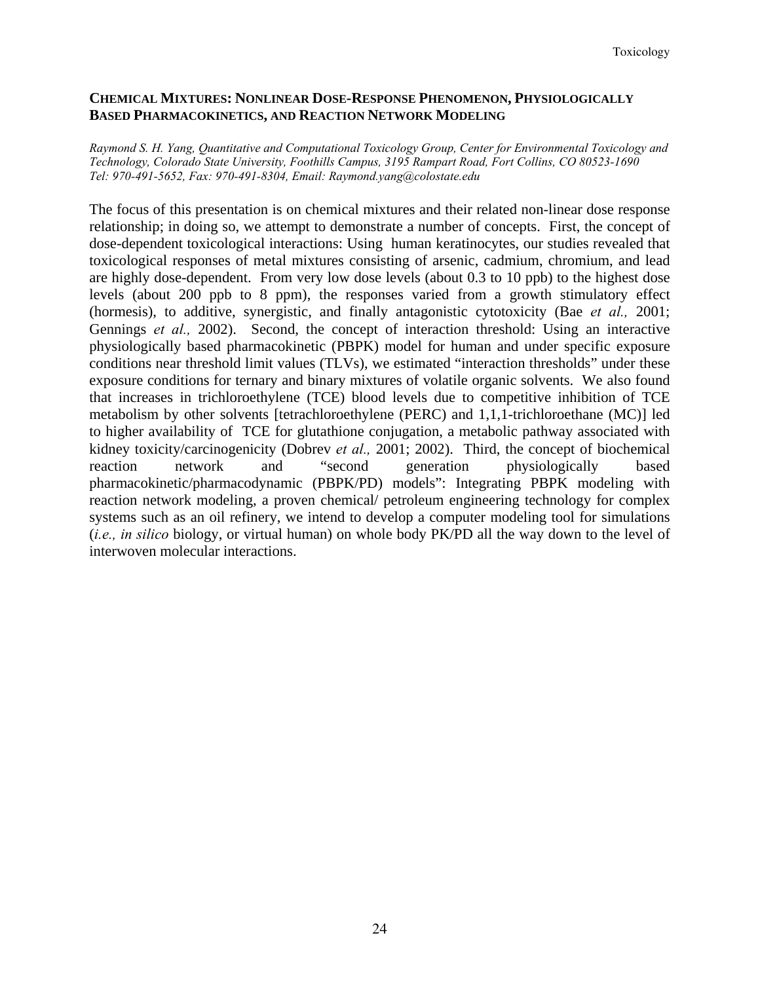## **CHEMICAL MIXTURES: NONLINEAR DOSE-RESPONSE PHENOMENON, PHYSIOLOGICALLY BASED PHARMACOKINETICS, AND REACTION NETWORK MODELING**

*Raymond S. H. Yang, Quantitative and Computational Toxicology Group, Center for Environmental Toxicology and Technology, Colorado State University, Foothills Campus, 3195 Rampart Road, Fort Collins, CO 80523-1690 Tel: 970-491-5652, Fax: 970-491-8304, Email: Raymond.yang@colostate.edu* 

The focus of this presentation is on chemical mixtures and their related non-linear dose response relationship; in doing so, we attempt to demonstrate a number of concepts. First, the concept of dose-dependent toxicological interactions: Using human keratinocytes, our studies revealed that toxicological responses of metal mixtures consisting of arsenic, cadmium, chromium, and lead are highly dose-dependent. From very low dose levels (about 0.3 to 10 ppb) to the highest dose levels (about 200 ppb to 8 ppm), the responses varied from a growth stimulatory effect (hormesis), to additive, synergistic, and finally antagonistic cytotoxicity (Bae *et al.,* 2001; Gennings *et al.,* 2002). Second, the concept of interaction threshold: Using an interactive physiologically based pharmacokinetic (PBPK) model for human and under specific exposure conditions near threshold limit values (TLVs), we estimated "interaction thresholds" under these exposure conditions for ternary and binary mixtures of volatile organic solvents. We also found that increases in trichloroethylene (TCE) blood levels due to competitive inhibition of TCE metabolism by other solvents [tetrachloroethylene (PERC) and 1,1,1-trichloroethane (MC)] led to higher availability of TCE for glutathione conjugation, a metabolic pathway associated with kidney toxicity/carcinogenicity (Dobrev *et al.,* 2001; 2002). Third, the concept of biochemical reaction network and "second generation physiologically based pharmacokinetic/pharmacodynamic (PBPK/PD) models": Integrating PBPK modeling with reaction network modeling, a proven chemical/ petroleum engineering technology for complex systems such as an oil refinery, we intend to develop a computer modeling tool for simulations (*i.e., in silico* biology, or virtual human) on whole body PK/PD all the way down to the level of interwoven molecular interactions.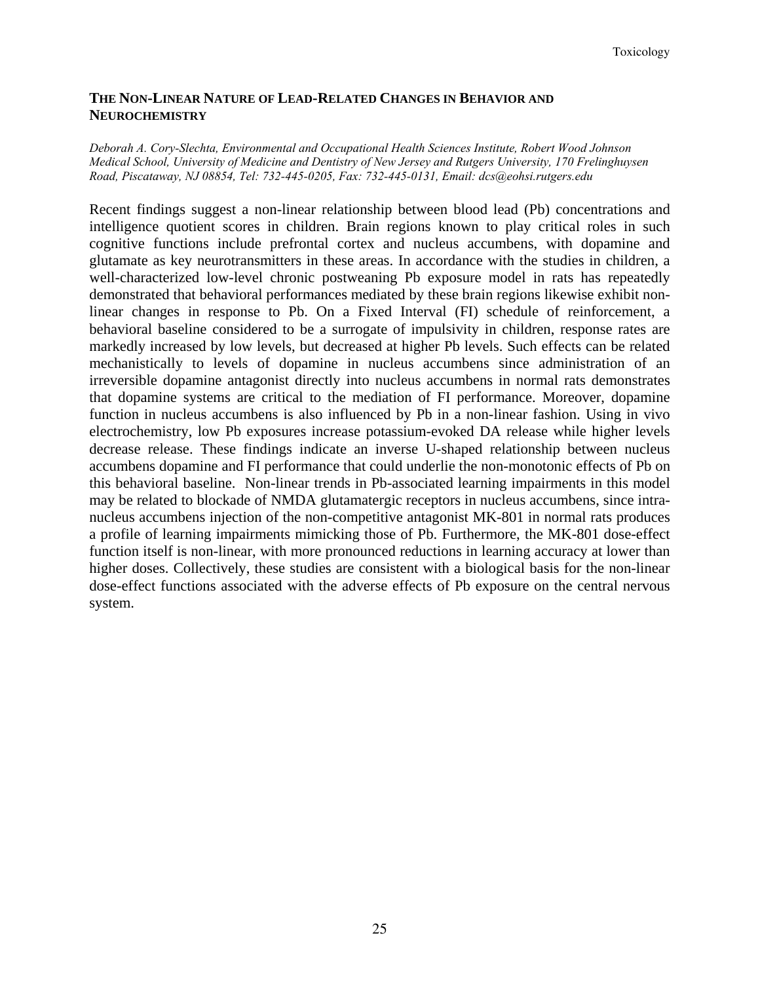## **THE NON-LINEAR NATURE OF LEAD-RELATED CHANGES IN BEHAVIOR AND NEUROCHEMISTRY**

#### *Deborah A. Cory-Slechta, Environmental and Occupational Health Sciences Institute, Robert Wood Johnson Medical School, University of Medicine and Dentistry of New Jersey and Rutgers University, 170 Frelinghuysen Road, Piscataway, NJ 08854, Tel: 732-445-0205, Fax: 732-445-0131, Email: dcs@eohsi.rutgers.edu*

Recent findings suggest a non-linear relationship between blood lead (Pb) concentrations and intelligence quotient scores in children. Brain regions known to play critical roles in such cognitive functions include prefrontal cortex and nucleus accumbens, with dopamine and glutamate as key neurotransmitters in these areas. In accordance with the studies in children, a well-characterized low-level chronic postweaning Pb exposure model in rats has repeatedly demonstrated that behavioral performances mediated by these brain regions likewise exhibit nonlinear changes in response to Pb. On a Fixed Interval (FI) schedule of reinforcement, a behavioral baseline considered to be a surrogate of impulsivity in children, response rates are markedly increased by low levels, but decreased at higher Pb levels. Such effects can be related mechanistically to levels of dopamine in nucleus accumbens since administration of an irreversible dopamine antagonist directly into nucleus accumbens in normal rats demonstrates that dopamine systems are critical to the mediation of FI performance. Moreover, dopamine function in nucleus accumbens is also influenced by Pb in a non-linear fashion. Using in vivo electrochemistry, low Pb exposures increase potassium-evoked DA release while higher levels decrease release. These findings indicate an inverse U-shaped relationship between nucleus accumbens dopamine and FI performance that could underlie the non-monotonic effects of Pb on this behavioral baseline. Non-linear trends in Pb-associated learning impairments in this model may be related to blockade of NMDA glutamatergic receptors in nucleus accumbens, since intranucleus accumbens injection of the non-competitive antagonist MK-801 in normal rats produces a profile of learning impairments mimicking those of Pb. Furthermore, the MK-801 dose-effect function itself is non-linear, with more pronounced reductions in learning accuracy at lower than higher doses. Collectively, these studies are consistent with a biological basis for the non-linear dose-effect functions associated with the adverse effects of Pb exposure on the central nervous system.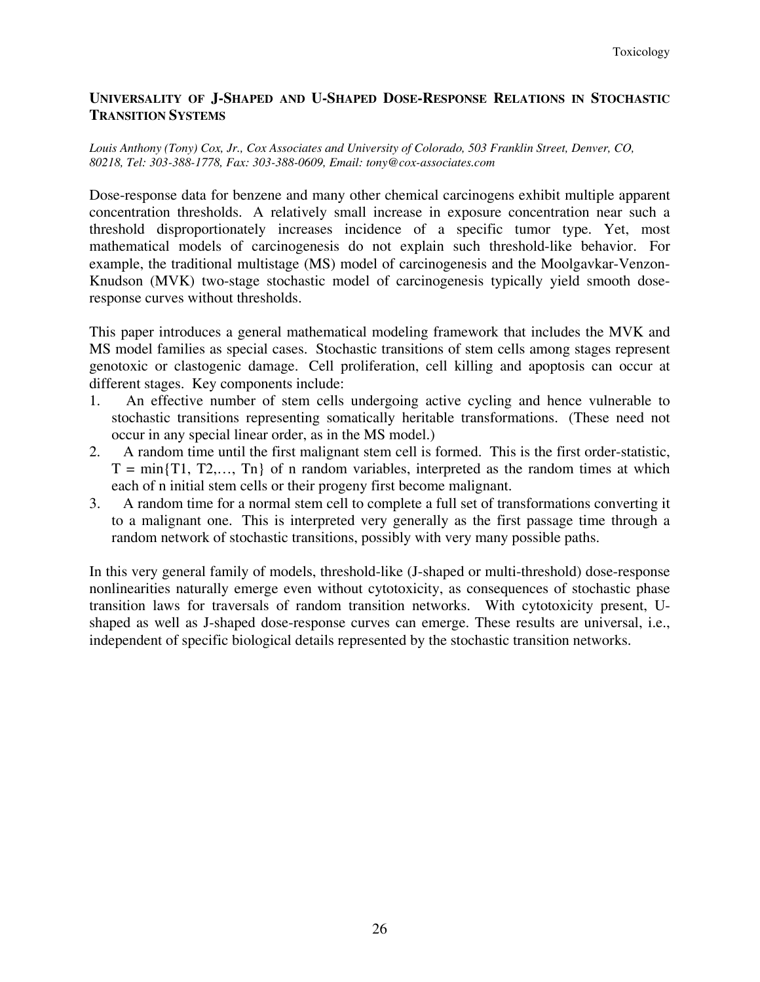## **UNIVERSALITY OF J-SHAPED AND U-SHAPED DOSE-RESPONSE RELATIONS IN STOCHASTIC TRANSITION SYSTEMS**

#### *Louis Anthony (Tony) Cox, Jr., Cox Associates and University of Colorado, 503 Franklin Street, Denver, CO, 80218, Tel: 303-388-1778, Fax: 303-388-0609, Email: tony@cox-associates.com*

Dose-response data for benzene and many other chemical carcinogens exhibit multiple apparent concentration thresholds. A relatively small increase in exposure concentration near such a threshold disproportionately increases incidence of a specific tumor type. Yet, most mathematical models of carcinogenesis do not explain such threshold-like behavior. For example, the traditional multistage (MS) model of carcinogenesis and the Moolgavkar-Venzon-Knudson (MVK) two-stage stochastic model of carcinogenesis typically yield smooth doseresponse curves without thresholds.

This paper introduces a general mathematical modeling framework that includes the MVK and MS model families as special cases. Stochastic transitions of stem cells among stages represent genotoxic or clastogenic damage. Cell proliferation, cell killing and apoptosis can occur at different stages. Key components include:

- 1. An effective number of stem cells undergoing active cycling and hence vulnerable to stochastic transitions representing somatically heritable transformations. (These need not occur in any special linear order, as in the MS model.)
- 2. A random time until the first malignant stem cell is formed. This is the first order-statistic,  $T = min\{T1, T2,..., Th\}$  of n random variables, interpreted as the random times at which each of n initial stem cells or their progeny first become malignant.
- 3. A random time for a normal stem cell to complete a full set of transformations converting it to a malignant one. This is interpreted very generally as the first passage time through a random network of stochastic transitions, possibly with very many possible paths.

In this very general family of models, threshold-like (J-shaped or multi-threshold) dose-response nonlinearities naturally emerge even without cytotoxicity, as consequences of stochastic phase transition laws for traversals of random transition networks. With cytotoxicity present, Ushaped as well as J-shaped dose-response curves can emerge. These results are universal, i.e., independent of specific biological details represented by the stochastic transition networks.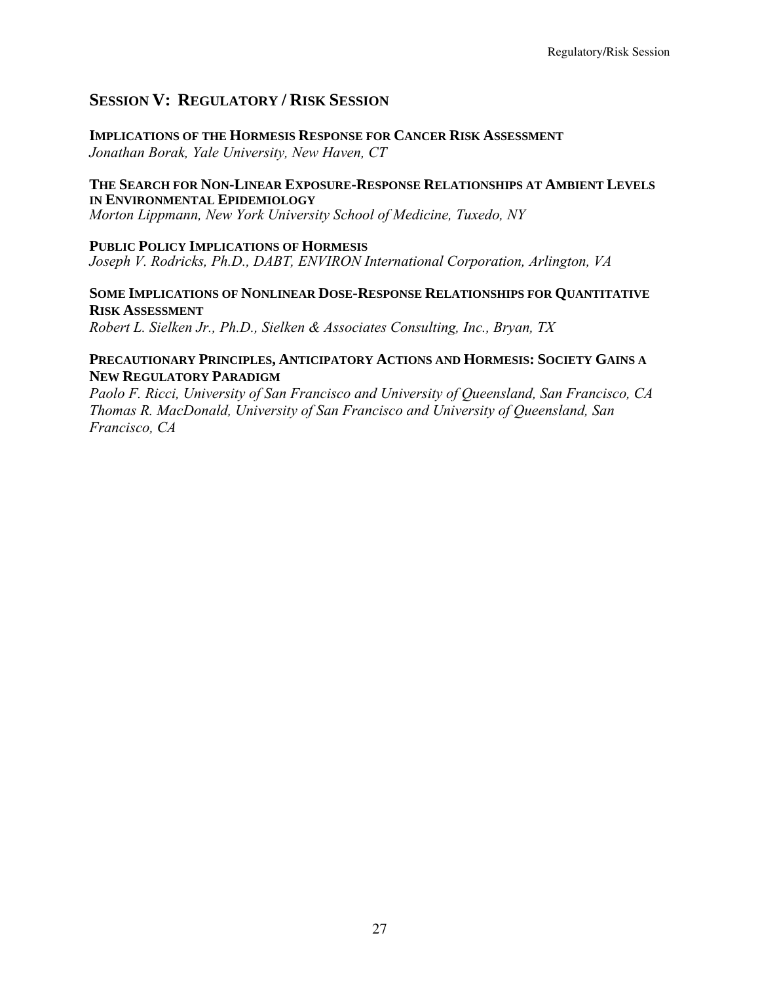## **SESSION V: REGULATORY / RISK SESSION**

**IMPLICATIONS OF THE HORMESIS RESPONSE FOR CANCER RISK ASSESSMENT** *Jonathan Borak, Yale University, New Haven, CT* 

## **THE SEARCH FOR NON-LINEAR EXPOSURE-RESPONSE RELATIONSHIPS AT AMBIENT LEVELS IN ENVIRONMENTAL EPIDEMIOLOGY**

*Morton Lippmann, New York University School of Medicine, Tuxedo, NY* 

## **PUBLIC POLICY IMPLICATIONS OF HORMESIS**

*Joseph V. Rodricks, Ph.D., DABT, ENVIRON International Corporation, Arlington, VA* 

## **SOME IMPLICATIONS OF NONLINEAR DOSE-RESPONSE RELATIONSHIPS FOR QUANTITATIVE RISK ASSESSMENT**

*Robert L. Sielken Jr., Ph.D., Sielken & Associates Consulting, Inc., Bryan, TX*

## **PRECAUTIONARY PRINCIPLES, ANTICIPATORY ACTIONS AND HORMESIS: SOCIETY GAINS A NEW REGULATORY PARADIGM**

*Paolo F. Ricci, University of San Francisco and University of Queensland, San Francisco, CA Thomas R. MacDonald, University of San Francisco and University of Queensland, San Francisco, CA*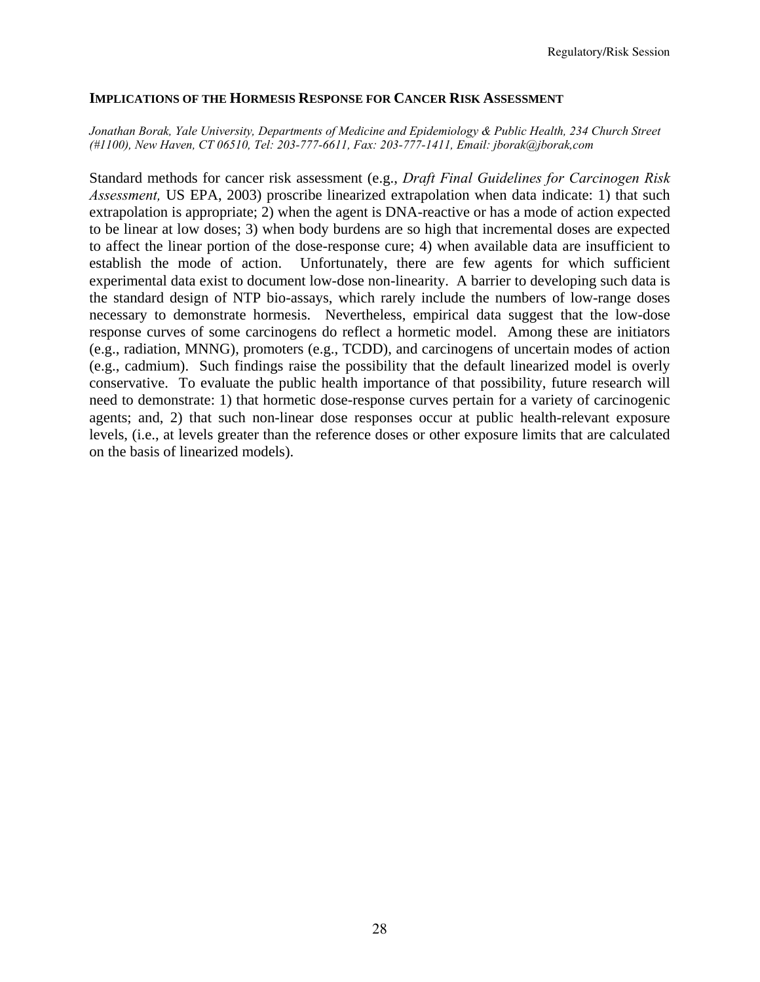#### **IMPLICATIONS OF THE HORMESIS RESPONSE FOR CANCER RISK ASSESSMENT**

#### *Jonathan Borak, Yale University, Departments of Medicine and Epidemiology & Public Health, 234 Church Street (#1100), New Haven, CT 06510, Tel: 203-777-6611, Fax: 203-777-1411, Email: jborak@jborak,com*

Standard methods for cancer risk assessment (e.g., *Draft Final Guidelines for Carcinogen Risk Assessment,* US EPA, 2003) proscribe linearized extrapolation when data indicate: 1) that such extrapolation is appropriate; 2) when the agent is DNA-reactive or has a mode of action expected to be linear at low doses; 3) when body burdens are so high that incremental doses are expected to affect the linear portion of the dose-response cure; 4) when available data are insufficient to establish the mode of action. Unfortunately, there are few agents for which sufficient experimental data exist to document low-dose non-linearity. A barrier to developing such data is the standard design of NTP bio-assays, which rarely include the numbers of low-range doses necessary to demonstrate hormesis. Nevertheless, empirical data suggest that the low-dose response curves of some carcinogens do reflect a hormetic model. Among these are initiators (e.g., radiation, MNNG), promoters (e.g., TCDD), and carcinogens of uncertain modes of action (e.g., cadmium). Such findings raise the possibility that the default linearized model is overly conservative. To evaluate the public health importance of that possibility, future research will need to demonstrate: 1) that hormetic dose-response curves pertain for a variety of carcinogenic agents; and, 2) that such non-linear dose responses occur at public health-relevant exposure levels, (i.e., at levels greater than the reference doses or other exposure limits that are calculated on the basis of linearized models).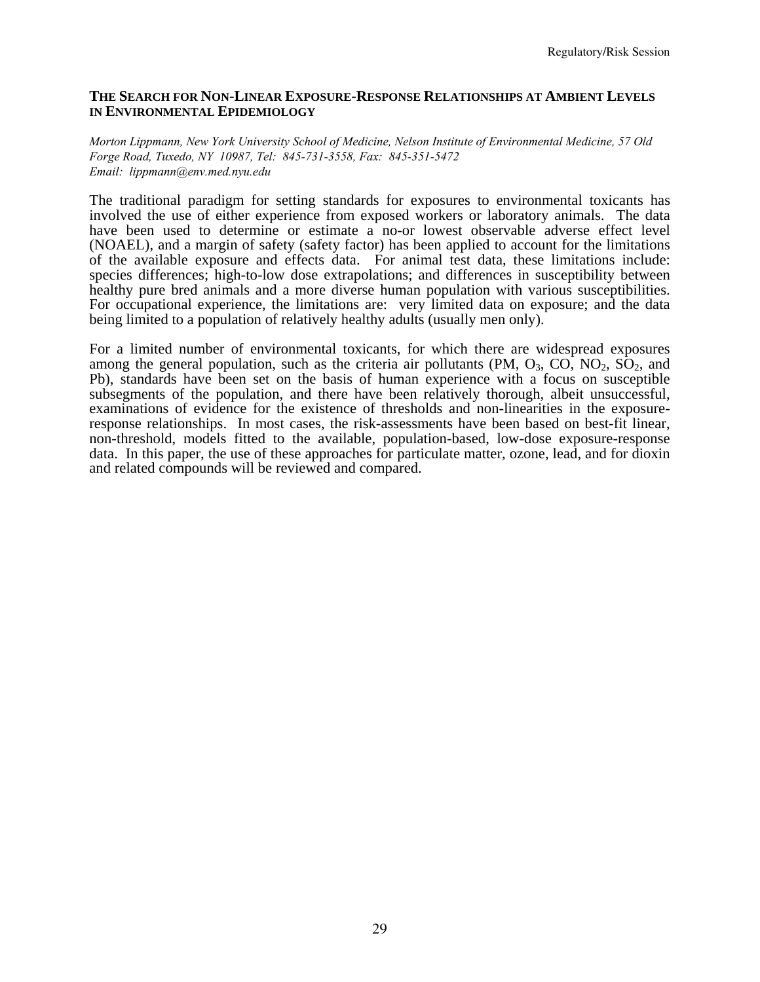#### **THE SEARCH FOR NON-LINEAR EXPOSURE-RESPONSE RELATIONSHIPS AT AMBIENT LEVELS IN ENVIRONMENTAL EPIDEMIOLOGY**

*Morton Lippmann, New York University School of Medicine, Nelson Institute of Environmental Medicine, 57 Old Forge Road, Tuxedo, NY 10987, Tel: 845-731-3558, Fax: 845-351-5472 Email: lippmann@env.med.nyu.edu* 

The traditional paradigm for setting standards for exposures to environmental toxicants has involved the use of either experience from exposed workers or laboratory animals. The data have been used to determine or estimate a no-or lowest observable adverse effect level (NOAEL), and a margin of safety (safety factor) has been applied to account for the limitations of the available exposure and effects data. For animal test data, these limitations include: species differences; high-to-low dose extrapolations; and differences in susceptibility between healthy pure bred animals and a more diverse human population with various susceptibilities. For occupational experience, the limitations are: very limited data on exposure; and the data being limited to a population of relatively healthy adults (usually men only).

For a limited number of environmental toxicants, for which there are widespread exposures among the general population, such as the criteria air pollutants (PM,  $O_3$ , CO, NO<sub>2</sub>, SO<sub>2</sub>, and Pb), standards have been set on the basis of human experience with a focus on susceptible subsegments of the population, and there have been relatively thorough, albeit unsuccessful, examinations of evidence for the existence of thresholds and non-linearities in the exposureresponse relationships. In most cases, the risk-assessments have been based on best-fit linear, non-threshold, models fitted to the available, population-based, low-dose exposure-response data. In this paper, the use of these approaches for particulate matter, ozone, lead, and for dioxin and related compounds will be reviewed and compared.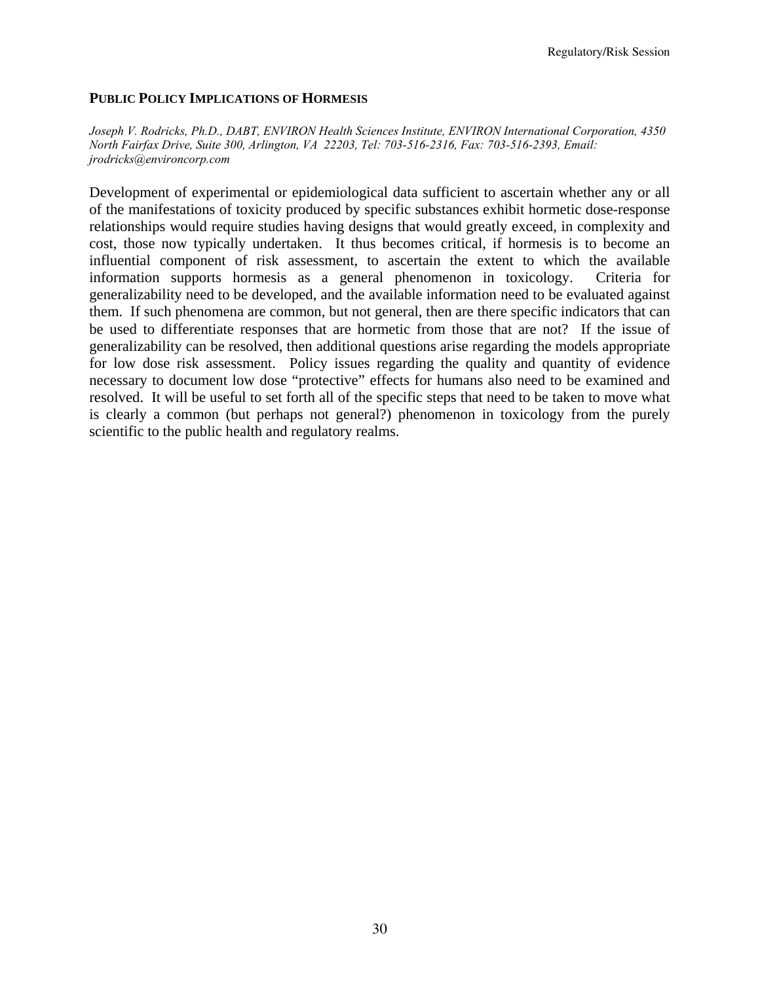Regulatory/Risk Session

## **PUBLIC POLICY IMPLICATIONS OF HORMESIS**

*Joseph V. Rodricks, Ph.D., DABT, ENVIRON Health Sciences Institute, ENVIRON International Corporation, 4350 North Fairfax Drive, Suite 300, Arlington, VA 22203, Tel: 703-516-2316, Fax: 703-516-2393, Email: jrodricks@environcorp.com* 

Development of experimental or epidemiological data sufficient to ascertain whether any or all of the manifestations of toxicity produced by specific substances exhibit hormetic dose-response relationships would require studies having designs that would greatly exceed, in complexity and cost, those now typically undertaken. It thus becomes critical, if hormesis is to become an influential component of risk assessment, to ascertain the extent to which the available information supports hormesis as a general phenomenon in toxicology. Criteria for generalizability need to be developed, and the available information need to be evaluated against them. If such phenomena are common, but not general, then are there specific indicators that can be used to differentiate responses that are hormetic from those that are not? If the issue of generalizability can be resolved, then additional questions arise regarding the models appropriate for low dose risk assessment. Policy issues regarding the quality and quantity of evidence necessary to document low dose "protective" effects for humans also need to be examined and resolved. It will be useful to set forth all of the specific steps that need to be taken to move what is clearly a common (but perhaps not general?) phenomenon in toxicology from the purely scientific to the public health and regulatory realms.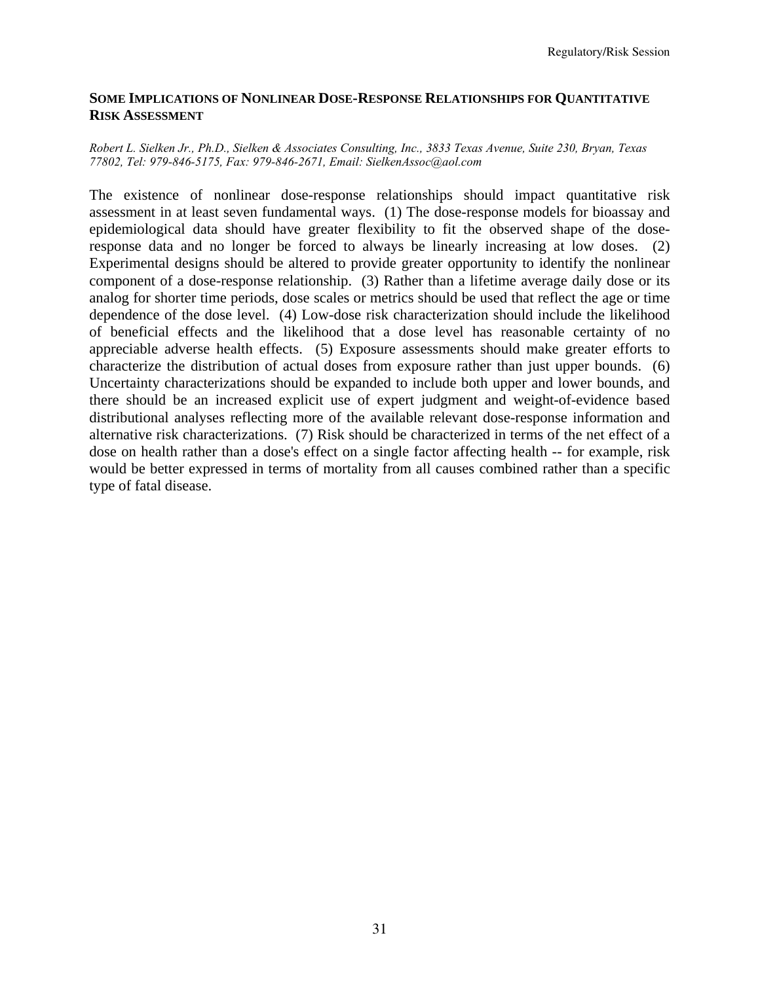## **SOME IMPLICATIONS OF NONLINEAR DOSE-RESPONSE RELATIONSHIPS FOR QUANTITATIVE RISK ASSESSMENT**

#### *Robert L. Sielken Jr., Ph.D., Sielken & Associates Consulting, Inc., 3833 Texas Avenue, Suite 230, Bryan, Texas 77802, Tel: 979-846-5175, Fax: 979-846-2671, Email: SielkenAssoc@aol.com*

The existence of nonlinear dose-response relationships should impact quantitative risk assessment in at least seven fundamental ways. (1) The dose-response models for bioassay and epidemiological data should have greater flexibility to fit the observed shape of the doseresponse data and no longer be forced to always be linearly increasing at low doses. (2) Experimental designs should be altered to provide greater opportunity to identify the nonlinear component of a dose-response relationship. (3) Rather than a lifetime average daily dose or its analog for shorter time periods, dose scales or metrics should be used that reflect the age or time dependence of the dose level. (4) Low-dose risk characterization should include the likelihood of beneficial effects and the likelihood that a dose level has reasonable certainty of no appreciable adverse health effects. (5) Exposure assessments should make greater efforts to characterize the distribution of actual doses from exposure rather than just upper bounds. (6) Uncertainty characterizations should be expanded to include both upper and lower bounds, and there should be an increased explicit use of expert judgment and weight-of-evidence based distributional analyses reflecting more of the available relevant dose-response information and alternative risk characterizations. (7) Risk should be characterized in terms of the net effect of a dose on health rather than a dose's effect on a single factor affecting health -- for example, risk would be better expressed in terms of mortality from all causes combined rather than a specific type of fatal disease.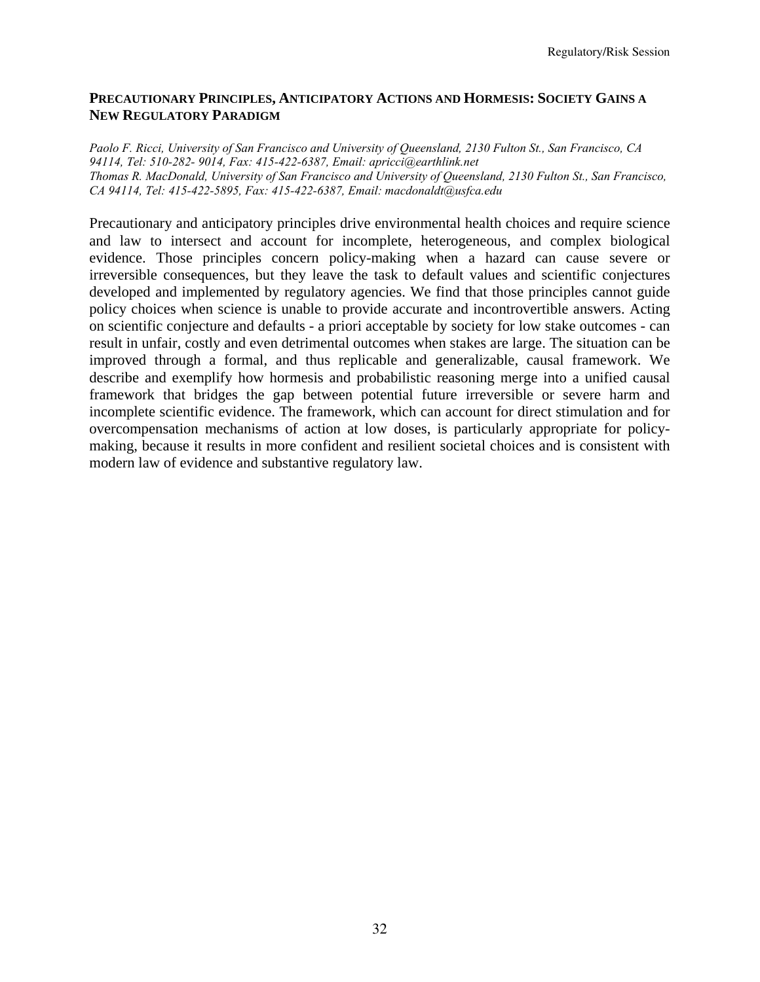## **PRECAUTIONARY PRINCIPLES, ANTICIPATORY ACTIONS AND HORMESIS: SOCIETY GAINS A NEW REGULATORY PARADIGM**

*Paolo F. Ricci, University of San Francisco and University of Queensland, 2130 Fulton St., San Francisco, CA 94114, Tel: 510-282- 9014, Fax: 415-422-6387, Email: apricci@earthlink.net Thomas R. MacDonald, University of San Francisco and University of Queensland, 2130 Fulton St., San Francisco, CA 94114, Tel: 415-422-5895, Fax: 415-422-6387, Email: macdonaldt@usfca.edu* 

Precautionary and anticipatory principles drive environmental health choices and require science and law to intersect and account for incomplete, heterogeneous, and complex biological evidence. Those principles concern policy-making when a hazard can cause severe or irreversible consequences, but they leave the task to default values and scientific conjectures developed and implemented by regulatory agencies. We find that those principles cannot guide policy choices when science is unable to provide accurate and incontrovertible answers. Acting on scientific conjecture and defaults - a priori acceptable by society for low stake outcomes - can result in unfair, costly and even detrimental outcomes when stakes are large. The situation can be improved through a formal, and thus replicable and generalizable, causal framework. We describe and exemplify how hormesis and probabilistic reasoning merge into a unified causal framework that bridges the gap between potential future irreversible or severe harm and incomplete scientific evidence. The framework, which can account for direct stimulation and for overcompensation mechanisms of action at low doses, is particularly appropriate for policymaking, because it results in more confident and resilient societal choices and is consistent with modern law of evidence and substantive regulatory law.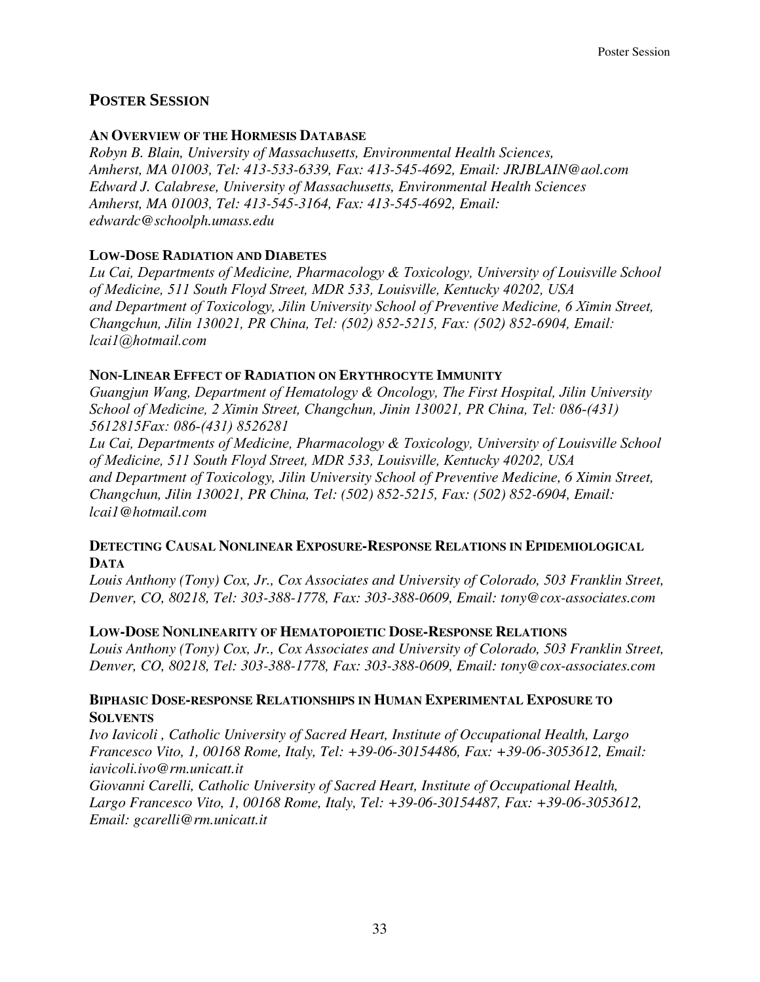# **POSTER SESSION**

## **AN OVERVIEW OF THE HORMESIS DATABASE**

*Robyn B. Blain, University of Massachusetts, Environmental Health Sciences, Amherst, MA 01003, Tel: 413-533-6339, Fax: 413-545-4692, Email: JRJBLAIN@aol.com Edward J. Calabrese, University of Massachusetts, Environmental Health Sciences Amherst, MA 01003, Tel: 413-545-3164, Fax: 413-545-4692, Email: edwardc@schoolph.umass.edu* 

## **LOW-DOSE RADIATION AND DIABETES**

*Lu Cai, Departments of Medicine, Pharmacology & Toxicology, University of Louisville School of Medicine, 511 South Floyd Street, MDR 533, Louisville, Kentucky 40202, USA and Department of Toxicology, Jilin University School of Preventive Medicine, 6 Ximin Street, Changchun, Jilin 130021, PR China, Tel: (502) 852-5215, Fax: (502) 852-6904, Email: lcai1@hotmail.com* 

## **NON-LINEAR EFFECT OF RADIATION ON ERYTHROCYTE IMMUNITY**

*Guangjun Wang, Department of Hematology & Oncology, The First Hospital, Jilin University School of Medicine, 2 Ximin Street, Changchun, Jinin 130021, PR China, Tel: 086-(431) 5612815Fax: 086-(431) 8526281* 

*Lu Cai, Departments of Medicine, Pharmacology & Toxicology, University of Louisville School of Medicine, 511 South Floyd Street, MDR 533, Louisville, Kentucky 40202, USA and Department of Toxicology, Jilin University School of Preventive Medicine, 6 Ximin Street, Changchun, Jilin 130021, PR China, Tel: (502) 852-5215, Fax: (502) 852-6904, Email: lcai1@hotmail.com* 

## **DETECTING CAUSAL NONLINEAR EXPOSURE-RESPONSE RELATIONS IN EPIDEMIOLOGICAL DATA**

*Louis Anthony (Tony) Cox, Jr., Cox Associates and University of Colorado, 503 Franklin Street, Denver, CO, 80218, Tel: 303-388-1778, Fax: 303-388-0609, Email: tony@cox-associates.com* 

## **LOW-DOSE NONLINEARITY OF HEMATOPOIETIC DOSE-RESPONSE RELATIONS**

*Louis Anthony (Tony) Cox, Jr., Cox Associates and University of Colorado, 503 Franklin Street, Denver, CO, 80218, Tel: 303-388-1778, Fax: 303-388-0609, Email: tony@cox-associates.com* 

## **BIPHASIC DOSE-RESPONSE RELATIONSHIPS IN HUMAN EXPERIMENTAL EXPOSURE TO SOLVENTS**

*Ivo Iavicoli , Catholic University of Sacred Heart, Institute of Occupational Health, Largo Francesco Vito, 1, 00168 Rome, Italy, Tel: +39-06-30154486, Fax: +39-06-3053612, Email: iavicoli.ivo@rm.unicatt.it* 

*Giovanni Carelli, Catholic University of Sacred Heart, Institute of Occupational Health, Largo Francesco Vito, 1, 00168 Rome, Italy, Tel: +39-06-30154487, Fax: +39-06-3053612, Email: gcarelli@rm.unicatt.it*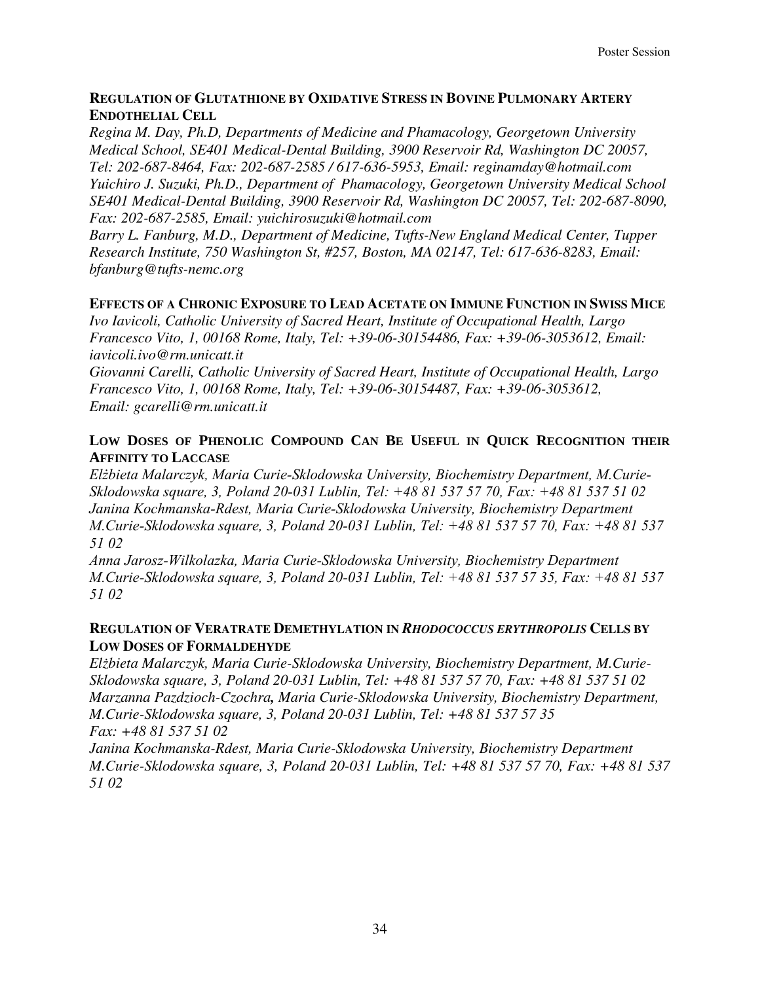## **REGULATION OF GLUTATHIONE BY OXIDATIVE STRESS IN BOVINE PULMONARY ARTERY ENDOTHELIAL CELL**

*Regina M. Day, Ph.D, Departments of Medicine and Phamacology, Georgetown University Medical School, SE401 Medical-Dental Building, 3900 Reservoir Rd, Washington DC 20057, Tel: 202-687-8464, Fax: 202-687-2585 / 617-636-5953, Email: reginamday@hotmail.com Yuichiro J. Suzuki, Ph.D., Department of Phamacology, Georgetown University Medical School SE401 Medical-Dental Building, 3900 Reservoir Rd, Washington DC 20057, Tel: 202-687-8090, Fax: 202-687-2585, Email: yuichirosuzuki@hotmail.com* 

*Barry L. Fanburg, M.D., Department of Medicine, Tufts-New England Medical Center, Tupper Research Institute, 750 Washington St, #257, Boston, MA 02147, Tel: 617-636-8283, Email: bfanburg@tufts-nemc.org* 

## **EFFECTS OF A CHRONIC EXPOSURE TO LEAD ACETATE ON IMMUNE FUNCTION IN SWISS MICE**

*Ivo Iavicoli, Catholic University of Sacred Heart, Institute of Occupational Health, Largo Francesco Vito, 1, 00168 Rome, Italy, Tel: +39-06-30154486, Fax: +39-06-3053612, Email: iavicoli.ivo@rm.unicatt.it* 

*Giovanni Carelli, Catholic University of Sacred Heart, Institute of Occupational Health, Largo Francesco Vito, 1, 00168 Rome, Italy, Tel: +39-06-30154487, Fax: +39-06-3053612, Email: gcarelli@rm.unicatt.it* 

## **LOW DOSES OF PHENOLIC COMPOUND CAN BE USEFUL IN QUICK RECOGNITION THEIR AFFINITY TO LACCASE**

*Elżbieta Malarczyk, Maria Curie-Sklodowska University, Biochemistry Department, M.Curie-Sklodowska square, 3, Poland 20-031 Lublin, Tel: +48 81 537 57 70, Fax: +48 81 537 51 02 Janina Kochmanska-Rdest, Maria Curie-Sklodowska University, Biochemistry Department M.Curie-Sklodowska square, 3, Poland 20-031 Lublin, Tel: +48 81 537 57 70, Fax: +48 81 537 51 02* 

*Anna Jarosz-Wilkolazka, Maria Curie-Sklodowska University, Biochemistry Department M.Curie-Sklodowska square, 3, Poland 20-031 Lublin, Tel: +48 81 537 57 35, Fax: +48 81 537 51 02* 

## **REGULATION OF VERATRATE DEMETHYLATION IN** *RHODOCOCCUS ERYTHROPOLIS* **CELLS BY LOW DOSES OF FORMALDEHYDE**

*Elżbieta Malarczyk, Maria Curie-Sklodowska University, Biochemistry Department, M.Curie-Sklodowska square, 3, Poland 20-031 Lublin, Tel: +48 81 537 57 70, Fax: +48 81 537 51 02 Marzanna Pazdzioch-Czochra, Maria Curie-Sklodowska University, Biochemistry Department, M.Curie-Sklodowska square, 3, Poland 20-031 Lublin, Tel: +48 81 537 57 35 Fax: +48 81 537 51 02* 

*Janina Kochmanska-Rdest, Maria Curie-Sklodowska University, Biochemistry Department M.Curie-Sklodowska square, 3, Poland 20-031 Lublin, Tel: +48 81 537 57 70, Fax: +48 81 537 51 02*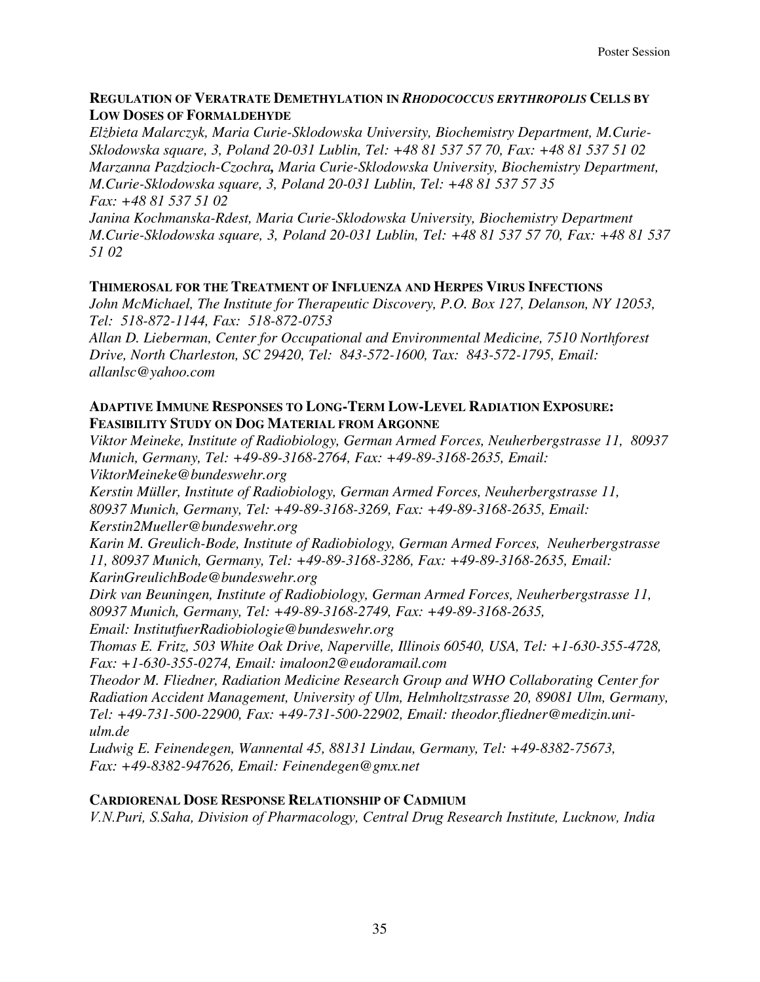## **REGULATION OF VERATRATE DEMETHYLATION IN** *RHODOCOCCUS ERYTHROPOLIS* **CELLS BY LOW DOSES OF FORMALDEHYDE**

*Elżbieta Malarczyk, Maria Curie-Sklodowska University, Biochemistry Department, M.Curie-Sklodowska square, 3, Poland 20-031 Lublin, Tel: +48 81 537 57 70, Fax: +48 81 537 51 02 Marzanna Pazdzioch-Czochra, Maria Curie-Sklodowska University, Biochemistry Department, M.Curie-Sklodowska square, 3, Poland 20-031 Lublin, Tel: +48 81 537 57 35 Fax: +48 81 537 51 02* 

*Janina Kochmanska-Rdest, Maria Curie-Sklodowska University, Biochemistry Department M.Curie-Sklodowska square, 3, Poland 20-031 Lublin, Tel: +48 81 537 57 70, Fax: +48 81 537 51 02* 

## **THIMEROSAL FOR THE TREATMENT OF INFLUENZA AND HERPES VIRUS INFECTIONS**

*John McMichael, The Institute for Therapeutic Discovery, P.O. Box 127, Delanson, NY 12053, Tel: 518-872-1144, Fax: 518-872-0753* 

*Allan D. Lieberman, Center for Occupational and Environmental Medicine, 7510 Northforest Drive, North Charleston, SC 29420, Tel: 843-572-1600, Tax: 843-572-1795, Email: allanlsc@yahoo.com* 

## **ADAPTIVE IMMUNE RESPONSES TO LONG-TERM LOW-LEVEL RADIATION EXPOSURE: FEASIBILITY STUDY ON DOG MATERIAL FROM ARGONNE**

*Viktor Meineke, Institute of Radiobiology, German Armed Forces, Neuherbergstrasse 11, 80937 Munich, Germany, Tel: +49-89-3168-2764, Fax: +49-89-3168-2635, Email:* 

*ViktorMeineke@bundeswehr.org* 

*Kerstin Müller, Institute of Radiobiology, German Armed Forces, Neuherbergstrasse 11, 80937 Munich, Germany, Tel: +49-89-3168-3269, Fax: +49-89-3168-2635, Email: Kerstin2Mueller@bundeswehr.org* 

*Karin M. Greulich-Bode, Institute of Radiobiology, German Armed Forces, Neuherbergstrasse 11, 80937 Munich, Germany, Tel: +49-89-3168-3286, Fax: +49-89-3168-2635, Email: KarinGreulichBode@bundeswehr.org* 

*Dirk van Beuningen, Institute of Radiobiology, German Armed Forces, Neuherbergstrasse 11, 80937 Munich, Germany, Tel: +49-89-3168-2749, Fax: +49-89-3168-2635,* 

*Email: InstitutfuerRadiobiologie@bundeswehr.org* 

*Thomas E. Fritz, 503 White Oak Drive, Naperville, Illinois 60540, USA, Tel: +1-630-355-4728, Fax: +1-630-355-0274, Email: imaloon2@eudoramail.com* 

*Theodor M. Fliedner, Radiation Medicine Research Group and WHO Collaborating Center for Radiation Accident Management, University of Ulm, Helmholtzstrasse 20, 89081 Ulm, Germany, Tel: +49-731-500-22900, Fax: +49-731-500-22902, Email: theodor.fliedner@medizin.uniulm.de* 

*Ludwig E. Feinendegen, Wannental 45, 88131 Lindau, Germany, Tel: +49-8382-75673, Fax: +49-8382-947626, Email: Feinendegen@gmx.net* 

## **CARDIORENAL DOSE RESPONSE RELATIONSHIP OF CADMIUM**

*V.N.Puri, S.Saha, Division of Pharmacology, Central Drug Research Institute, Lucknow, India*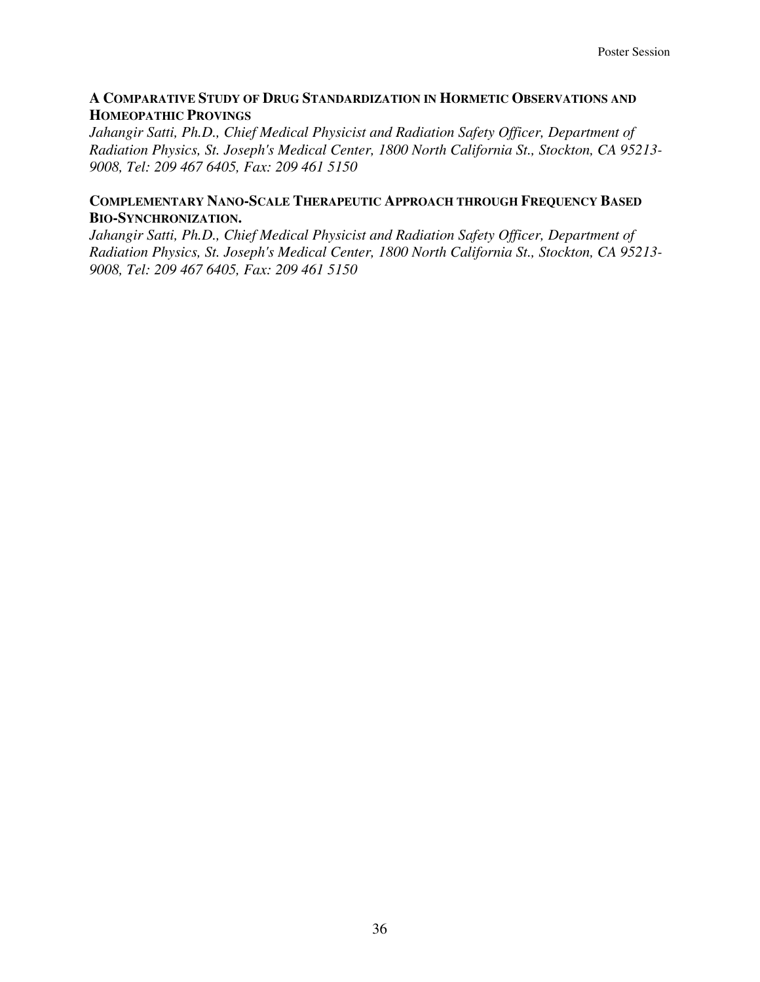## **A COMPARATIVE STUDY OF DRUG STANDARDIZATION IN HORMETIC OBSERVATIONS AND HOMEOPATHIC PROVINGS**

*Jahangir Satti, Ph.D., Chief Medical Physicist and Radiation Safety Officer, Department of Radiation Physics, St. Joseph's Medical Center, 1800 North California St., Stockton, CA 95213- 9008, Tel: 209 467 6405, Fax: 209 461 5150* 

## **COMPLEMENTARY NANO-SCALE THERAPEUTIC APPROACH THROUGH FREQUENCY BASED BIO-SYNCHRONIZATION.**

*Jahangir Satti, Ph.D., Chief Medical Physicist and Radiation Safety Officer, Department of Radiation Physics, St. Joseph's Medical Center, 1800 North California St., Stockton, CA 95213- 9008, Tel: 209 467 6405, Fax: 209 461 5150*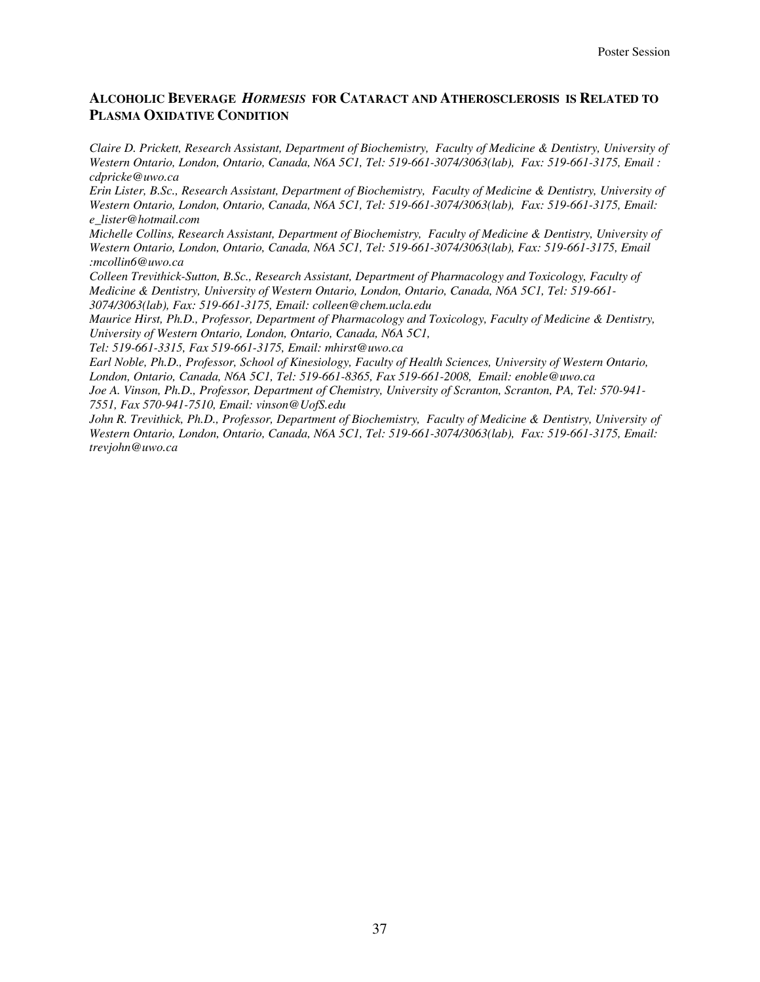## **ALCOHOLIC BEVERAGE** *HORMESIS* **FOR CATARACT AND ATHEROSCLEROSIS IS RELATED TO PLASMA OXIDATIVE CONDITION**

*Claire D. Prickett, Research Assistant, Department of Biochemistry, Faculty of Medicine & Dentistry, University of Western Ontario, London, Ontario, Canada, N6A 5C1, Tel: 519-661-3074/3063(lab), Fax: 519-661-3175, Email : cdpricke@uwo.ca* 

*Erin Lister, B.Sc., Research Assistant, Department of Biochemistry, Faculty of Medicine & Dentistry, University of Western Ontario, London, Ontario, Canada, N6A 5C1, Tel: 519-661-3074/3063(lab), Fax: 519-661-3175, Email: e\_lister@hotmail.com* 

*Michelle Collins, Research Assistant, Department of Biochemistry, Faculty of Medicine & Dentistry, University of Western Ontario, London, Ontario, Canada, N6A 5C1, Tel: 519-661-3074/3063(lab), Fax: 519-661-3175, Email :mcollin6@uwo.ca* 

*Colleen Trevithick-Sutton, B.Sc., Research Assistant, Department of Pharmacology and Toxicology, Faculty of Medicine & Dentistry, University of Western Ontario, London, Ontario, Canada, N6A 5C1, Tel: 519-661- 3074/3063(lab), Fax: 519-661-3175, Email: colleen@chem.ucla.edu* 

*Maurice Hirst, Ph.D., Professor, Department of Pharmacology and Toxicology, Faculty of Medicine & Dentistry, University of Western Ontario, London, Ontario, Canada, N6A 5C1,* 

*Tel: 519-661-3315, Fax 519-661-3175, Email: mhirst@uwo.ca* 

*Earl Noble, Ph.D., Professor, School of Kinesiology, Faculty of Health Sciences, University of Western Ontario, London, Ontario, Canada, N6A 5C1, Tel: 519-661-8365, Fax 519-661-2008, Email: enoble@uwo.ca Joe A. Vinson, Ph.D., Professor, Department of Chemistry, University of Scranton, Scranton, PA, Tel: 570-941-*

*7551, Fax 570-941-7510, Email: vinson@UofS.edu*

*John R. Trevithick, Ph.D., Professor, Department of Biochemistry, Faculty of Medicine & Dentistry, University of Western Ontario, London, Ontario, Canada, N6A 5C1, Tel: 519-661-3074/3063(lab), Fax: 519-661-3175, Email: trevjohn@uwo.ca*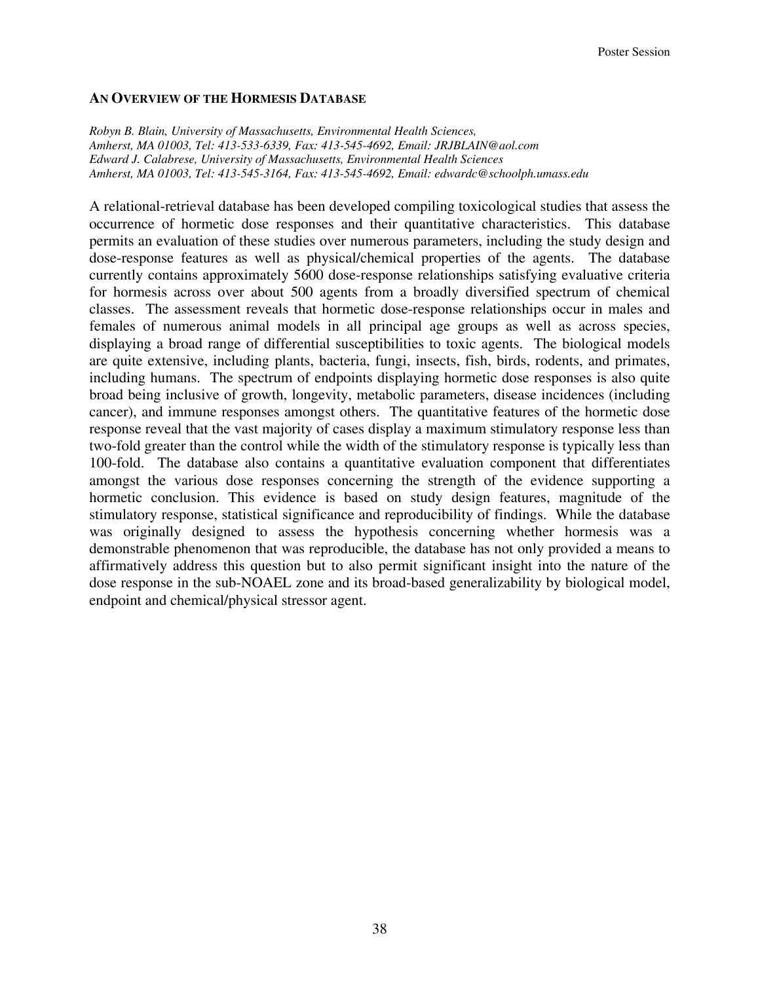#### **AN OVERVIEW OF THE HORMESIS DATABASE**

*Robyn B. Blain, University of Massachusetts, Environmental Health Sciences, Amherst, MA 01003, Tel: 413-533-6339, Fax: 413-545-4692, Email: JRJBLAIN@aol.com Edward J. Calabrese, University of Massachusetts, Environmental Health Sciences Amherst, MA 01003, Tel: 413-545-3164, Fax: 413-545-4692, Email: edwardc@schoolph.umass.edu* 

A relational-retrieval database has been developed compiling toxicological studies that assess the occurrence of hormetic dose responses and their quantitative characteristics. This database permits an evaluation of these studies over numerous parameters, including the study design and dose-response features as well as physical/chemical properties of the agents. The database currently contains approximately 5600 dose-response relationships satisfying evaluative criteria for hormesis across over about 500 agents from a broadly diversified spectrum of chemical classes. The assessment reveals that hormetic dose-response relationships occur in males and females of numerous animal models in all principal age groups as well as across species, displaying a broad range of differential susceptibilities to toxic agents. The biological models are quite extensive, including plants, bacteria, fungi, insects, fish, birds, rodents, and primates, including humans. The spectrum of endpoints displaying hormetic dose responses is also quite broad being inclusive of growth, longevity, metabolic parameters, disease incidences (including cancer), and immune responses amongst others. The quantitative features of the hormetic dose response reveal that the vast majority of cases display a maximum stimulatory response less than two-fold greater than the control while the width of the stimulatory response is typically less than 100-fold. The database also contains a quantitative evaluation component that differentiates amongst the various dose responses concerning the strength of the evidence supporting a hormetic conclusion. This evidence is based on study design features, magnitude of the stimulatory response, statistical significance and reproducibility of findings. While the database was originally designed to assess the hypothesis concerning whether hormesis was a demonstrable phenomenon that was reproducible, the database has not only provided a means to affirmatively address this question but to also permit significant insight into the nature of the dose response in the sub-NOAEL zone and its broad-based generalizability by biological model, endpoint and chemical/physical stressor agent.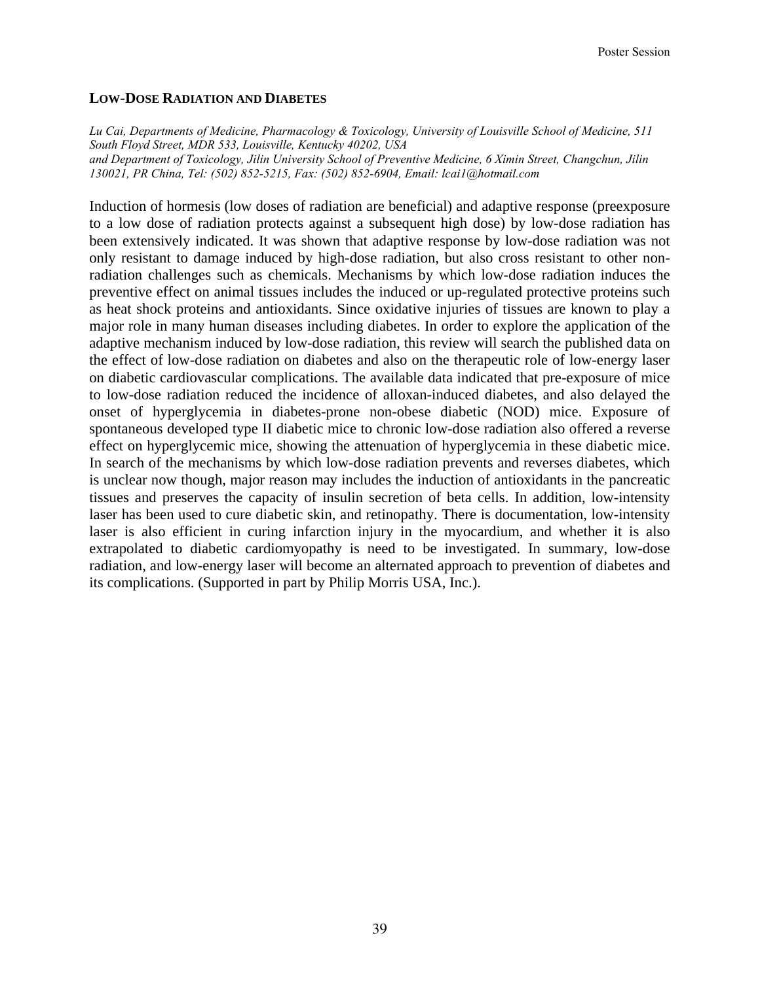## **LOW-DOSE RADIATION AND DIABETES**

*Lu Cai, Departments of Medicine, Pharmacology & Toxicology, University of Louisville School of Medicine, 511 South Floyd Street, MDR 533, Louisville, Kentucky 40202, USA and Department of Toxicology, Jilin University School of Preventive Medicine, 6 Ximin Street, Changchun, Jilin 130021, PR China, Tel: (502) 852-5215, Fax: (502) 852-6904, Email: lcai1@hotmail.com* 

Induction of hormesis (low doses of radiation are beneficial) and adaptive response (preexposure to a low dose of radiation protects against a subsequent high dose) by low-dose radiation has been extensively indicated. It was shown that adaptive response by low-dose radiation was not only resistant to damage induced by high-dose radiation, but also cross resistant to other nonradiation challenges such as chemicals. Mechanisms by which low-dose radiation induces the preventive effect on animal tissues includes the induced or up-regulated protective proteins such as heat shock proteins and antioxidants. Since oxidative injuries of tissues are known to play a major role in many human diseases including diabetes. In order to explore the application of the adaptive mechanism induced by low-dose radiation, this review will search the published data on the effect of low-dose radiation on diabetes and also on the therapeutic role of low-energy laser on diabetic cardiovascular complications. The available data indicated that pre-exposure of mice to low-dose radiation reduced the incidence of alloxan-induced diabetes, and also delayed the onset of hyperglycemia in diabetes-prone non-obese diabetic (NOD) mice. Exposure of spontaneous developed type II diabetic mice to chronic low-dose radiation also offered a reverse effect on hyperglycemic mice, showing the attenuation of hyperglycemia in these diabetic mice. In search of the mechanisms by which low-dose radiation prevents and reverses diabetes, which is unclear now though, major reason may includes the induction of antioxidants in the pancreatic tissues and preserves the capacity of insulin secretion of beta cells. In addition, low-intensity laser has been used to cure diabetic skin, and retinopathy. There is documentation, low-intensity laser is also efficient in curing infarction injury in the myocardium, and whether it is also extrapolated to diabetic cardiomyopathy is need to be investigated. In summary, low-dose radiation, and low-energy laser will become an alternated approach to prevention of diabetes and its complications. (Supported in part by Philip Morris USA, Inc.).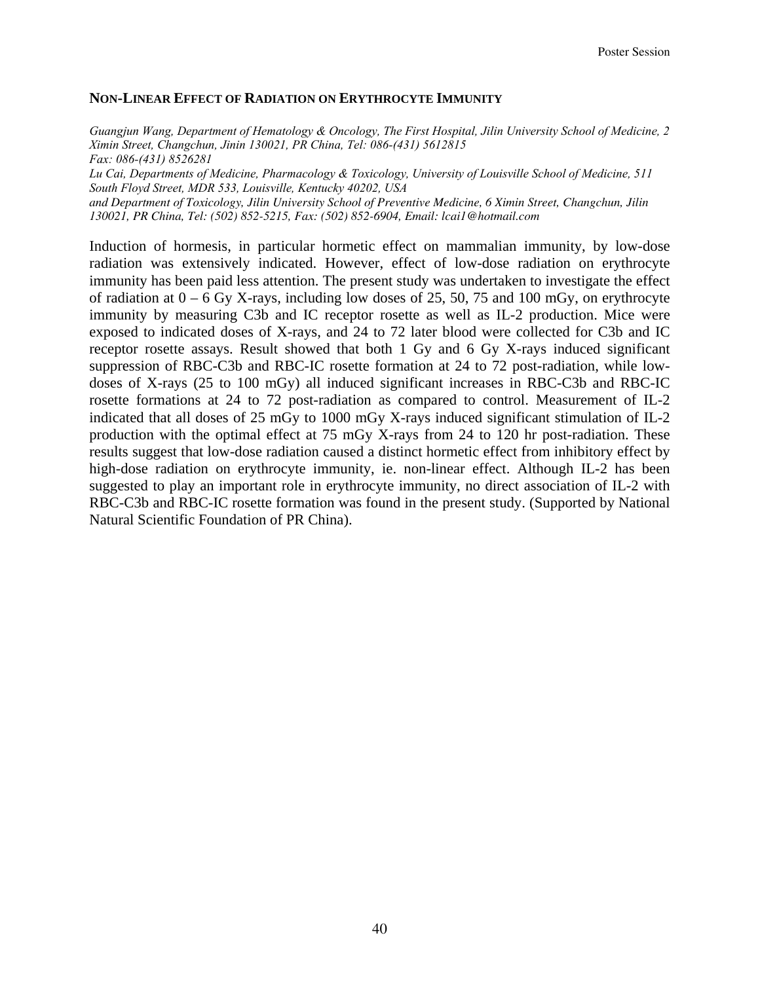#### **NON-LINEAR EFFECT OF RADIATION ON ERYTHROCYTE IMMUNITY**

*Guangjun Wang, Department of Hematology & Oncology, The First Hospital, Jilin University School of Medicine, 2 Ximin Street, Changchun, Jinin 130021, PR China, Tel: 086-(431) 5612815 Fax: 086-(431) 8526281 Lu Cai, Departments of Medicine, Pharmacology & Toxicology, University of Louisville School of Medicine, 511 South Floyd Street, MDR 533, Louisville, Kentucky 40202, USA and Department of Toxicology, Jilin University School of Preventive Medicine, 6 Ximin Street, Changchun, Jilin 130021, PR China, Tel: (502) 852-5215, Fax: (502) 852-6904, Email: lcai1@hotmail.com* 

Induction of hormesis, in particular hormetic effect on mammalian immunity, by low-dose radiation was extensively indicated. However, effect of low-dose radiation on erythrocyte immunity has been paid less attention. The present study was undertaken to investigate the effect of radiation at  $0 - 6$  Gy X-rays, including low doses of 25, 50, 75 and 100 mGy, on erythrocyte immunity by measuring C3b and IC receptor rosette as well as IL-2 production. Mice were exposed to indicated doses of X-rays, and 24 to 72 later blood were collected for C3b and IC receptor rosette assays. Result showed that both 1 Gy and 6 Gy X-rays induced significant suppression of RBC-C3b and RBC-IC rosette formation at 24 to 72 post-radiation, while lowdoses of X-rays (25 to 100 mGy) all induced significant increases in RBC-C3b and RBC-IC rosette formations at 24 to 72 post-radiation as compared to control. Measurement of IL-2 indicated that all doses of 25 mGy to 1000 mGy X-rays induced significant stimulation of IL-2 production with the optimal effect at 75 mGy X-rays from 24 to 120 hr post-radiation. These results suggest that low-dose radiation caused a distinct hormetic effect from inhibitory effect by high-dose radiation on erythrocyte immunity, ie. non-linear effect. Although IL-2 has been suggested to play an important role in erythrocyte immunity, no direct association of IL-2 with RBC-C3b and RBC-IC rosette formation was found in the present study. (Supported by National Natural Scientific Foundation of PR China).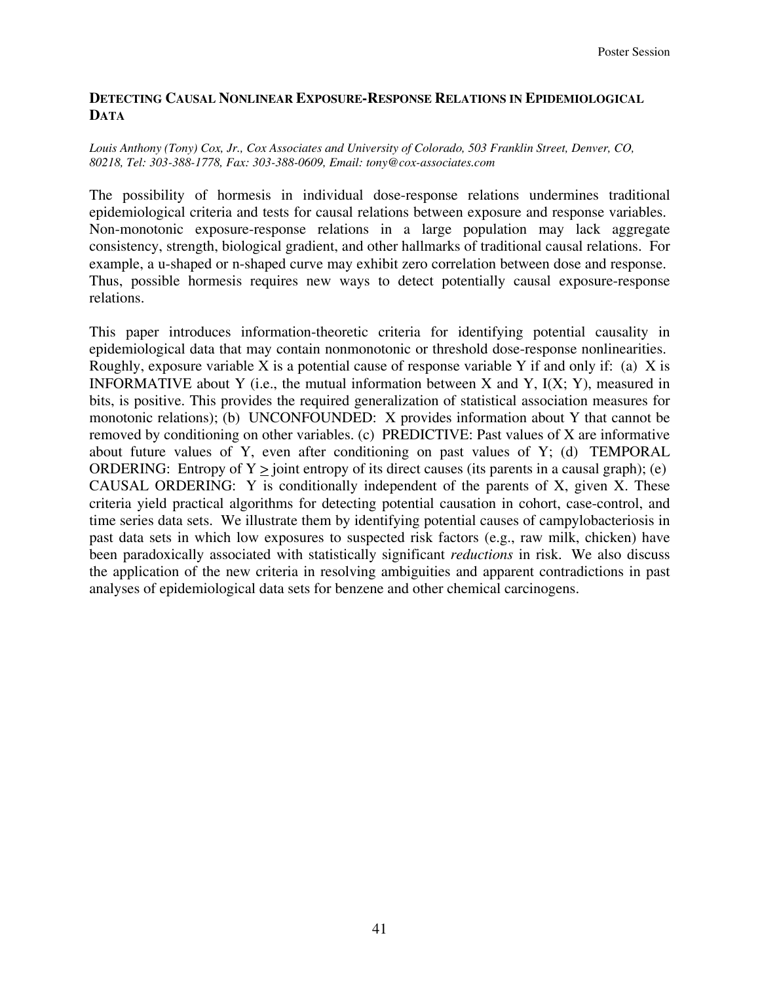## **DETECTING CAUSAL NONLINEAR EXPOSURE-RESPONSE RELATIONS IN EPIDEMIOLOGICAL DATA**

#### *Louis Anthony (Tony) Cox, Jr., Cox Associates and University of Colorado, 503 Franklin Street, Denver, CO, 80218, Tel: 303-388-1778, Fax: 303-388-0609, Email: tony@cox-associates.com*

The possibility of hormesis in individual dose-response relations undermines traditional epidemiological criteria and tests for causal relations between exposure and response variables. Non-monotonic exposure-response relations in a large population may lack aggregate consistency, strength, biological gradient, and other hallmarks of traditional causal relations. For example, a u-shaped or n-shaped curve may exhibit zero correlation between dose and response. Thus, possible hormesis requires new ways to detect potentially causal exposure-response relations.

This paper introduces information-theoretic criteria for identifying potential causality in epidemiological data that may contain nonmonotonic or threshold dose-response nonlinearities. Roughly, exposure variable X is a potential cause of response variable Y if and only if: (a) X is INFORMATIVE about Y (i.e., the mutual information between X and Y,  $I(X; Y)$ , measured in bits, is positive. This provides the required generalization of statistical association measures for monotonic relations); (b) UNCONFOUNDED: X provides information about Y that cannot be removed by conditioning on other variables. (c) PREDICTIVE: Past values of X are informative about future values of Y, even after conditioning on past values of Y; (d) TEMPORAL ORDERING: Entropy of  $Y >$  joint entropy of its direct causes (its parents in a causal graph); (e) CAUSAL ORDERING: Y is conditionally independent of the parents of X, given X. These criteria yield practical algorithms for detecting potential causation in cohort, case-control, and time series data sets. We illustrate them by identifying potential causes of campylobacteriosis in past data sets in which low exposures to suspected risk factors (e.g., raw milk, chicken) have been paradoxically associated with statistically significant *reductions* in risk. We also discuss the application of the new criteria in resolving ambiguities and apparent contradictions in past analyses of epidemiological data sets for benzene and other chemical carcinogens.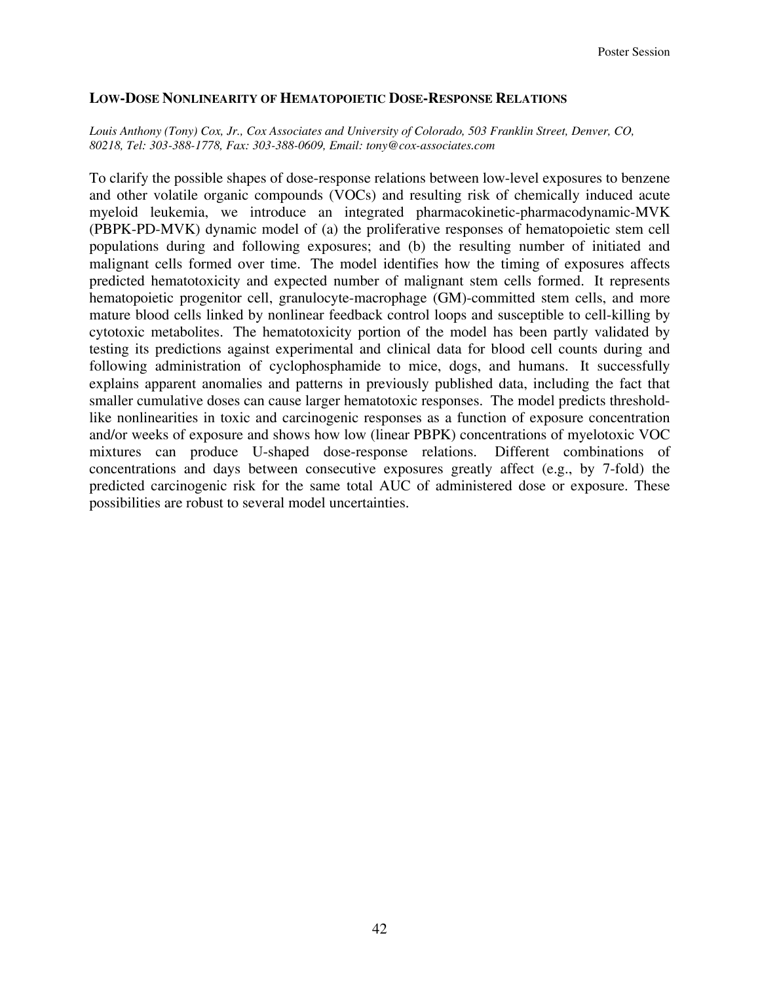#### **LOW-DOSE NONLINEARITY OF HEMATOPOIETIC DOSE-RESPONSE RELATIONS**

#### *Louis Anthony (Tony) Cox, Jr., Cox Associates and University of Colorado, 503 Franklin Street, Denver, CO, 80218, Tel: 303-388-1778, Fax: 303-388-0609, Email: tony@cox-associates.com*

To clarify the possible shapes of dose-response relations between low-level exposures to benzene and other volatile organic compounds (VOCs) and resulting risk of chemically induced acute myeloid leukemia, we introduce an integrated pharmacokinetic-pharmacodynamic-MVK (PBPK-PD-MVK) dynamic model of (a) the proliferative responses of hematopoietic stem cell populations during and following exposures; and (b) the resulting number of initiated and malignant cells formed over time. The model identifies how the timing of exposures affects predicted hematotoxicity and expected number of malignant stem cells formed. It represents hematopoietic progenitor cell, granulocyte-macrophage (GM)-committed stem cells, and more mature blood cells linked by nonlinear feedback control loops and susceptible to cell-killing by cytotoxic metabolites. The hematotoxicity portion of the model has been partly validated by testing its predictions against experimental and clinical data for blood cell counts during and following administration of cyclophosphamide to mice, dogs, and humans. It successfully explains apparent anomalies and patterns in previously published data, including the fact that smaller cumulative doses can cause larger hematotoxic responses. The model predicts thresholdlike nonlinearities in toxic and carcinogenic responses as a function of exposure concentration and/or weeks of exposure and shows how low (linear PBPK) concentrations of myelotoxic VOC mixtures can produce U-shaped dose-response relations. Different combinations of concentrations and days between consecutive exposures greatly affect (e.g., by 7-fold) the predicted carcinogenic risk for the same total AUC of administered dose or exposure. These possibilities are robust to several model uncertainties.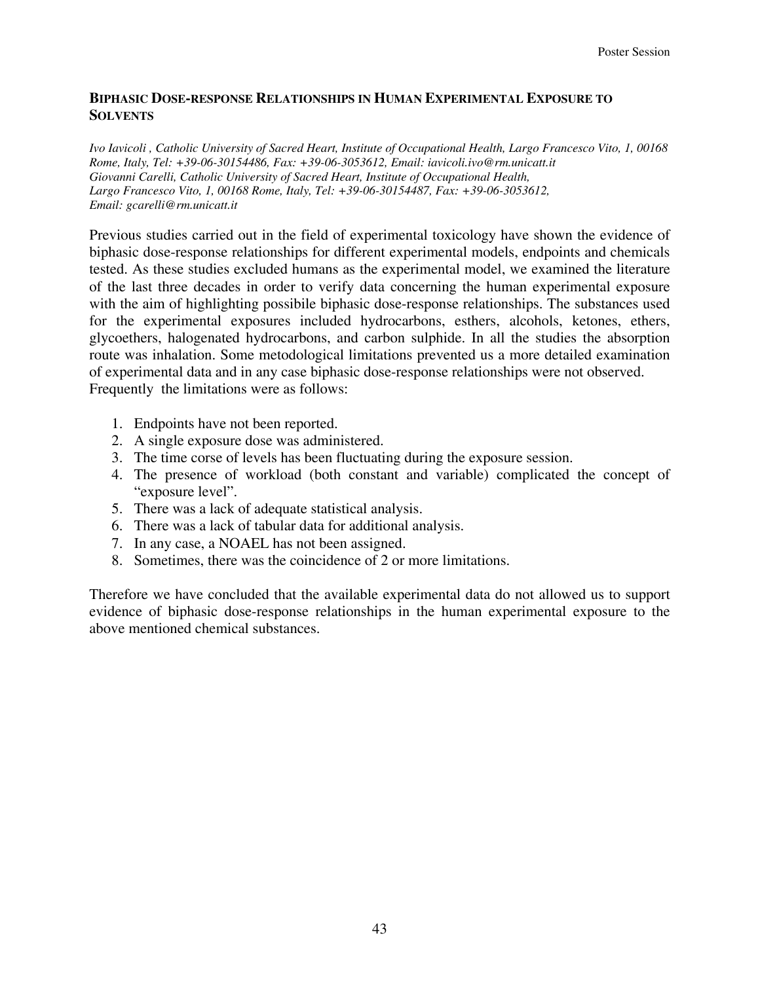## **BIPHASIC DOSE-RESPONSE RELATIONSHIPS IN HUMAN EXPERIMENTAL EXPOSURE TO SOLVENTS**

*Ivo Iavicoli , Catholic University of Sacred Heart, Institute of Occupational Health, Largo Francesco Vito, 1, 00168 Rome, Italy, Tel: +39-06-30154486, Fax: +39-06-3053612, Email: iavicoli.ivo@rm.unicatt.it Giovanni Carelli, Catholic University of Sacred Heart, Institute of Occupational Health, Largo Francesco Vito, 1, 00168 Rome, Italy, Tel: +39-06-30154487, Fax: +39-06-3053612, Email: gcarelli@rm.unicatt.it* 

Previous studies carried out in the field of experimental toxicology have shown the evidence of biphasic dose-response relationships for different experimental models, endpoints and chemicals tested. As these studies excluded humans as the experimental model, we examined the literature of the last three decades in order to verify data concerning the human experimental exposure with the aim of highlighting possibile biphasic dose-response relationships. The substances used for the experimental exposures included hydrocarbons, esthers, alcohols, ketones, ethers, glycoethers, halogenated hydrocarbons, and carbon sulphide. In all the studies the absorption route was inhalation. Some metodological limitations prevented us a more detailed examination of experimental data and in any case biphasic dose-response relationships were not observed. Frequently the limitations were as follows:

- 1. Endpoints have not been reported.
- 2. A single exposure dose was administered.
- 3. The time corse of levels has been fluctuating during the exposure session.
- 4. The presence of workload (both constant and variable) complicated the concept of "exposure level".
- 5. There was a lack of adequate statistical analysis.
- 6. There was a lack of tabular data for additional analysis.
- 7. In any case, a NOAEL has not been assigned.
- 8. Sometimes, there was the coincidence of 2 or more limitations.

Therefore we have concluded that the available experimental data do not allowed us to support evidence of biphasic dose-response relationships in the human experimental exposure to the above mentioned chemical substances.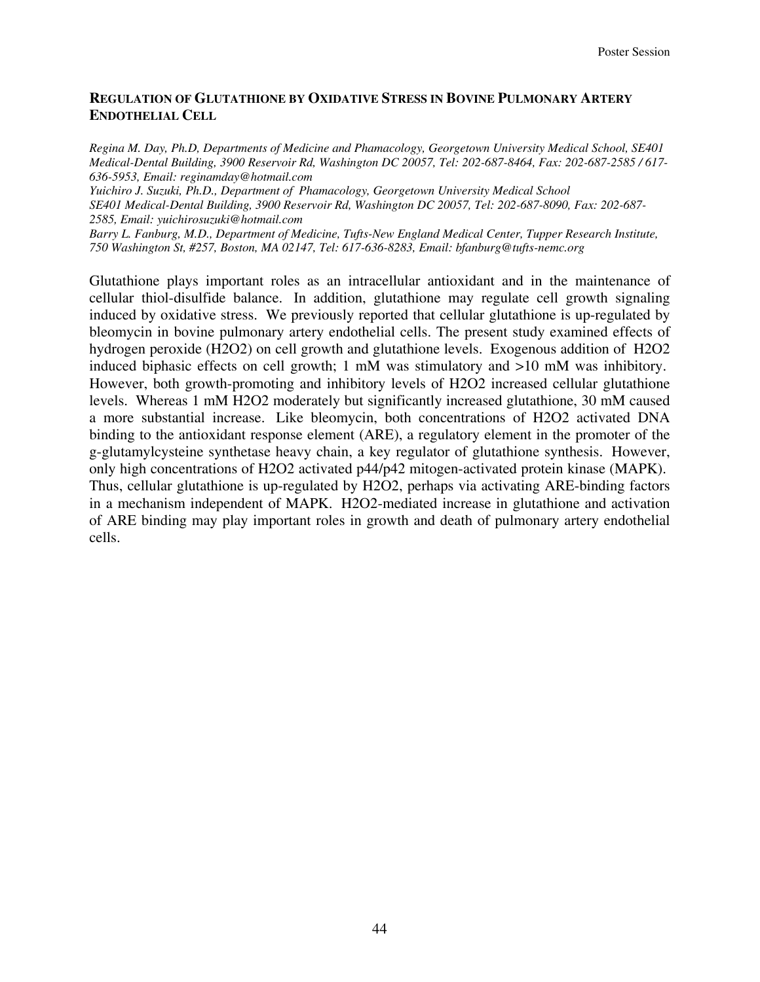## **REGULATION OF GLUTATHIONE BY OXIDATIVE STRESS IN BOVINE PULMONARY ARTERY ENDOTHELIAL CELL**

*Regina M. Day, Ph.D, Departments of Medicine and Phamacology, Georgetown University Medical School, SE401 Medical-Dental Building, 3900 Reservoir Rd, Washington DC 20057, Tel: 202-687-8464, Fax: 202-687-2585 / 617- 636-5953, Email: reginamday@hotmail.com* 

*Yuichiro J. Suzuki, Ph.D., Department of Phamacology, Georgetown University Medical School SE401 Medical-Dental Building, 3900 Reservoir Rd, Washington DC 20057, Tel: 202-687-8090, Fax: 202-687- 2585, Email: yuichirosuzuki@hotmail.com* 

*Barry L. Fanburg, M.D., Department of Medicine, Tufts-New England Medical Center, Tupper Research Institute, 750 Washington St, #257, Boston, MA 02147, Tel: 617-636-8283, Email: bfanburg@tufts-nemc.org* 

Glutathione plays important roles as an intracellular antioxidant and in the maintenance of cellular thiol-disulfide balance. In addition, glutathione may regulate cell growth signaling induced by oxidative stress. We previously reported that cellular glutathione is up-regulated by bleomycin in bovine pulmonary artery endothelial cells. The present study examined effects of hydrogen peroxide (H2O2) on cell growth and glutathione levels. Exogenous addition of H2O2 induced biphasic effects on cell growth; 1 mM was stimulatory and >10 mM was inhibitory. However, both growth-promoting and inhibitory levels of H2O2 increased cellular glutathione levels. Whereas 1 mM H2O2 moderately but significantly increased glutathione, 30 mM caused a more substantial increase. Like bleomycin, both concentrations of H2O2 activated DNA binding to the antioxidant response element (ARE), a regulatory element in the promoter of the g-glutamylcysteine synthetase heavy chain, a key regulator of glutathione synthesis. However, only high concentrations of H2O2 activated p44/p42 mitogen-activated protein kinase (MAPK). Thus, cellular glutathione is up-regulated by H2O2, perhaps via activating ARE-binding factors in a mechanism independent of MAPK. H2O2-mediated increase in glutathione and activation of ARE binding may play important roles in growth and death of pulmonary artery endothelial cells.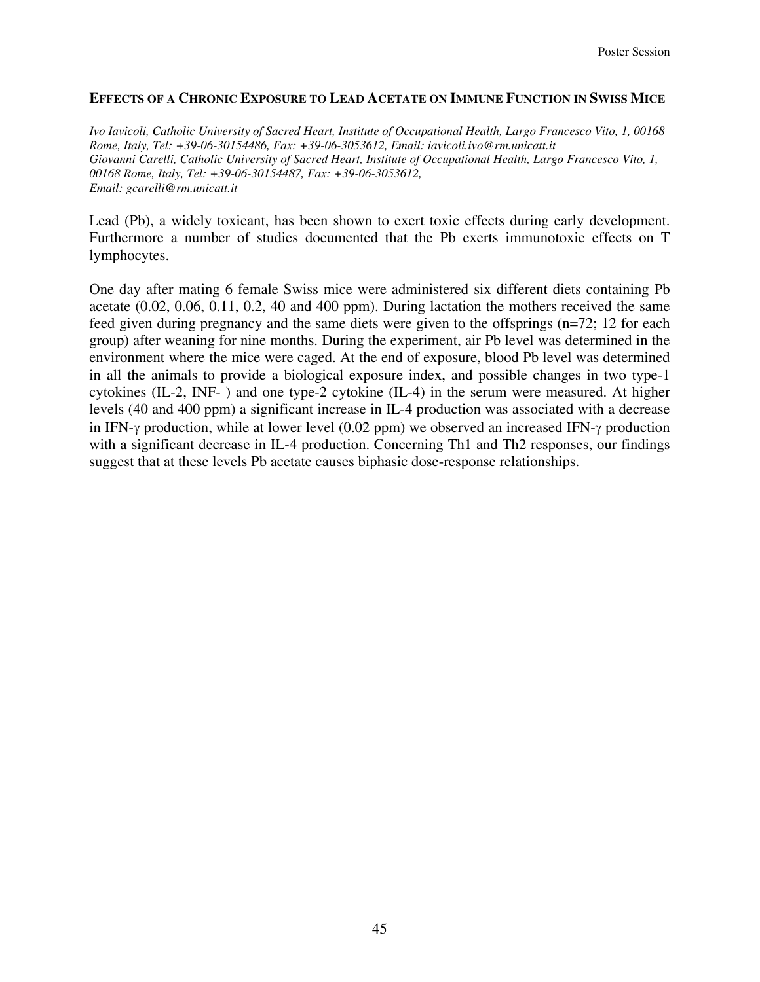#### **EFFECTS OF A CHRONIC EXPOSURE TO LEAD ACETATE ON IMMUNE FUNCTION IN SWISS MICE**

*Ivo Iavicoli, Catholic University of Sacred Heart, Institute of Occupational Health, Largo Francesco Vito, 1, 00168 Rome, Italy, Tel: +39-06-30154486, Fax: +39-06-3053612, Email: iavicoli.ivo@rm.unicatt.it Giovanni Carelli, Catholic University of Sacred Heart, Institute of Occupational Health, Largo Francesco Vito, 1, 00168 Rome, Italy, Tel: +39-06-30154487, Fax: +39-06-3053612, Email: gcarelli@rm.unicatt.it* 

Lead (Pb), a widely toxicant, has been shown to exert toxic effects during early development. Furthermore a number of studies documented that the Pb exerts immunotoxic effects on T lymphocytes.

One day after mating 6 female Swiss mice were administered six different diets containing Pb acetate (0.02, 0.06, 0.11, 0.2, 40 and 400 ppm). During lactation the mothers received the same feed given during pregnancy and the same diets were given to the offsprings (n=72; 12 for each group) after weaning for nine months. During the experiment, air Pb level was determined in the environment where the mice were caged. At the end of exposure, blood Pb level was determined in all the animals to provide a biological exposure index, and possible changes in two type-1 cytokines (IL-2, INF-) and one type-2 cytokine (IL-4) in the serum were measured. At higher levels (40 and 400 ppm) a significant increase in IL-4 production was associated with a decrease in IFN-γ production, while at lower level (0.02 ppm) we observed an increased IFN-γ production with a significant decrease in IL-4 production. Concerning Th1 and Th2 responses, our findings suggest that at these levels Pb acetate causes biphasic dose-response relationships.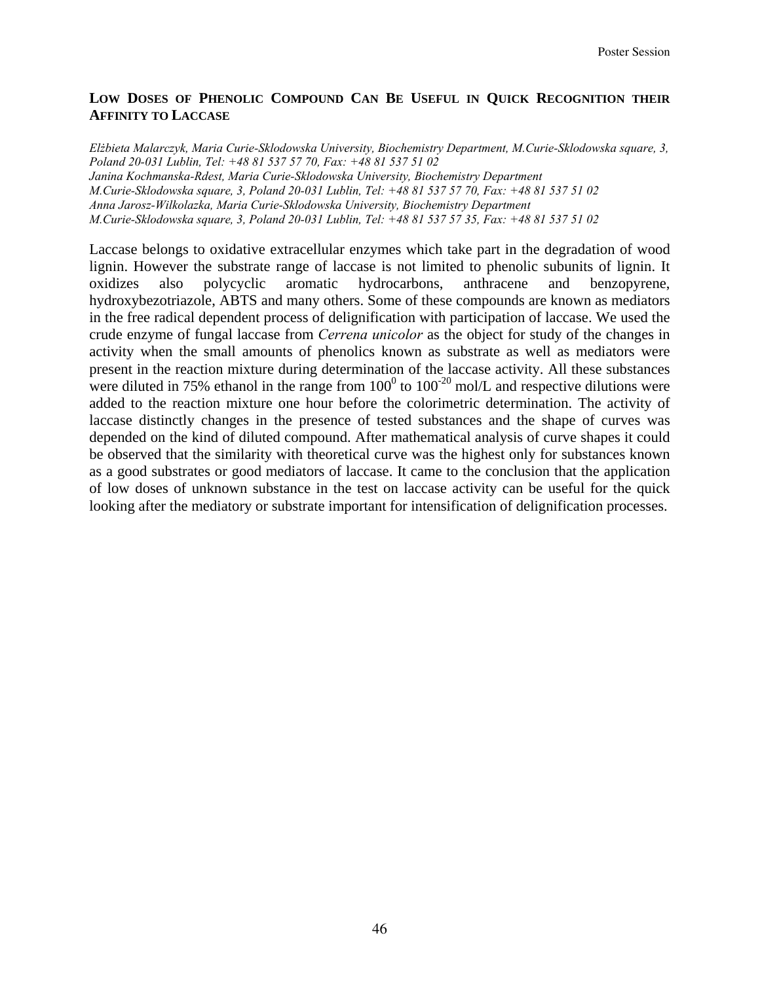## **LOW DOSES OF PHENOLIC COMPOUND CAN BE USEFUL IN QUICK RECOGNITION THEIR AFFINITY TO LACCASE**

*Elżbieta Malarczyk, Maria Curie-Sklodowska University, Biochemistry Department, M.Curie-Sklodowska square, 3, Poland 20-031 Lublin, Tel: +48 81 537 57 70, Fax: +48 81 537 51 02 Janina Kochmanska-Rdest, Maria Curie-Sklodowska University, Biochemistry Department M.Curie-Sklodowska square, 3, Poland 20-031 Lublin, Tel: +48 81 537 57 70, Fax: +48 81 537 51 02 Anna Jarosz-Wilkolazka, Maria Curie-Sklodowska University, Biochemistry Department M.Curie-Sklodowska square, 3, Poland 20-031 Lublin, Tel: +48 81 537 57 35, Fax: +48 81 537 51 02* 

Laccase belongs to oxidative extracellular enzymes which take part in the degradation of wood lignin. However the substrate range of laccase is not limited to phenolic subunits of lignin. It oxidizes also polycyclic aromatic hydrocarbons, anthracene and benzopyrene, hydroxybezotriazole, ABTS and many others. Some of these compounds are known as mediators in the free radical dependent process of delignification with participation of laccase. We used the crude enzyme of fungal laccase from *Cerrena unicolor* as the object for study of the changes in activity when the small amounts of phenolics known as substrate as well as mediators were present in the reaction mixture during determination of the laccase activity. All these substances were diluted in 75% ethanol in the range from  $100^0$  to  $100^{-20}$  mol/L and respective dilutions were added to the reaction mixture one hour before the colorimetric determination. The activity of laccase distinctly changes in the presence of tested substances and the shape of curves was depended on the kind of diluted compound. After mathematical analysis of curve shapes it could be observed that the similarity with theoretical curve was the highest only for substances known as a good substrates or good mediators of laccase. It came to the conclusion that the application of low doses of unknown substance in the test on laccase activity can be useful for the quick looking after the mediatory or substrate important for intensification of delignification processes.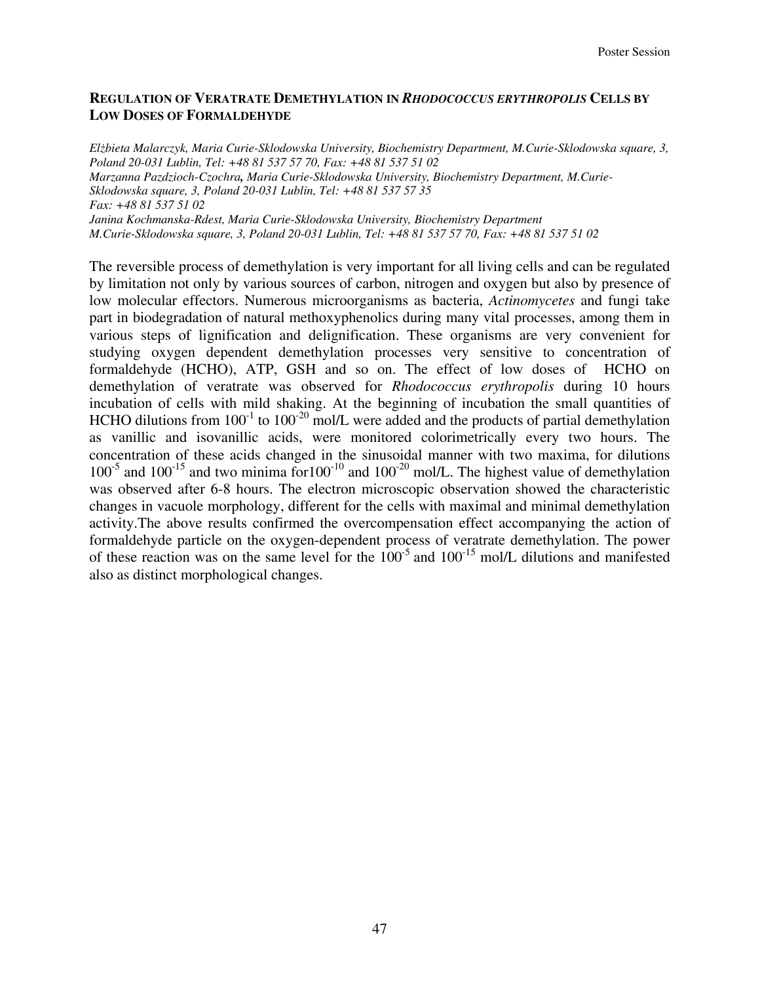## **REGULATION OF VERATRATE DEMETHYLATION IN** *RHODOCOCCUS ERYTHROPOLIS* **CELLS BY LOW DOSES OF FORMALDEHYDE**

*Elżbieta Malarczyk, Maria Curie-Sklodowska University, Biochemistry Department, M.Curie-Sklodowska square, 3, Poland 20-031 Lublin, Tel: +48 81 537 57 70, Fax: +48 81 537 51 02 Marzanna Pazdzioch-Czochra, Maria Curie-Sklodowska University, Biochemistry Department, M.Curie-Sklodowska square, 3, Poland 20-031 Lublin, Tel: +48 81 537 57 35 Fax: +48 81 537 51 02 Janina Kochmanska-Rdest, Maria Curie-Sklodowska University, Biochemistry Department M.Curie-Sklodowska square, 3, Poland 20-031 Lublin, Tel: +48 81 537 57 70, Fax: +48 81 537 51 02* 

The reversible process of demethylation is very important for all living cells and can be regulated by limitation not only by various sources of carbon, nitrogen and oxygen but also by presence of low molecular effectors. Numerous microorganisms as bacteria, *Actinomycetes* and fungi take part in biodegradation of natural methoxyphenolics during many vital processes, among them in various steps of lignification and delignification. These organisms are very convenient for studying oxygen dependent demethylation processes very sensitive to concentration of formaldehyde (HCHO), ATP, GSH and so on. The effect of low doses of HCHO on demethylation of veratrate was observed for *Rhodococcus erythropolis* during 10 hours incubation of cells with mild shaking. At the beginning of incubation the small quantities of HCHO dilutions from  $100^{-1}$  to  $100^{-20}$  mol/L were added and the products of partial demethylation as vanillic and isovanillic acids, were monitored colorimetrically every two hours. The concentration of these acids changed in the sinusoidal manner with two maxima, for dilutions  $100^{-5}$  and  $100^{-15}$  and two minima for  $100^{-10}$  and  $100^{-20}$  mol/L. The highest value of demethylation was observed after 6-8 hours. The electron microscopic observation showed the characteristic changes in vacuole morphology, different for the cells with maximal and minimal demethylation activity.The above results confirmed the overcompensation effect accompanying the action of formaldehyde particle on the oxygen-dependent process of veratrate demethylation. The power of these reaction was on the same level for the  $100^{-5}$  and  $100^{-15}$  mol/L dilutions and manifested also as distinct morphological changes.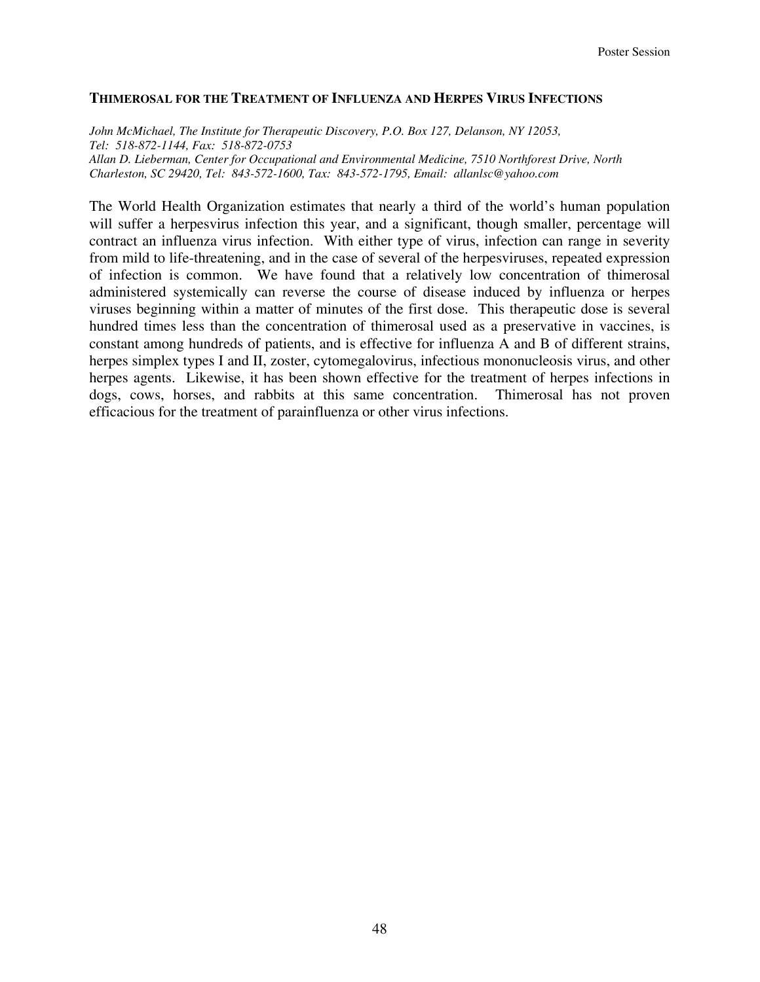#### **THIMEROSAL FOR THE TREATMENT OF INFLUENZA AND HERPES VIRUS INFECTIONS**

*John McMichael, The Institute for Therapeutic Discovery, P.O. Box 127, Delanson, NY 12053, Tel: 518-872-1144, Fax: 518-872-0753 Allan D. Lieberman, Center for Occupational and Environmental Medicine, 7510 Northforest Drive, North Charleston, SC 29420, Tel: 843-572-1600, Tax: 843-572-1795, Email: allanlsc@yahoo.com* 

The World Health Organization estimates that nearly a third of the world's human population will suffer a herpesvirus infection this year, and a significant, though smaller, percentage will contract an influenza virus infection. With either type of virus, infection can range in severity from mild to life-threatening, and in the case of several of the herpesviruses, repeated expression of infection is common. We have found that a relatively low concentration of thimerosal administered systemically can reverse the course of disease induced by influenza or herpes viruses beginning within a matter of minutes of the first dose. This therapeutic dose is several hundred times less than the concentration of thimerosal used as a preservative in vaccines, is constant among hundreds of patients, and is effective for influenza A and B of different strains, herpes simplex types I and II, zoster, cytomegalovirus, infectious mononucleosis virus, and other herpes agents. Likewise, it has been shown effective for the treatment of herpes infections in dogs, cows, horses, and rabbits at this same concentration. Thimerosal has not proven efficacious for the treatment of parainfluenza or other virus infections.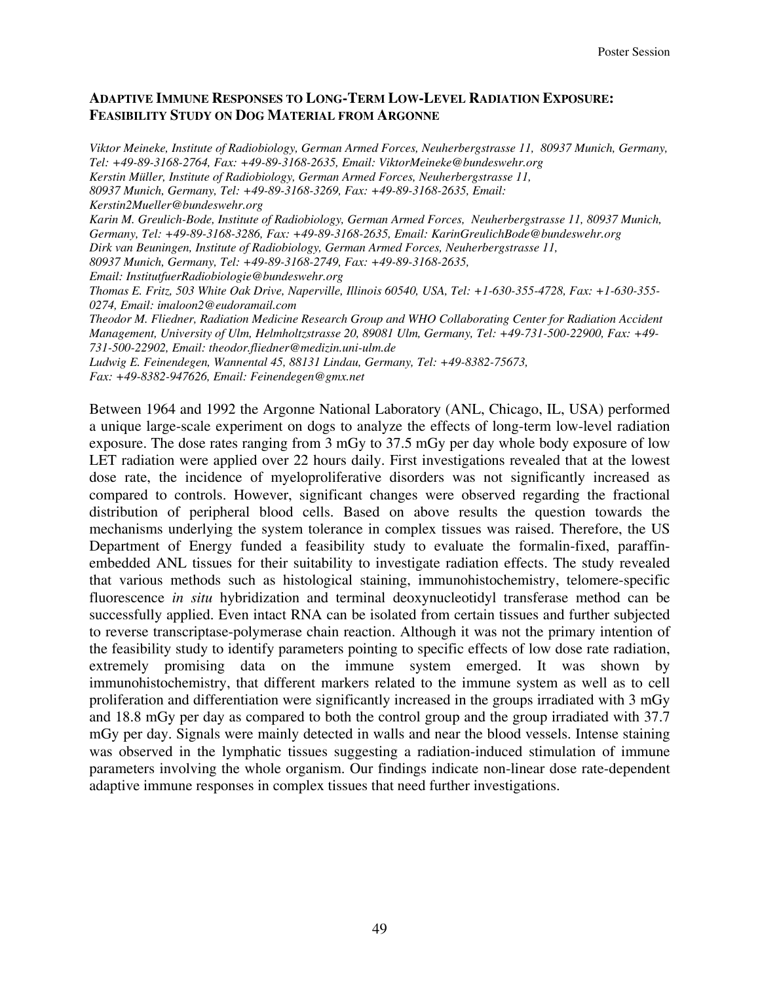## **ADAPTIVE IMMUNE RESPONSES TO LONG-TERM LOW-LEVEL RADIATION EXPOSURE: FEASIBILITY STUDY ON DOG MATERIAL FROM ARGONNE**

*Viktor Meineke, Institute of Radiobiology, German Armed Forces, Neuherbergstrasse 11, 80937 Munich, Germany, Tel: +49-89-3168-2764, Fax: +49-89-3168-2635, Email: ViktorMeineke@bundeswehr.org Kerstin Müller, Institute of Radiobiology, German Armed Forces, Neuherbergstrasse 11, 80937 Munich, Germany, Tel: +49-89-3168-3269, Fax: +49-89-3168-2635, Email: Kerstin2Mueller@bundeswehr.org Karin M. Greulich-Bode, Institute of Radiobiology, German Armed Forces, Neuherbergstrasse 11, 80937 Munich, Germany, Tel: +49-89-3168-3286, Fax: +49-89-3168-2635, Email: KarinGreulichBode@bundeswehr.org Dirk van Beuningen, Institute of Radiobiology, German Armed Forces, Neuherbergstrasse 11, 80937 Munich, Germany, Tel: +49-89-3168-2749, Fax: +49-89-3168-2635, Email: InstitutfuerRadiobiologie@bundeswehr.org Thomas E. Fritz, 503 White Oak Drive, Naperville, Illinois 60540, USA, Tel: +1-630-355-4728, Fax: +1-630-355- 0274, Email: imaloon2@eudoramail.com Theodor M. Fliedner, Radiation Medicine Research Group and WHO Collaborating Center for Radiation Accident Management, University of Ulm, Helmholtzstrasse 20, 89081 Ulm, Germany, Tel: +49-731-500-22900, Fax: +49- 731-500-22902, Email: theodor.fliedner@medizin.uni-ulm.de Ludwig E. Feinendegen, Wannental 45, 88131 Lindau, Germany, Tel: +49-8382-75673, Fax: +49-8382-947626, Email: Feinendegen@gmx.net* 

Between 1964 and 1992 the Argonne National Laboratory (ANL, Chicago, IL, USA) performed a unique large-scale experiment on dogs to analyze the effects of long-term low-level radiation exposure. The dose rates ranging from 3 mGy to 37.5 mGy per day whole body exposure of low LET radiation were applied over 22 hours daily. First investigations revealed that at the lowest dose rate, the incidence of myeloproliferative disorders was not significantly increased as compared to controls. However, significant changes were observed regarding the fractional distribution of peripheral blood cells. Based on above results the question towards the mechanisms underlying the system tolerance in complex tissues was raised. Therefore, the US Department of Energy funded a feasibility study to evaluate the formalin-fixed, paraffinembedded ANL tissues for their suitability to investigate radiation effects. The study revealed that various methods such as histological staining, immunohistochemistry, telomere-specific fluorescence *in situ* hybridization and terminal deoxynucleotidyl transferase method can be successfully applied. Even intact RNA can be isolated from certain tissues and further subjected to reverse transcriptase-polymerase chain reaction. Although it was not the primary intention of the feasibility study to identify parameters pointing to specific effects of low dose rate radiation, extremely promising data on the immune system emerged. It was shown by immunohistochemistry, that different markers related to the immune system as well as to cell proliferation and differentiation were significantly increased in the groups irradiated with 3 mGy and 18.8 mGy per day as compared to both the control group and the group irradiated with 37.7 mGy per day. Signals were mainly detected in walls and near the blood vessels. Intense staining was observed in the lymphatic tissues suggesting a radiation-induced stimulation of immune parameters involving the whole organism. Our findings indicate non-linear dose rate-dependent adaptive immune responses in complex tissues that need further investigations.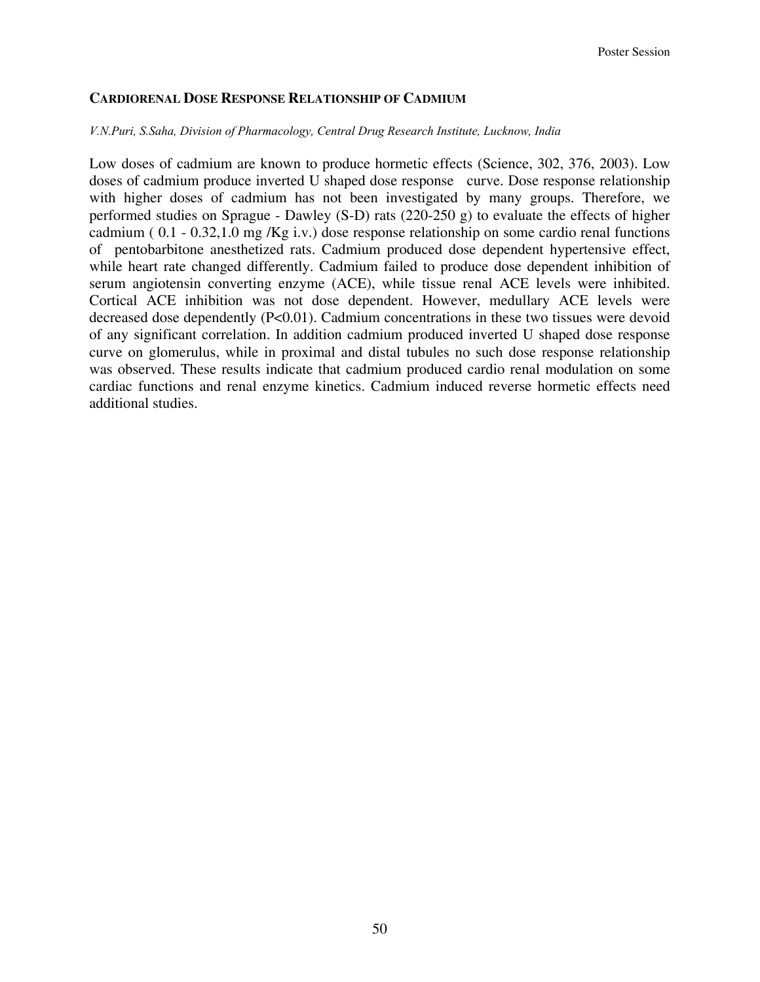## **CARDIORENAL DOSE RESPONSE RELATIONSHIP OF CADMIUM**

#### *V.N.Puri, S.Saha, Division of Pharmacology, Central Drug Research Institute, Lucknow, India*

Low doses of cadmium are known to produce hormetic effects (Science, 302, 376, 2003). Low doses of cadmium produce inverted U shaped dose response curve. Dose response relationship with higher doses of cadmium has not been investigated by many groups. Therefore, we performed studies on Sprague - Dawley (S-D) rats (220-250 g) to evaluate the effects of higher cadmium ( 0.1 - 0.32,1.0 mg /Kg i.v.) dose response relationship on some cardio renal functions of pentobarbitone anesthetized rats. Cadmium produced dose dependent hypertensive effect, while heart rate changed differently. Cadmium failed to produce dose dependent inhibition of serum angiotensin converting enzyme (ACE), while tissue renal ACE levels were inhibited. Cortical ACE inhibition was not dose dependent. However, medullary ACE levels were decreased dose dependently  $(P<0.01)$ . Cadmium concentrations in these two tissues were devoid of any significant correlation. In addition cadmium produced inverted U shaped dose response curve on glomerulus, while in proximal and distal tubules no such dose response relationship was observed. These results indicate that cadmium produced cardio renal modulation on some cardiac functions and renal enzyme kinetics. Cadmium induced reverse hormetic effects need additional studies.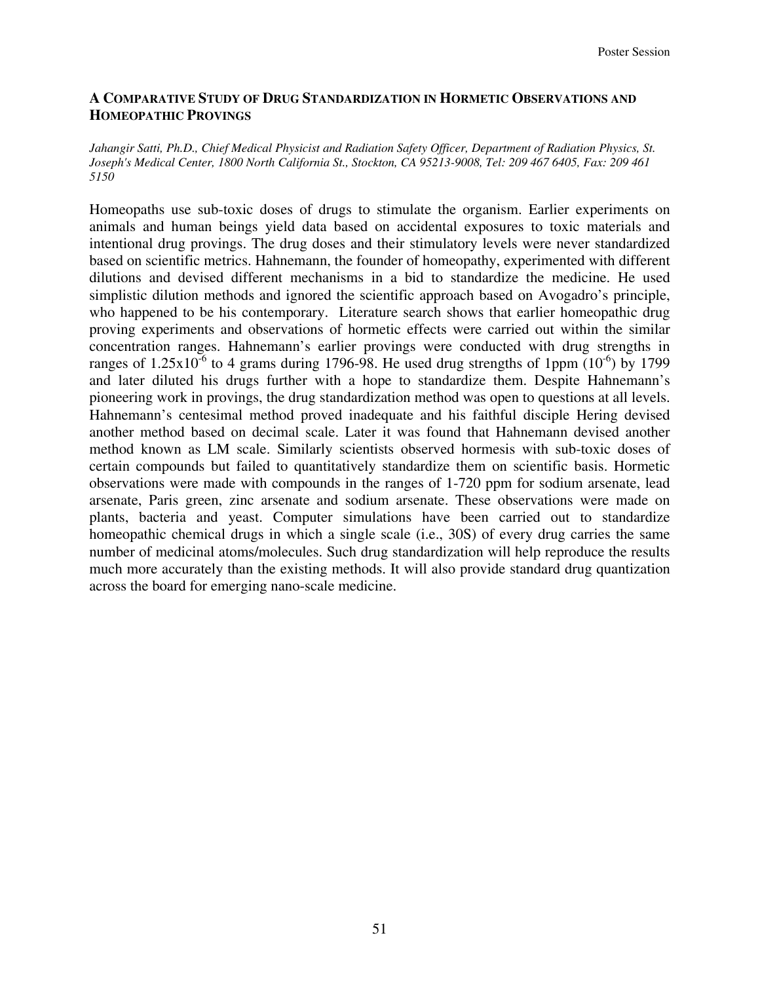#### **A COMPARATIVE STUDY OF DRUG STANDARDIZATION IN HORMETIC OBSERVATIONS AND HOMEOPATHIC PROVINGS**

*Jahangir Satti, Ph.D., Chief Medical Physicist and Radiation Safety Officer, Department of Radiation Physics, St. Joseph's Medical Center, 1800 North California St., Stockton, CA 95213-9008, Tel: 209 467 6405, Fax: 209 461 5150* 

Homeopaths use sub-toxic doses of drugs to stimulate the organism. Earlier experiments on animals and human beings yield data based on accidental exposures to toxic materials and intentional drug provings. The drug doses and their stimulatory levels were never standardized based on scientific metrics. Hahnemann, the founder of homeopathy, experimented with different dilutions and devised different mechanisms in a bid to standardize the medicine. He used simplistic dilution methods and ignored the scientific approach based on Avogadro's principle, who happened to be his contemporary. Literature search shows that earlier homeopathic drug proving experiments and observations of hormetic effects were carried out within the similar concentration ranges. Hahnemann's earlier provings were conducted with drug strengths in ranges of  $1.25x10^{-6}$  to 4 grams during 1796-98. He used drug strengths of 1ppm  $(10^{-6})$  by 1799 and later diluted his drugs further with a hope to standardize them. Despite Hahnemann's pioneering work in provings, the drug standardization method was open to questions at all levels. Hahnemann's centesimal method proved inadequate and his faithful disciple Hering devised another method based on decimal scale. Later it was found that Hahnemann devised another method known as LM scale. Similarly scientists observed hormesis with sub-toxic doses of certain compounds but failed to quantitatively standardize them on scientific basis. Hormetic observations were made with compounds in the ranges of 1-720 ppm for sodium arsenate, lead arsenate, Paris green, zinc arsenate and sodium arsenate. These observations were made on plants, bacteria and yeast. Computer simulations have been carried out to standardize homeopathic chemical drugs in which a single scale (i.e., 30S) of every drug carries the same number of medicinal atoms/molecules. Such drug standardization will help reproduce the results much more accurately than the existing methods. It will also provide standard drug quantization across the board for emerging nano-scale medicine.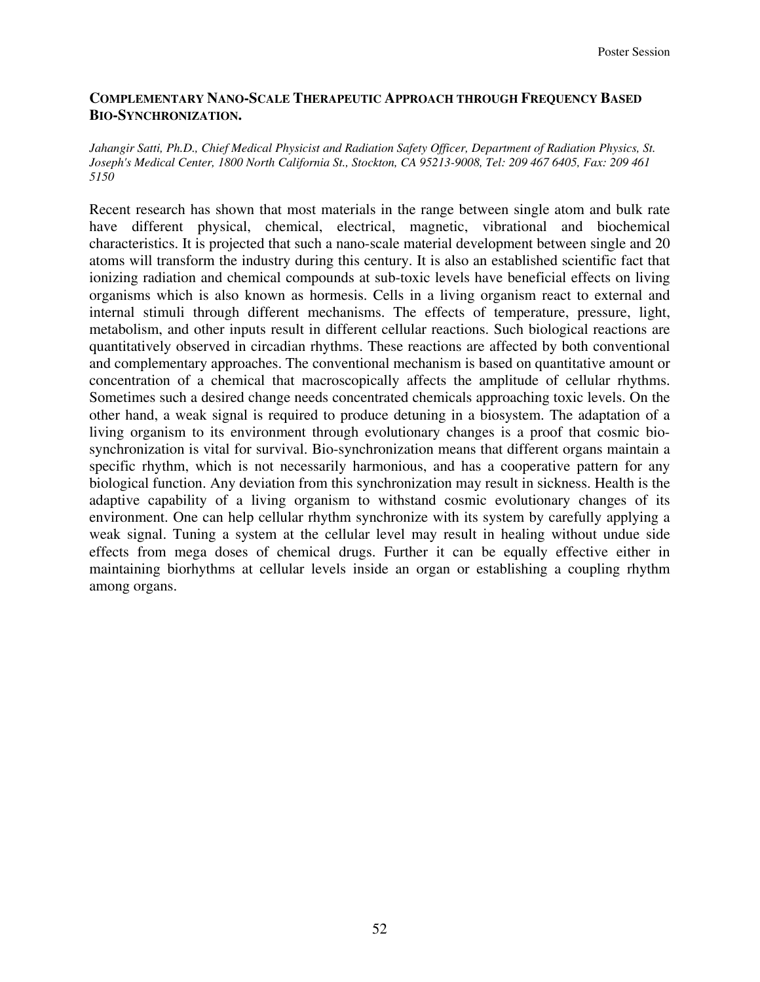## **COMPLEMENTARY NANO-SCALE THERAPEUTIC APPROACH THROUGH FREQUENCY BASED BIO-SYNCHRONIZATION.**

*Jahangir Satti, Ph.D., Chief Medical Physicist and Radiation Safety Officer, Department of Radiation Physics, St. Joseph's Medical Center, 1800 North California St., Stockton, CA 95213-9008, Tel: 209 467 6405, Fax: 209 461 5150* 

Recent research has shown that most materials in the range between single atom and bulk rate have different physical, chemical, electrical, magnetic, vibrational and biochemical characteristics. It is projected that such a nano-scale material development between single and 20 atoms will transform the industry during this century. It is also an established scientific fact that ionizing radiation and chemical compounds at sub-toxic levels have beneficial effects on living organisms which is also known as hormesis. Cells in a living organism react to external and internal stimuli through different mechanisms. The effects of temperature, pressure, light, metabolism, and other inputs result in different cellular reactions. Such biological reactions are quantitatively observed in circadian rhythms. These reactions are affected by both conventional and complementary approaches. The conventional mechanism is based on quantitative amount or concentration of a chemical that macroscopically affects the amplitude of cellular rhythms. Sometimes such a desired change needs concentrated chemicals approaching toxic levels. On the other hand, a weak signal is required to produce detuning in a biosystem. The adaptation of a living organism to its environment through evolutionary changes is a proof that cosmic biosynchronization is vital for survival. Bio-synchronization means that different organs maintain a specific rhythm, which is not necessarily harmonious, and has a cooperative pattern for any biological function. Any deviation from this synchronization may result in sickness. Health is the adaptive capability of a living organism to withstand cosmic evolutionary changes of its environment. One can help cellular rhythm synchronize with its system by carefully applying a weak signal. Tuning a system at the cellular level may result in healing without undue side effects from mega doses of chemical drugs. Further it can be equally effective either in maintaining biorhythms at cellular levels inside an organ or establishing a coupling rhythm among organs.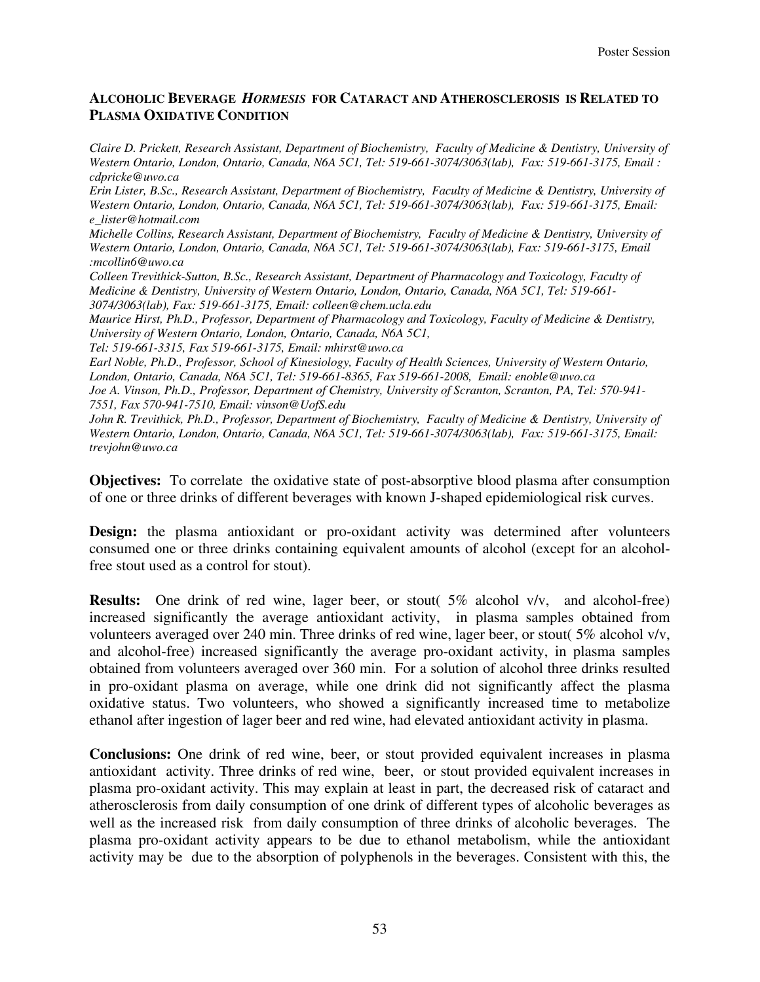## **ALCOHOLIC BEVERAGE** *HORMESIS* **FOR CATARACT AND ATHEROSCLEROSIS IS RELATED TO PLASMA OXIDATIVE CONDITION**

*Claire D. Prickett, Research Assistant, Department of Biochemistry, Faculty of Medicine & Dentistry, University of Western Ontario, London, Ontario, Canada, N6A 5C1, Tel: 519-661-3074/3063(lab), Fax: 519-661-3175, Email : cdpricke@uwo.ca* 

*Erin Lister, B.Sc., Research Assistant, Department of Biochemistry, Faculty of Medicine & Dentistry, University of Western Ontario, London, Ontario, Canada, N6A 5C1, Tel: 519-661-3074/3063(lab), Fax: 519-661-3175, Email: e\_lister@hotmail.com* 

*Michelle Collins, Research Assistant, Department of Biochemistry, Faculty of Medicine & Dentistry, University of Western Ontario, London, Ontario, Canada, N6A 5C1, Tel: 519-661-3074/3063(lab), Fax: 519-661-3175, Email :mcollin6@uwo.ca* 

*Colleen Trevithick-Sutton, B.Sc., Research Assistant, Department of Pharmacology and Toxicology, Faculty of Medicine & Dentistry, University of Western Ontario, London, Ontario, Canada, N6A 5C1, Tel: 519-661- 3074/3063(lab), Fax: 519-661-3175, Email: colleen@chem.ucla.edu* 

*Maurice Hirst, Ph.D., Professor, Department of Pharmacology and Toxicology, Faculty of Medicine & Dentistry, University of Western Ontario, London, Ontario, Canada, N6A 5C1,* 

*Tel: 519-661-3315, Fax 519-661-3175, Email: mhirst@uwo.ca* 

*Earl Noble, Ph.D., Professor, School of Kinesiology, Faculty of Health Sciences, University of Western Ontario, London, Ontario, Canada, N6A 5C1, Tel: 519-661-8365, Fax 519-661-2008, Email: enoble@uwo.ca Joe A. Vinson, Ph.D., Professor, Department of Chemistry, University of Scranton, Scranton, PA, Tel: 570-941- 7551, Fax 570-941-7510, Email: vinson@UofS.edu*

*John R. Trevithick, Ph.D., Professor, Department of Biochemistry, Faculty of Medicine & Dentistry, University of Western Ontario, London, Ontario, Canada, N6A 5C1, Tel: 519-661-3074/3063(lab), Fax: 519-661-3175, Email: trevjohn@uwo.ca* 

**Objectives:** To correlate the oxidative state of post-absorptive blood plasma after consumption of one or three drinks of different beverages with known J-shaped epidemiological risk curves.

**Design:** the plasma antioxidant or pro-oxidant activity was determined after volunteers consumed one or three drinks containing equivalent amounts of alcohol (except for an alcoholfree stout used as a control for stout).

**Results:** One drink of red wine, lager beer, or stout( 5% alcohol v/v, and alcohol-free) increased significantly the average antioxidant activity, in plasma samples obtained from volunteers averaged over 240 min. Three drinks of red wine, lager beer, or stout( 5% alcohol v/v, and alcohol-free) increased significantly the average pro-oxidant activity, in plasma samples obtained from volunteers averaged over 360 min. For a solution of alcohol three drinks resulted in pro-oxidant plasma on average, while one drink did not significantly affect the plasma oxidative status. Two volunteers, who showed a significantly increased time to metabolize ethanol after ingestion of lager beer and red wine, had elevated antioxidant activity in plasma.

**Conclusions:** One drink of red wine, beer, or stout provided equivalent increases in plasma antioxidant activity. Three drinks of red wine, beer, or stout provided equivalent increases in plasma pro-oxidant activity. This may explain at least in part, the decreased risk of cataract and atherosclerosis from daily consumption of one drink of different types of alcoholic beverages as well as the increased risk from daily consumption of three drinks of alcoholic beverages. The plasma pro-oxidant activity appears to be due to ethanol metabolism, while the antioxidant activity may be due to the absorption of polyphenols in the beverages. Consistent with this, the